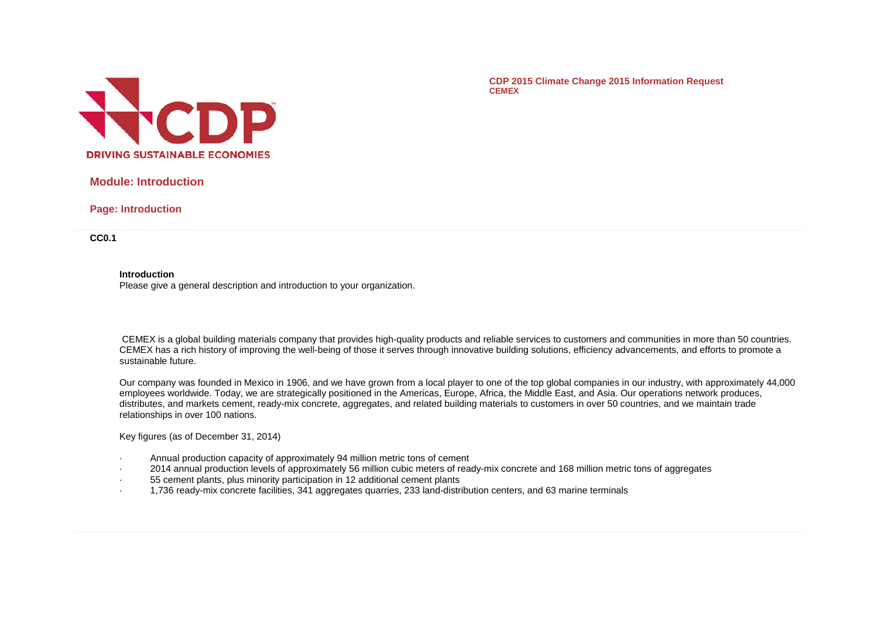

**CDP 2015 Climate Change 2015 Information Request CEMEX**

# **Module: Introduction**

**Page: Introduction**

**CC0.1**

**Introduction**

Please give a general description and introduction to your organization.

CEMEX is a global building materials company that provides high-quality products and reliable services to customers and communities in more than 50 countries. CEMEX has a rich history of improving the well-being of those it serves through innovative building solutions, efficiency advancements, and efforts to promote a sustainable future.

Our company was founded in Mexico in 1906, and we have grown from a local player to one of the top global companies in our industry, with approximately 44,000 employees worldwide. Today, we are strategically positioned in the Americas, Europe, Africa, the Middle East, and Asia. Our operations network produces, distributes, and markets cement, ready-mix concrete, aggregates, and related building materials to customers in over 50 countries, and we maintain trade relationships in over 100 nations.

Key figures (as of December 31, 2014)

- · Annual production capacity of approximately 94 million metric tons of cement
- · 2014 annual production levels of approximately 56 million cubic meters of ready-mix concrete and 168 million metric tons of aggregates
- · 55 cement plants, plus minority participation in 12 additional cement plants
- · 1,736 ready-mix concrete facilities, 341 aggregates quarries, 233 land-distribution centers, and 63 marine terminals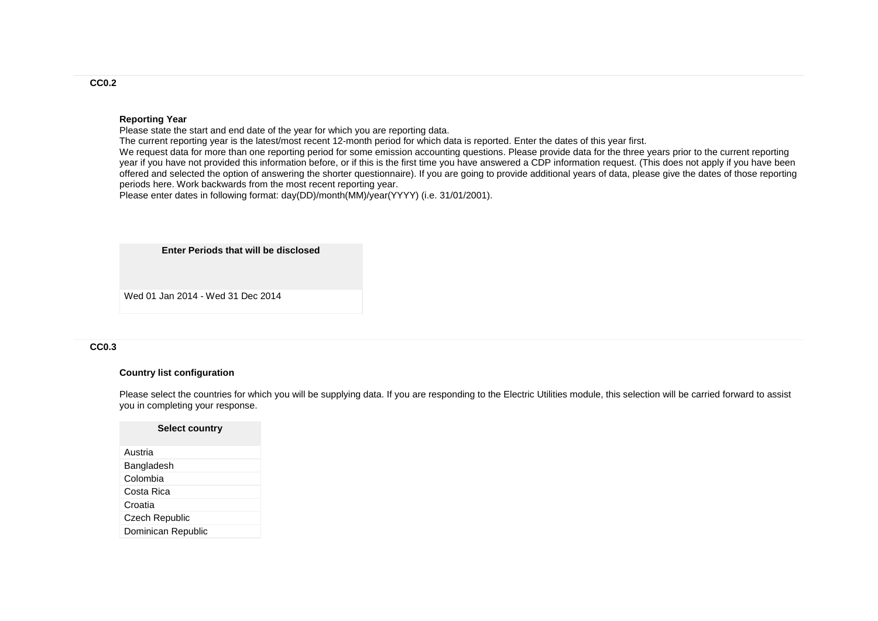#### **Reporting Year**

Please state the start and end date of the year for which you are reporting data.

The current reporting year is the latest/most recent 12-month period for which data is reported. Enter the dates of this year first.

We request data for more than one reporting period for some emission accounting questions. Please provide data for the three years prior to the current reporting year if you have not provided this information before, or if this is the first time you have answered a CDP information request. (This does not apply if you have been offered and selected the option of answering the shorter questionnaire). If you are going to provide additional years of data, please give the dates of those reporting periods here. Work backwards from the most recent reporting year.

Please enter dates in following format: day(DD)/month(MM)/year(YYYY) (i.e. 31/01/2001).

**Enter Periods that will be disclosed**

Wed 01 Jan 2014 - Wed 31 Dec 2014

#### **CC0.3**

### **Country list configuration**

Please select the countries for which you will be supplying data. If you are responding to the Electric Utilities module, this selection will be carried forward to assist you in completing your response.

### **Select country**

| Austria            |
|--------------------|
| Bangladesh         |
| Colombia           |
| Costa Rica         |
| Croatia            |
| Czech Republic     |
| Dominican Republic |

### **CC0.2**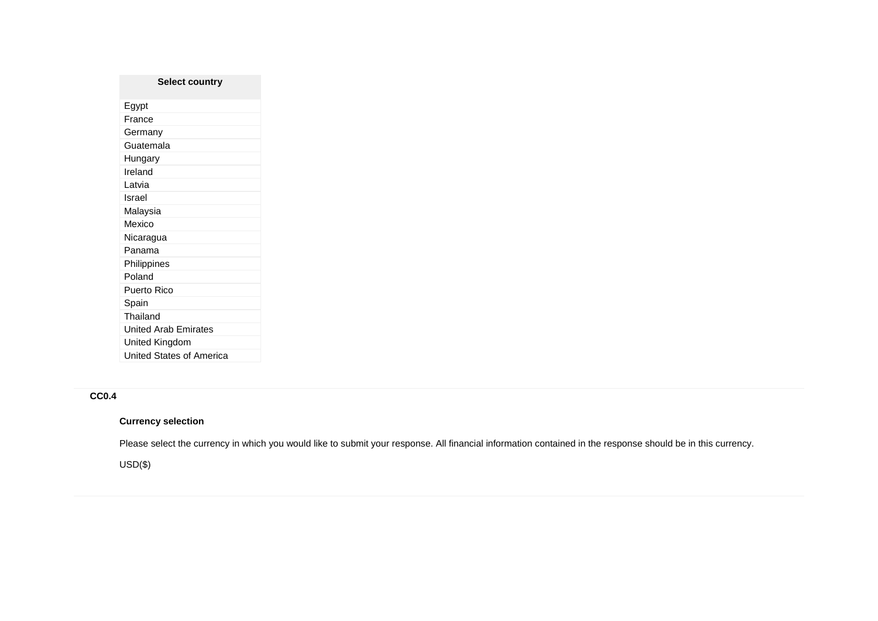# **Select country** Egypt France Germany Guatemala Hungary Ireland Latvia Israel Malaysia Mexico Nicaragua Panama Philippines Poland Puerto Rico Spain Thailand United Arab Emirates United Kingdom United States of America

# **CC0.4**

## **Currency selection**

Please select the currency in which you would like to submit your response. All financial information contained in the response should be in this currency.

USD(\$)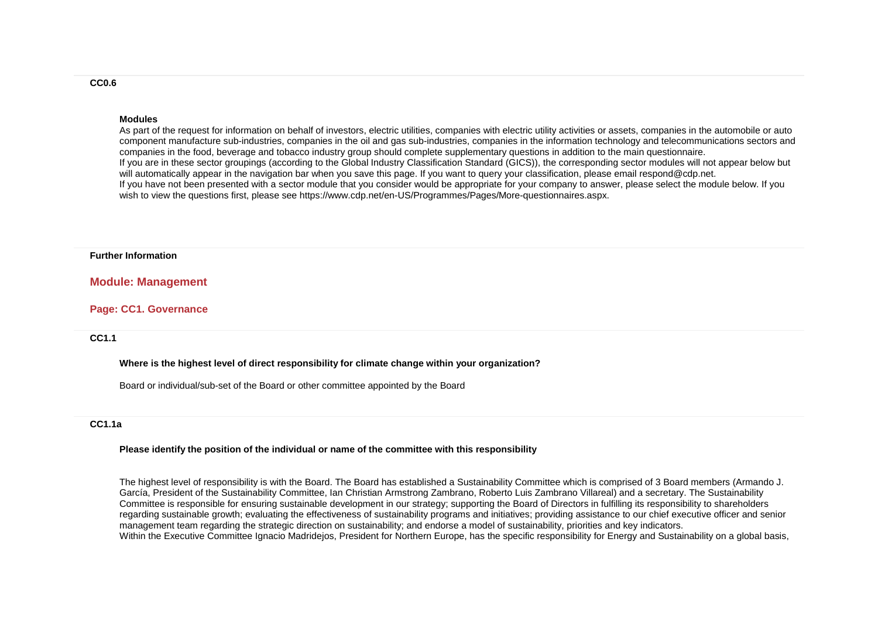#### **Modules**

As part of the request for information on behalf of investors, electric utilities, companies with electric utility activities or assets, companies in the automobile or auto component manufacture sub-industries, companies in the oil and gas sub-industries, companies in the information technology and telecommunications sectors and companies in the food, beverage and tobacco industry group should complete supplementary questions in addition to the main questionnaire. If you are in these sector groupings (according to the Global Industry Classification Standard (GICS)), the corresponding sector modules will not appear below but will automatically appear in the navigation bar when you save this page. If you want to query your classification, please email respond@cdp.net. If you have not been presented with a sector module that you consider would be appropriate for your company to answer, please select the module below. If you wish to view the questions first, please see https://www.cdp.net/en-US/Programmes/Pages/More-questionnaires.aspx.

#### **Further Information**

### **Module: Management**

#### **Page: CC1. Governance**

## **CC1.1**

#### **Where is the highest level of direct responsibility for climate change within your organization?**

Board or individual/sub-set of the Board or other committee appointed by the Board

## **CC1.1a**

#### **Please identify the position of the individual or name of the committee with this responsibility**

The highest level of responsibility is with the Board. The Board has established a Sustainability Committee which is comprised of 3 Board members (Armando J. García, President of the Sustainability Committee, Ian Christian Armstrong Zambrano, Roberto Luis Zambrano Villareal) and a secretary. The Sustainability Committee is responsible for ensuring sustainable development in our strategy; supporting the Board of Directors in fulfilling its responsibility to shareholders regarding sustainable growth; evaluating the effectiveness of sustainability programs and initiatives; providing assistance to our chief executive officer and senior management team regarding the strategic direction on sustainability; and endorse a model of sustainability, priorities and key indicators. Within the Executive Committee Ignacio Madridejos, President for Northern Europe, has the specific responsibility for Energy and Sustainability on a global basis,

#### **CC0.6**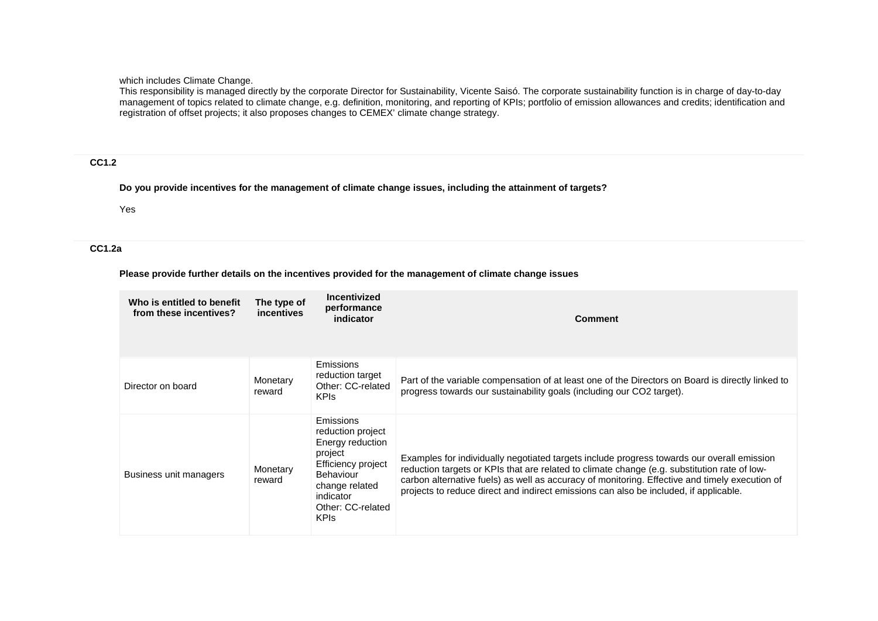which includes Climate Change.

This responsibility is managed directly by the corporate Director for Sustainability, Vicente Saisó. The corporate sustainability function is in charge of day-to-day management of topics related to climate change, e.g. definition, monitoring, and reporting of KPIs; portfolio of emission allowances and credits; identification and registration of offset projects; it also proposes changes to CEMEX' climate change strategy.

# **CC1.2**

**Do you provide incentives for the management of climate change issues, including the attainment of targets?**

Yes

# **CC1.2a**

## **Please provide further details on the incentives provided for the management of climate change issues**

| Who is entitled to benefit<br>from these incentives? | The type of<br>incentives | <b>Incentivized</b><br>performance<br>indicator                                                                                                                     | <b>Comment</b>                                                                                                                                                                                                                                                                                                                                                                        |
|------------------------------------------------------|---------------------------|---------------------------------------------------------------------------------------------------------------------------------------------------------------------|---------------------------------------------------------------------------------------------------------------------------------------------------------------------------------------------------------------------------------------------------------------------------------------------------------------------------------------------------------------------------------------|
| Director on board                                    | Monetary<br>reward        | Emissions<br>reduction target<br>Other: CC-related<br><b>KPIs</b>                                                                                                   | Part of the variable compensation of at least one of the Directors on Board is directly linked to<br>progress towards our sustainability goals (including our CO2 target).                                                                                                                                                                                                            |
| Business unit managers                               | Monetary<br>reward        | Emissions<br>reduction project<br>Energy reduction<br>project<br>Efficiency project<br>Behaviour<br>change related<br>indicator<br>Other: CC-related<br><b>KPIS</b> | Examples for individually negotiated targets include progress towards our overall emission<br>reduction targets or KPIs that are related to climate change (e.g. substitution rate of low-<br>carbon alternative fuels) as well as accuracy of monitoring. Effective and timely execution of<br>projects to reduce direct and indirect emissions can also be included, if applicable. |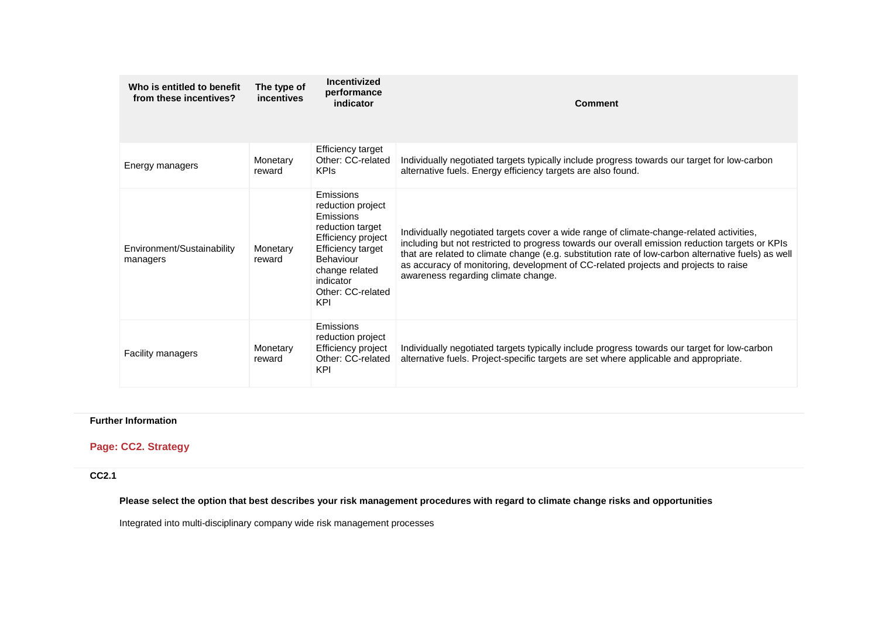| Who is entitled to benefit<br>from these incentives? | The type of<br>incentives | Incentivized<br>performance<br>indicator                                                                                                                                                  | <b>Comment</b>                                                                                                                                                                                                                                                                                                                                                                                                                   |
|------------------------------------------------------|---------------------------|-------------------------------------------------------------------------------------------------------------------------------------------------------------------------------------------|----------------------------------------------------------------------------------------------------------------------------------------------------------------------------------------------------------------------------------------------------------------------------------------------------------------------------------------------------------------------------------------------------------------------------------|
| Energy managers                                      | Monetary<br>reward        | <b>Efficiency target</b><br>Other: CC-related<br><b>KPIs</b>                                                                                                                              | Individually negotiated targets typically include progress towards our target for low-carbon<br>alternative fuels. Energy efficiency targets are also found.                                                                                                                                                                                                                                                                     |
| Environment/Sustainability<br>managers               | Monetary<br>reward        | Emissions<br>reduction project<br>Emissions<br>reduction target<br>Efficiency project<br><b>Efficiency target</b><br>Behaviour<br>change related<br>indicator<br>Other: CC-related<br>KPI | Individually negotiated targets cover a wide range of climate-change-related activities,<br>including but not restricted to progress towards our overall emission reduction targets or KPIs<br>that are related to climate change (e.g. substitution rate of low-carbon alternative fuels) as well<br>as accuracy of monitoring, development of CC-related projects and projects to raise<br>awareness regarding climate change. |
| <b>Facility managers</b>                             | Monetary<br>reward        | Emissions<br>reduction project<br>Efficiency project<br>Other: CC-related<br>KPI                                                                                                          | Individually negotiated targets typically include progress towards our target for low-carbon<br>alternative fuels. Project-specific targets are set where applicable and appropriate.                                                                                                                                                                                                                                            |

# **Further Information**

# **Page: CC2. Strategy**

**CC2.1**

**Please select the option that best describes your risk management procedures with regard to climate change risks and opportunities**

Integrated into multi-disciplinary company wide risk management processes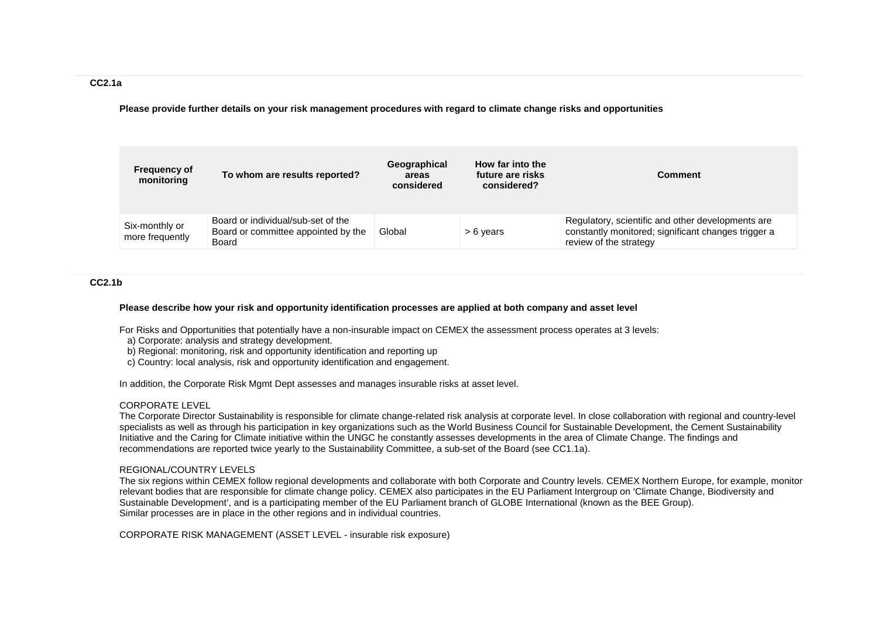### **CC2.1a**

**Please provide further details on your risk management procedures with regard to climate change risks and opportunities**

| <b>Frequency of</b><br>monitoring | To whom are results reported?                                                      | Geographical<br>areas<br>considered | How far into the<br>future are risks<br>considered? | <b>Comment</b>                                                                                                                     |
|-----------------------------------|------------------------------------------------------------------------------------|-------------------------------------|-----------------------------------------------------|------------------------------------------------------------------------------------------------------------------------------------|
| Six-monthly or<br>more frequently | Board or individual/sub-set of the<br>Board or committee appointed by the<br>Board | Global                              | > 6 years                                           | Regulatory, scientific and other developments are<br>constantly monitored; significant changes trigger a<br>review of the strategy |

### **CC2.1b**

#### **Please describe how your risk and opportunity identification processes are applied at both company and asset level**

For Risks and Opportunities that potentially have a non-insurable impact on CEMEX the assessment process operates at 3 levels:

- a) Corporate: analysis and strategy development.
- b) Regional: monitoring, risk and opportunity identification and reporting up
- c) Country: local analysis, risk and opportunity identification and engagement.

In addition, the Corporate Risk Mgmt Dept assesses and manages insurable risks at asset level.

## CORPORATE LEVEL

The Corporate Director Sustainability is responsible for climate change-related risk analysis at corporate level. In close collaboration with regional and country-level specialists as well as through his participation in key organizations such as the World Business Council for Sustainable Development, the Cement Sustainability Initiative and the Caring for Climate initiative within the UNGC he constantly assesses developments in the area of Climate Change. The findings and recommendations are reported twice yearly to the Sustainability Committee, a sub-set of the Board (see CC1.1a).

#### REGIONAL/COUNTRY LEVELS

The six regions within CEMEX follow regional developments and collaborate with both Corporate and Country levels. CEMEX Northern Europe, for example, monitor relevant bodies that are responsible for climate change policy. CEMEX also participates in the EU Parliament Intergroup on 'Climate Change, Biodiversity and Sustainable Development', and is a participating member of the EU Parliament branch of GLOBE International (known as the BEE Group). Similar processes are in place in the other regions and in individual countries.

CORPORATE RISK MANAGEMENT (ASSET LEVEL - insurable risk exposure)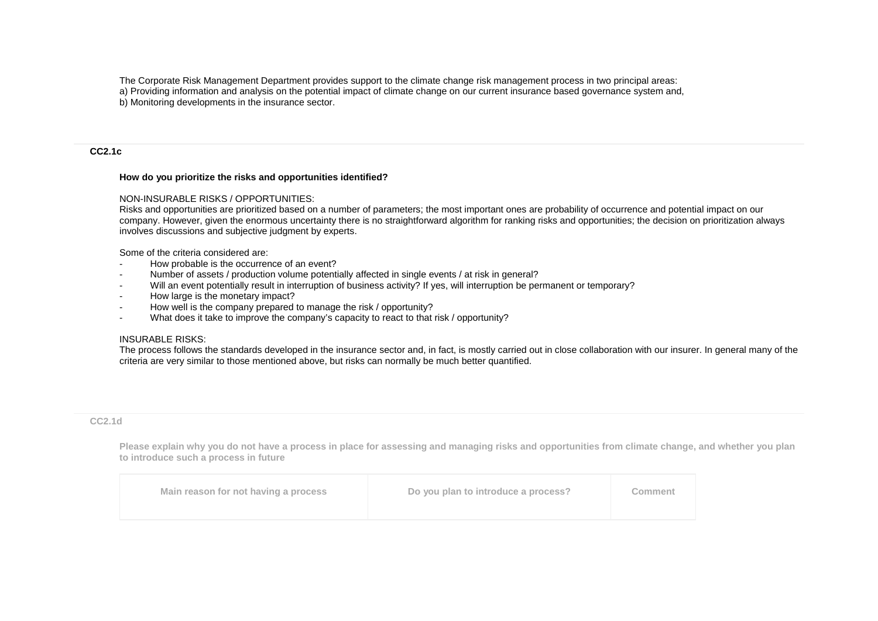The Corporate Risk Management Department provides support to the climate change risk management process in two principal areas:

a) Providing information and analysis on the potential impact of climate change on our current insurance based governance system and,

b) Monitoring developments in the insurance sector.

### **CC2.1c**

## **How do you prioritize the risks and opportunities identified?**

### NON-INSURABLE RISKS / OPPORTUNITIES:

Risks and opportunities are prioritized based on a number of parameters; the most important ones are probability of occurrence and potential impact on our company. However, given the enormous uncertainty there is no straightforward algorithm for ranking risks and opportunities; the decision on prioritization always involves discussions and subjective judgment by experts.

Some of the criteria considered are:

- How probable is the occurrence of an event?
- Number of assets / production volume potentially affected in single events / at risk in general?
- Will an event potentially result in interruption of business activity? If yes, will interruption be permanent or temporary?
- How large is the monetary impact?
- How well is the company prepared to manage the risk / opportunity?
- What does it take to improve the company's capacity to react to that risk / opportunity?

## INSURABLE RISKS:

The process follows the standards developed in the insurance sector and, in fact, is mostly carried out in close collaboration with our insurer. In general many of the criteria are very similar to those mentioned above, but risks can normally be much better quantified.

## **CC2.1d**

**Please explain why you do not have a process in place for assessing and managing risks and opportunities from climate change, and whether you plan to introduce such a process in future**

| Main reason for not having a process | Do you plan to introduce a process? | Comment |
|--------------------------------------|-------------------------------------|---------|
|                                      |                                     |         |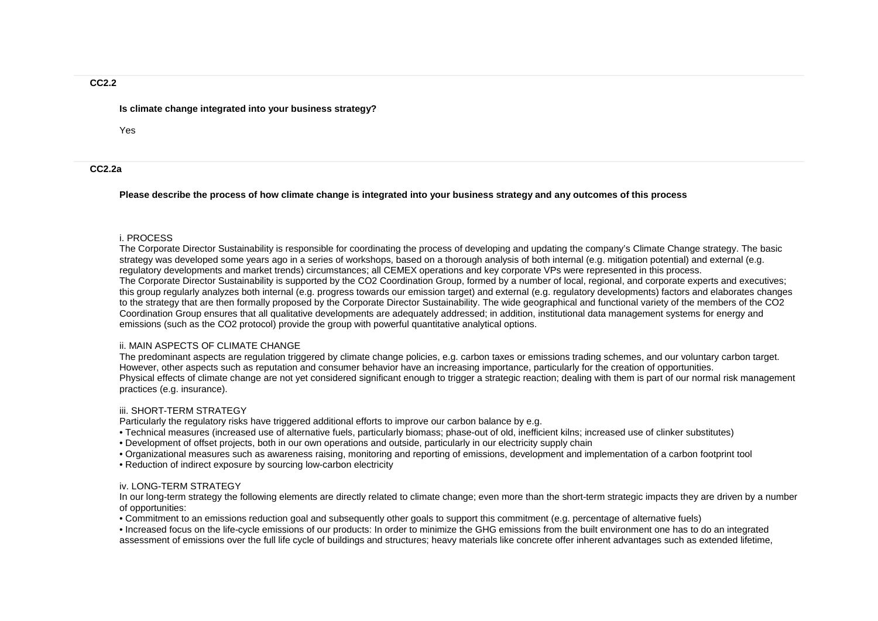### **Is climate change integrated into your business strategy?**

Yes

## **CC2.2a**

**Please describe the process of how climate change is integrated into your business strategy and any outcomes of this process**

### i. PROCESS

The Corporate Director Sustainability is responsible for coordinating the process of developing and updating the company's Climate Change strategy. The basic strategy was developed some years ago in a series of workshops, based on a thorough analysis of both internal (e.g. mitigation potential) and external (e.g. regulatory developments and market trends) circumstances; all CEMEX operations and key corporate VPs were represented in this process. The Corporate Director Sustainability is supported by the CO2 Coordination Group, formed by a number of local, regional, and corporate experts and executives; this group regularly analyzes both internal (e.g. progress towards our emission target) and external (e.g. regulatory developments) factors and elaborates changes to the strategy that are then formally proposed by the Corporate Director Sustainability. The wide geographical and functional variety of the members of the CO2 Coordination Group ensures that all qualitative developments are adequately addressed; in addition, institutional data management systems for energy and emissions (such as the CO2 protocol) provide the group with powerful quantitative analytical options.

### ii. MAIN ASPECTS OF CLIMATE CHANGE

The predominant aspects are regulation triggered by climate change policies, e.g. carbon taxes or emissions trading schemes, and our voluntary carbon target. However, other aspects such as reputation and consumer behavior have an increasing importance, particularly for the creation of opportunities. Physical effects of climate change are not yet considered significant enough to trigger a strategic reaction; dealing with them is part of our normal risk management practices (e.g. insurance).

## iii. SHORT-TERM STRATEGY

Particularly the regulatory risks have triggered additional efforts to improve our carbon balance by e.g.

- Technical measures (increased use of alternative fuels, particularly biomass; phase-out of old, inefficient kilns; increased use of clinker substitutes)
- Development of offset projects, both in our own operations and outside, particularly in our electricity supply chain
- Organizational measures such as awareness raising, monitoring and reporting of emissions, development and implementation of a carbon footprint tool
- Reduction of indirect exposure by sourcing low-carbon electricity

## iv. LONG-TERM STRATEGY

In our long-term strategy the following elements are directly related to climate change; even more than the short-term strategic impacts they are driven by a number of opportunities:

• Commitment to an emissions reduction goal and subsequently other goals to support this commitment (e.g. percentage of alternative fuels)

• Increased focus on the life-cycle emissions of our products: In order to minimize the GHG emissions from the built environment one has to do an integrated assessment of emissions over the full life cycle of buildings and structures; heavy materials like concrete offer inherent advantages such as extended lifetime,

### **CC2.2**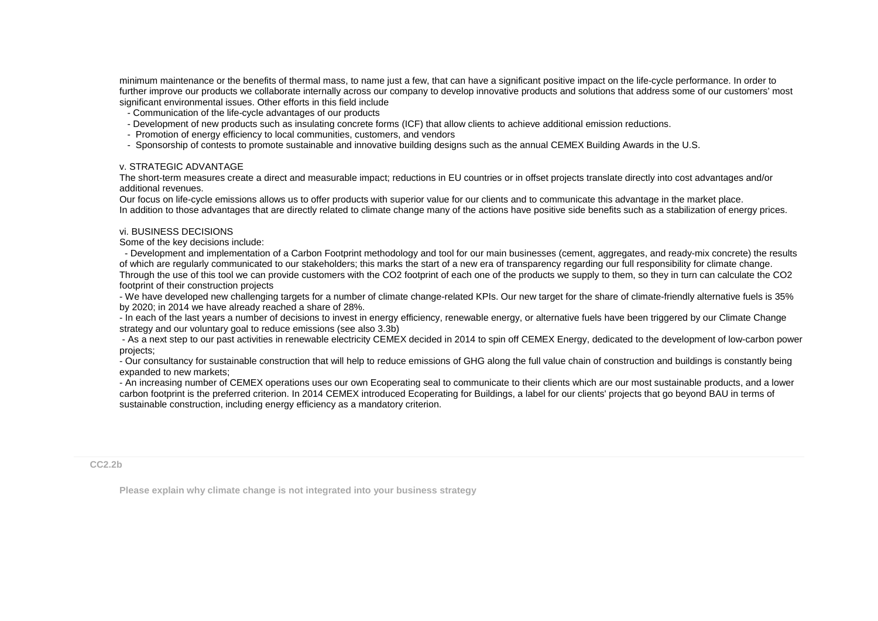minimum maintenance or the benefits of thermal mass, to name just a few, that can have a significant positive impact on the life-cycle performance. In order to further improve our products we collaborate internally across our company to develop innovative products and solutions that address some of our customers' most significant environmental issues. Other efforts in this field include

- Communication of the life-cycle advantages of our products
- Development of new products such as insulating concrete forms (ICF) that allow clients to achieve additional emission reductions.
- Promotion of energy efficiency to local communities, customers, and vendors
- Sponsorship of contests to promote sustainable and innovative building designs such as the annual CEMEX Building Awards in the U.S.

### v. STRATEGIC ADVANTAGE

The short-term measures create a direct and measurable impact; reductions in EU countries or in offset projects translate directly into cost advantages and/or additional revenues.

Our focus on life-cycle emissions allows us to offer products with superior value for our clients and to communicate this advantage in the market place. In addition to those advantages that are directly related to climate change many of the actions have positive side benefits such as a stabilization of energy prices.

### vi. BUSINESS DECISIONS

Some of the key decisions include:

 - Development and implementation of a Carbon Footprint methodology and tool for our main businesses (cement, aggregates, and ready-mix concrete) the results of which are regularly communicated to our stakeholders; this marks the start of a new era of transparency regarding our full responsibility for climate change. Through the use of this tool we can provide customers with the CO2 footprint of each one of the products we supply to them, so they in turn can calculate the CO2 footprint of their construction projects

- We have developed new challenging targets for a number of climate change-related KPIs. Our new target for the share of climate-friendly alternative fuels is 35% by 2020; in 2014 we have already reached a share of 28%.

- In each of the last years a number of decisions to invest in energy efficiency, renewable energy, or alternative fuels have been triggered by our Climate Change strategy and our voluntary goal to reduce emissions (see also 3.3b)

- As a next step to our past activities in renewable electricity CEMEX decided in 2014 to spin off CEMEX Energy, dedicated to the development of low-carbon power projects;

- Our consultancy for sustainable construction that will help to reduce emissions of GHG along the full value chain of construction and buildings is constantly being expanded to new markets;

- An increasing number of CEMEX operations uses our own Ecoperating seal to communicate to their clients which are our most sustainable products, and a lower carbon footprint is the preferred criterion. In 2014 CEMEX introduced Ecoperating for Buildings, a label for our clients' projects that go beyond BAU in terms of sustainable construction, including energy efficiency as a mandatory criterion.

**CC2.2b**

**Please explain why climate change is not integrated into your business strategy**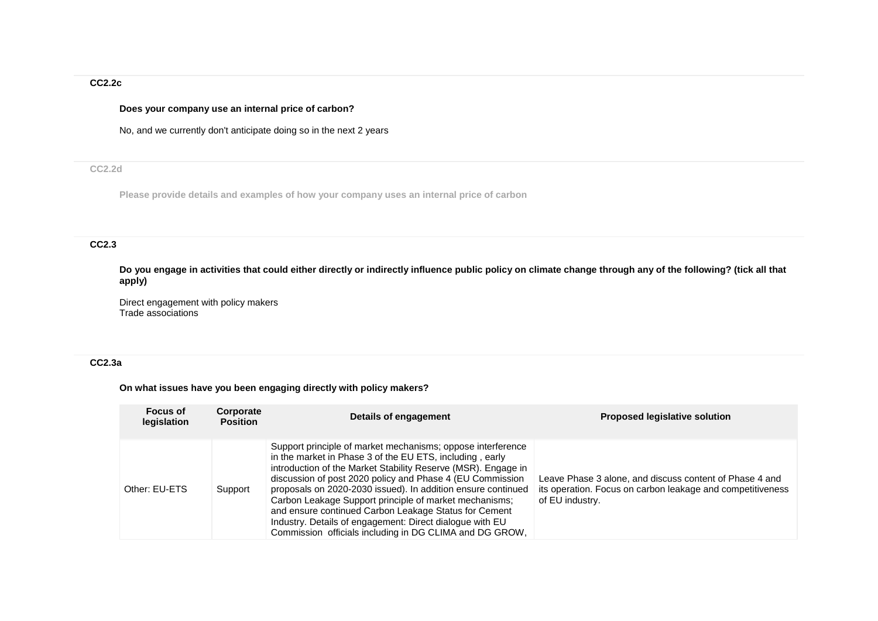# **CC2.2c**

## **Does your company use an internal price of carbon?**

No, and we currently don't anticipate doing so in the next 2 years

# **CC2.2d**

**Please provide details and examples of how your company uses an internal price of carbon**

# **CC2.3**

**Do you engage in activities that could either directly or indirectly influence public policy on climate change through any of the following? (tick all that apply)**

Direct engagement with policy makers Trade associations

# **CC2.3a**

# **On what issues have you been engaging directly with policy makers?**

| <b>Focus of</b><br>legislation | Corporate<br><b>Position</b> | Details of engagement                                                                                                                                                                                                                                                                                                                                                                                                                                                                                                                                           | <b>Proposed legislative solution</b>                                                                                                     |
|--------------------------------|------------------------------|-----------------------------------------------------------------------------------------------------------------------------------------------------------------------------------------------------------------------------------------------------------------------------------------------------------------------------------------------------------------------------------------------------------------------------------------------------------------------------------------------------------------------------------------------------------------|------------------------------------------------------------------------------------------------------------------------------------------|
| Other: EU-ETS                  | Support                      | Support principle of market mechanisms; oppose interference<br>in the market in Phase 3 of the EU ETS, including, early<br>introduction of the Market Stability Reserve (MSR). Engage in<br>discussion of post 2020 policy and Phase 4 (EU Commission<br>proposals on 2020-2030 issued). In addition ensure continued<br>Carbon Leakage Support principle of market mechanisms;<br>and ensure continued Carbon Leakage Status for Cement<br>Industry. Details of engagement: Direct dialogue with EU<br>Commission officials including in DG CLIMA and DG GROW. | Leave Phase 3 alone, and discuss content of Phase 4 and<br>its operation. Focus on carbon leakage and competitiveness<br>of EU industry. |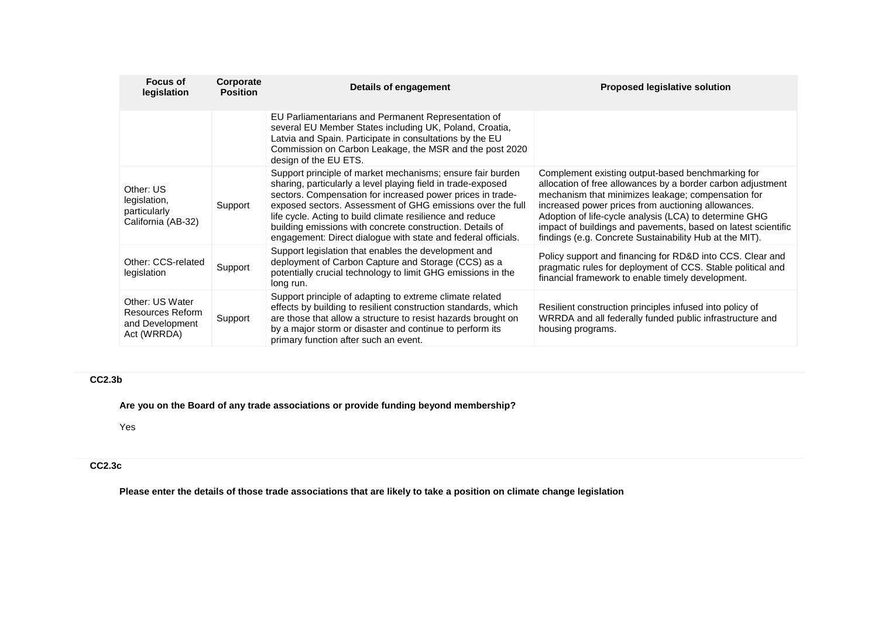| Focus of<br>legislation                                               | Corporate<br><b>Position</b> | Details of engagement                                                                                                                                                                                                                                                                                                                                                                                                                             | <b>Proposed legislative solution</b>                                                                                                                                                                                                                                                                                                                                                                               |
|-----------------------------------------------------------------------|------------------------------|---------------------------------------------------------------------------------------------------------------------------------------------------------------------------------------------------------------------------------------------------------------------------------------------------------------------------------------------------------------------------------------------------------------------------------------------------|--------------------------------------------------------------------------------------------------------------------------------------------------------------------------------------------------------------------------------------------------------------------------------------------------------------------------------------------------------------------------------------------------------------------|
|                                                                       |                              | EU Parliamentarians and Permanent Representation of<br>several EU Member States including UK, Poland, Croatia,<br>Latvia and Spain. Participate in consultations by the EU<br>Commission on Carbon Leakage, the MSR and the post 2020<br>design of the EU ETS.                                                                                                                                                                                    |                                                                                                                                                                                                                                                                                                                                                                                                                    |
| Other: US<br>legislation,<br>particularly<br>California (AB-32)       | Support                      | Support principle of market mechanisms; ensure fair burden<br>sharing, particularly a level playing field in trade-exposed<br>sectors. Compensation for increased power prices in trade-<br>exposed sectors. Assessment of GHG emissions over the full<br>life cycle. Acting to build climate resilience and reduce<br>building emissions with concrete construction. Details of<br>engagement: Direct dialogue with state and federal officials. | Complement existing output-based benchmarking for<br>allocation of free allowances by a border carbon adjustment<br>mechanism that minimizes leakage; compensation for<br>increased power prices from auctioning allowances.<br>Adoption of life-cycle analysis (LCA) to determine GHG<br>impact of buildings and pavements, based on latest scientific<br>findings (e.g. Concrete Sustainability Hub at the MIT). |
| Other: CCS-related<br>legislation                                     | Support                      | Support legislation that enables the development and<br>deployment of Carbon Capture and Storage (CCS) as a<br>potentially crucial technology to limit GHG emissions in the<br>long run.                                                                                                                                                                                                                                                          | Policy support and financing for RD&D into CCS. Clear and<br>pragmatic rules for deployment of CCS. Stable political and<br>financial framework to enable timely development.                                                                                                                                                                                                                                      |
| Other: US Water<br>Resources Reform<br>and Development<br>Act (WRRDA) | Support                      | Support principle of adapting to extreme climate related<br>effects by building to resilient construction standards, which<br>are those that allow a structure to resist hazards brought on<br>by a major storm or disaster and continue to perform its<br>primary function after such an event.                                                                                                                                                  | Resilient construction principles infused into policy of<br>WRRDA and all federally funded public infrastructure and<br>housing programs.                                                                                                                                                                                                                                                                          |

# **CC2.3b**

**Are you on the Board of any trade associations or provide funding beyond membership?**

Yes

# **CC2.3c**

**Please enter the details of those trade associations that are likely to take a position on climate change legislation**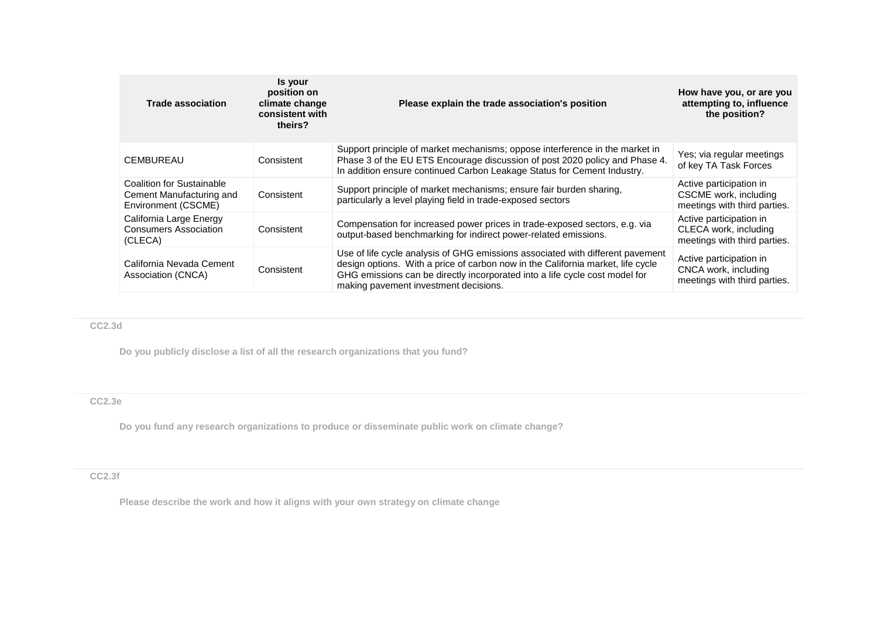| <b>Trade association</b>                                                     | Is your<br>position on<br>climate change<br>consistent with<br>theirs? | Please explain the trade association's position                                                                                                                                                                                                                                           | How have you, or are you<br>attempting to, influence<br>the position?            |
|------------------------------------------------------------------------------|------------------------------------------------------------------------|-------------------------------------------------------------------------------------------------------------------------------------------------------------------------------------------------------------------------------------------------------------------------------------------|----------------------------------------------------------------------------------|
| <b>CEMBUREAU</b>                                                             | Consistent                                                             | Support principle of market mechanisms; oppose interference in the market in<br>Phase 3 of the EU ETS Encourage discussion of post 2020 policy and Phase 4.<br>In addition ensure continued Carbon Leakage Status for Cement Industry.                                                    | Yes; via regular meetings<br>of key TA Task Forces                               |
| Coalition for Sustainable<br>Cement Manufacturing and<br>Environment (CSCME) | Consistent                                                             | Support principle of market mechanisms; ensure fair burden sharing,<br>particularly a level playing field in trade-exposed sectors                                                                                                                                                        | Active participation in<br>CSCME work, including<br>meetings with third parties. |
| California Large Energy<br><b>Consumers Association</b><br>(CLECA)           | Consistent                                                             | Compensation for increased power prices in trade-exposed sectors, e.g. via<br>output-based benchmarking for indirect power-related emissions.                                                                                                                                             | Active participation in<br>CLECA work, including<br>meetings with third parties. |
| California Nevada Cement<br>Association (CNCA)                               | Consistent                                                             | Use of life cycle analysis of GHG emissions associated with different pavement<br>design options. With a price of carbon now in the California market, life cycle<br>GHG emissions can be directly incorporated into a life cycle cost model for<br>making pavement investment decisions. | Active participation in<br>CNCA work, including<br>meetings with third parties.  |

# **CC2.3d**

**Do you publicly disclose a list of all the research organizations that you fund?**

# **CC2.3e**

**Do you fund any research organizations to produce or disseminate public work on climate change?**

# **CC2.3f**

**Please describe the work and how it aligns with your own strategy on climate change**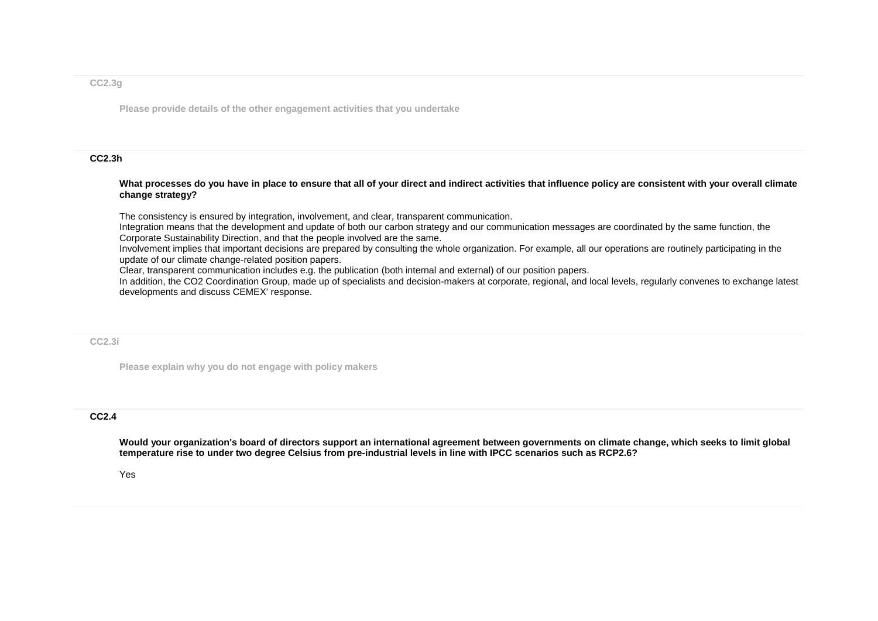### **CC2.3g**

**Please provide details of the other engagement activities that you undertake**

### **CC2.3h**

#### What processes do you have in place to ensure that all of your direct and indirect activities that influence policy are consistent with your overall climate **change strategy?**

The consistency is ensured by integration, involvement, and clear, transparent communication.

Integration means that the development and update of both our carbon strategy and our communication messages are coordinated by the same function, the Corporate Sustainability Direction, and that the people involved are the same.

Involvement implies that important decisions are prepared by consulting the whole organization. For example, all our operations are routinely participating in the update of our climate change-related position papers.

Clear, transparent communication includes e.g. the publication (both internal and external) of our position papers.

In addition, the CO2 Coordination Group, made up of specialists and decision-makers at corporate, regional, and local levels, regularly convenes to exchange latest developments and discuss CEMEX' response.

### **CC2.3i**

**Please explain why you do not engage with policy makers**

## **CC2.4**

**Would your organization's board of directors support an international agreement between governments on climate change, which seeks to limit global temperature rise to under two degree Celsius from pre-industrial levels in line with IPCC scenarios such as RCP2.6?**

### Yes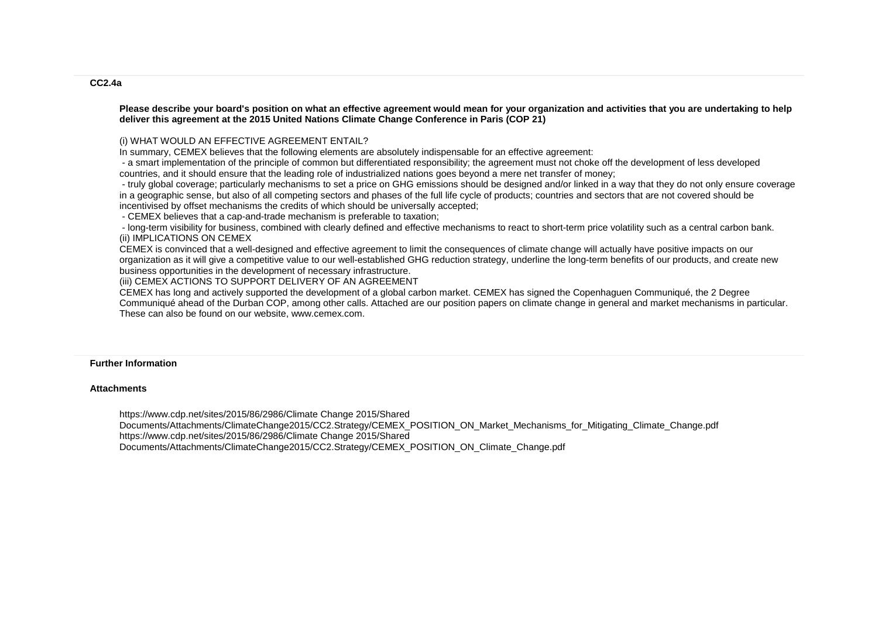#### **Please describe your board's position on what an effective agreement would mean for your organization and activities that you are undertaking to help deliver this agreement at the 2015 United Nations Climate Change Conference in Paris (COP 21)**

### (i) WHAT WOULD AN EFFECTIVE AGREEMENT ENTAIL?

In summary, CEMEX believes that the following elements are absolutely indispensable for an effective agreement:

- a smart implementation of the principle of common but differentiated responsibility; the agreement must not choke off the development of less developed countries, and it should ensure that the leading role of industrialized nations goes beyond a mere net transfer of money;

- truly global coverage; particularly mechanisms to set a price on GHG emissions should be designed and/or linked in a way that they do not only ensure coverage in a geographic sense, but also of all competing sectors and phases of the full life cycle of products; countries and sectors that are not covered should be incentivised by offset mechanisms the credits of which should be universally accepted;

- CEMEX believes that a cap-and-trade mechanism is preferable to taxation;

- long-term visibility for business, combined with clearly defined and effective mechanisms to react to short-term price volatility such as a central carbon bank. (ii) IMPLICATIONS ON CEMEX

CEMEX is convinced that a well-designed and effective agreement to limit the consequences of climate change will actually have positive impacts on our organization as it will give a competitive value to our well-established GHG reduction strategy, underline the long-term benefits of our products, and create new business opportunities in the development of necessary infrastructure.

(iii) CEMEX ACTIONS TO SUPPORT DELIVERY OF AN AGREEMENT

CEMEX has long and actively supported the development of a global carbon market. CEMEX has signed the Copenhaguen Communiqué, the 2 Degree Communiqué ahead of the Durban COP, among other calls. Attached are our position papers on climate change in general and market mechanisms in particular. These can also be found on our website, www.cemex.com.

### **Further Information**

### **Attachments**

https://www.cdp.net/sites/2015/86/2986/Climate Change 2015/Shared Documents/Attachments/ClimateChange2015/CC2.Strategy/CEMEX\_POSITION\_ON\_Market\_Mechanisms\_for\_Mitigating\_Climate\_Change.pdf https://www.cdp.net/sites/2015/86/2986/Climate Change 2015/Shared Documents/Attachments/ClimateChange2015/CC2.Strategy/CEMEX\_POSITION\_ON\_Climate\_Change.pdf

### **CC2.4a**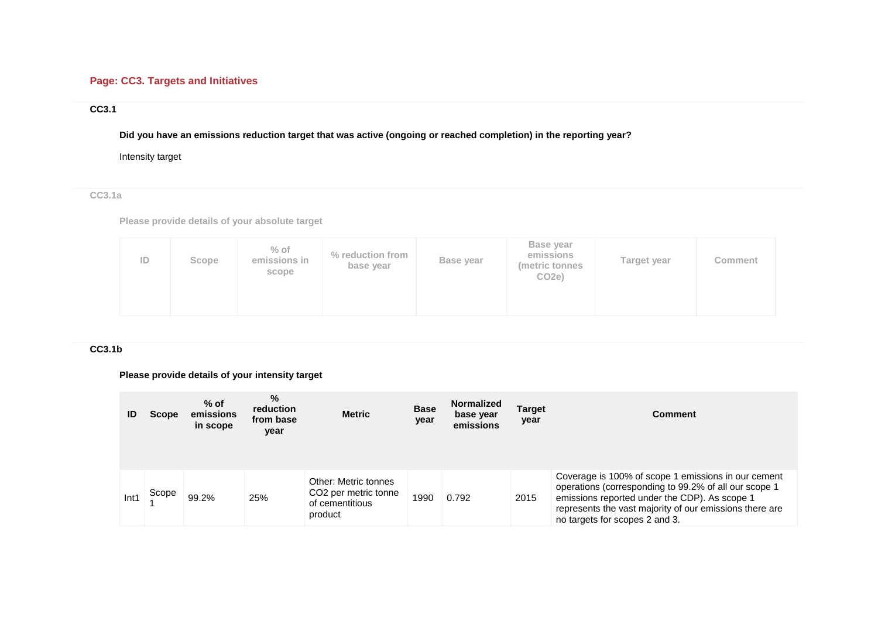# **Page: CC3. Targets and Initiatives**

# **CC3.1**

**Did you have an emissions reduction target that was active (ongoing or reached completion) in the reporting year?**

Intensity target

**CC3.1a**

**Please provide details of your absolute target**

| ID<br>Scope | $%$ of<br>emissions in<br>scope | % reduction from<br>base year | Base year | <b>Base year</b><br>emissions<br>(metric tonnes<br>CO <sub>2</sub> e) | Target year | Comment |
|-------------|---------------------------------|-------------------------------|-----------|-----------------------------------------------------------------------|-------------|---------|
|-------------|---------------------------------|-------------------------------|-----------|-----------------------------------------------------------------------|-------------|---------|

## **CC3.1b**

# **Please provide details of your intensity target**

| ID   | <b>Scope</b> | $%$ of<br>emissions<br>in scope | $\%$<br>reduction<br>from base<br>year | <b>Metric</b>                                                                          | <b>Base</b><br>year | <b>Normalized</b><br>base year<br>emissions | Target<br>year | Comment                                                                                                                                                                                                                                                    |
|------|--------------|---------------------------------|----------------------------------------|----------------------------------------------------------------------------------------|---------------------|---------------------------------------------|----------------|------------------------------------------------------------------------------------------------------------------------------------------------------------------------------------------------------------------------------------------------------------|
| Int1 | Scope        | 99.2%                           | 25%                                    | Other: Metric tonnes<br>CO <sub>2</sub> per metric tonne<br>of cementitious<br>product | 1990                | 0.792                                       | 2015           | Coverage is 100% of scope 1 emissions in our cement<br>operations (corresponding to 99.2% of all our scope 1<br>emissions reported under the CDP). As scope 1<br>represents the vast majority of our emissions there are<br>no targets for scopes 2 and 3. |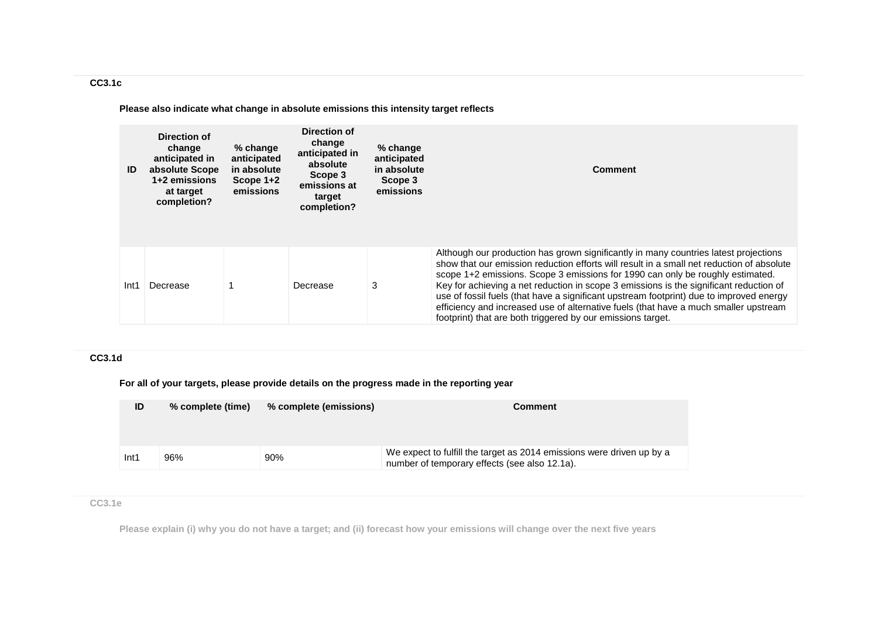**Please also indicate what change in absolute emissions this intensity target reflects**

| ID   | Direction of<br>change<br>anticipated in<br>absolute Scope<br>1+2 emissions<br>at target<br>completion? | $%$ change<br>anticipated<br>in absolute<br>Scope 1+2<br>emissions | Direction of<br>change<br>anticipated in<br>absolute<br>Scope 3<br>emissions at<br>target<br>completion? | % change<br>anticipated<br>in absolute<br>Scope 3<br>emissions | <b>Comment</b>                                                                                                                                                                                                                                                                                                                                                                                                                                                                                                                                                                                                  |
|------|---------------------------------------------------------------------------------------------------------|--------------------------------------------------------------------|----------------------------------------------------------------------------------------------------------|----------------------------------------------------------------|-----------------------------------------------------------------------------------------------------------------------------------------------------------------------------------------------------------------------------------------------------------------------------------------------------------------------------------------------------------------------------------------------------------------------------------------------------------------------------------------------------------------------------------------------------------------------------------------------------------------|
| Int1 | Decrease                                                                                                |                                                                    | Decrease                                                                                                 | 3                                                              | Although our production has grown significantly in many countries latest projections<br>show that our emission reduction efforts will result in a small net reduction of absolute<br>scope 1+2 emissions. Scope 3 emissions for 1990 can only be roughly estimated.<br>Key for achieving a net reduction in scope 3 emissions is the significant reduction of<br>use of fossil fuels (that have a significant upstream footprint) due to improved energy<br>efficiency and increased use of alternative fuels (that have a much smaller upstream<br>footprint) that are both triggered by our emissions target. |

# **CC3.1d**

**For all of your targets, please provide details on the progress made in the reporting year**

| ID               | % complete (time) | % complete (emissions) | Comment                                                                                                                |
|------------------|-------------------|------------------------|------------------------------------------------------------------------------------------------------------------------|
| Int <sub>1</sub> | 96%               | 90%                    | We expect to fulfill the target as 2014 emissions were driven up by a<br>number of temporary effects (see also 12.1a). |

# **CC3.1e**

**Please explain (i) why you do not have a target; and (ii) forecast how your emissions will change over the next five years**

# **CC3.1c**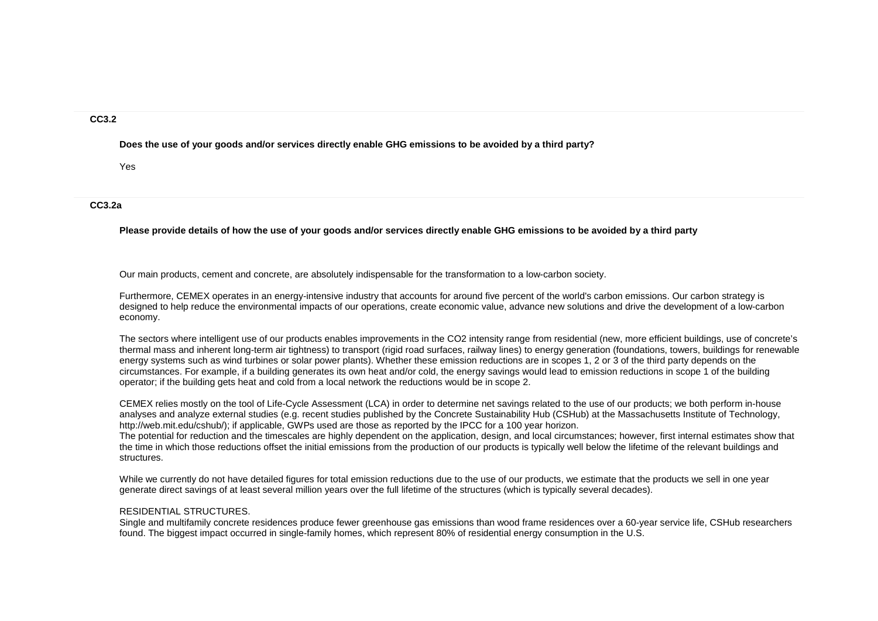## **CC3.2**

**Does the use of your goods and/or services directly enable GHG emissions to be avoided by a third party?**

Yes

**CC3.2a**

**Please provide details of how the use of your goods and/or services directly enable GHG emissions to be avoided by a third party**

Our main products, cement and concrete, are absolutely indispensable for the transformation to a low-carbon society.

Furthermore, CEMEX operates in an energy-intensive industry that accounts for around five percent of the world's carbon emissions. Our carbon strategy is designed to help reduce the environmental impacts of our operations, create economic value, advance new solutions and drive the development of a low-carbon economy.

The sectors where intelligent use of our products enables improvements in the CO2 intensity range from residential (new, more efficient buildings, use of concrete's thermal mass and inherent long-term air tightness) to transport (rigid road surfaces, railway lines) to energy generation (foundations, towers, buildings for renewable energy systems such as wind turbines or solar power plants). Whether these emission reductions are in scopes 1, 2 or 3 of the third party depends on the circumstances. For example, if a building generates its own heat and/or cold, the energy savings would lead to emission reductions in scope 1 of the building operator; if the building gets heat and cold from a local network the reductions would be in scope 2.

CEMEX relies mostly on the tool of Life-Cycle Assessment (LCA) in order to determine net savings related to the use of our products; we both perform in-house analyses and analyze external studies (e.g. recent studies published by the Concrete Sustainability Hub (CSHub) at the Massachusetts Institute of Technology, http://web.mit.edu/cshub/); if applicable, GWPs used are those as reported by the IPCC for a 100 year horizon.

The potential for reduction and the timescales are highly dependent on the application, design, and local circumstances; however, first internal estimates show that the time in which those reductions offset the initial emissions from the production of our products is typically well below the lifetime of the relevant buildings and structures.

While we currently do not have detailed figures for total emission reductions due to the use of our products, we estimate that the products we sell in one year generate direct savings of at least several million years over the full lifetime of the structures (which is typically several decades).

### RESIDENTIAL STRUCTURES.

Single and multifamily concrete residences produce fewer greenhouse gas emissions than wood frame residences over a 60-year service life, CSHub researchers found. The biggest impact occurred in single-family homes, which represent 80% of residential energy consumption in the U.S.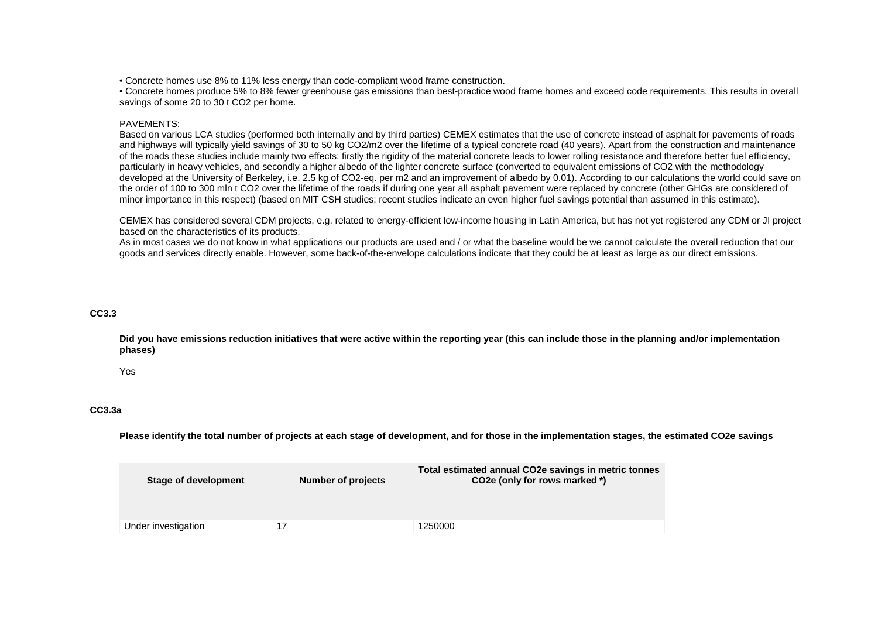• Concrete homes use 8% to 11% less energy than code-compliant wood frame construction.

• Concrete homes produce 5% to 8% fewer greenhouse gas emissions than best-practice wood frame homes and exceed code requirements. This results in overall savings of some 20 to 30 t CO2 per home.

### PAVEMENTS:

Based on various LCA studies (performed both internally and by third parties) CEMEX estimates that the use of concrete instead of asphalt for pavements of roads and highways will typically yield savings of 30 to 50 kg CO2/m2 over the lifetime of a typical concrete road (40 years). Apart from the construction and maintenance of the roads these studies include mainly two effects: firstly the rigidity of the material concrete leads to lower rolling resistance and therefore better fuel efficiency, particularly in heavy vehicles, and secondly a higher albedo of the lighter concrete surface (converted to equivalent emissions of CO2 with the methodology developed at the University of Berkeley, i.e. 2.5 kg of CO2-eq. per m2 and an improvement of albedo by 0.01). According to our calculations the world could save on the order of 100 to 300 mln t CO2 over the lifetime of the roads if during one year all asphalt pavement were replaced by concrete (other GHGs are considered of minor importance in this respect) (based on MIT CSH studies; recent studies indicate an even higher fuel savings potential than assumed in this estimate).

CEMEX has considered several CDM projects, e.g. related to energy-efficient low-income housing in Latin America, but has not yet registered any CDM or JI project based on the characteristics of its products.

As in most cases we do not know in what applications our products are used and / or what the baseline would be we cannot calculate the overall reduction that our goods and services directly enable. However, some back-of-the-envelope calculations indicate that they could be at least as large as our direct emissions.

## **CC3.3**

**Did you have emissions reduction initiatives that were active within the reporting year (this can include those in the planning and/or implementation phases)**

Yes

## **CC3.3a**

**Please identify the total number of projects at each stage of development, and for those in the implementation stages, the estimated CO2e savings**

| Stage of development | Number of projects | Total estimated annual CO2e savings in metric tonnes<br>CO2e (only for rows marked *) |
|----------------------|--------------------|---------------------------------------------------------------------------------------|
| Under investigation  | 17                 | 1250000                                                                               |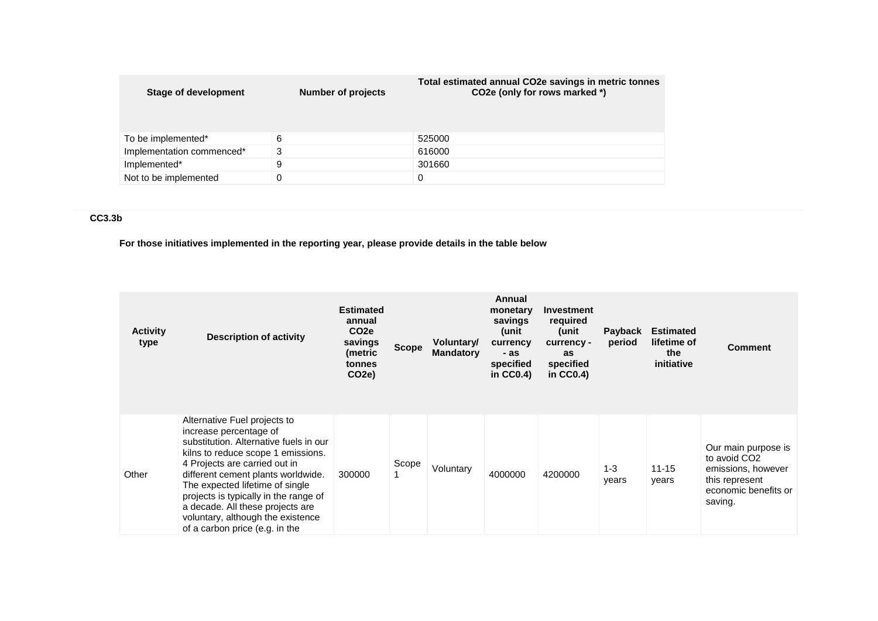| Stage of development      | Number of projects | Total estimated annual CO2e savings in metric tonnes<br>CO2e (only for rows marked *) |
|---------------------------|--------------------|---------------------------------------------------------------------------------------|
| To be implemented*        | 6                  | 525000                                                                                |
| Implementation commenced* | 3                  | 616000                                                                                |
| Implemented*              | 9                  | 301660                                                                                |
| Not to be implemented     |                    |                                                                                       |

# **CC3.3b**

**For those initiatives implemented in the reporting year, please provide details in the table below**

| <b>Activity</b><br>type | <b>Description of activity</b>                                                                                                                                                                                                                                                                                                                                                                       | <b>Estimated</b><br>annual<br>CO <sub>2e</sub><br>savings<br>(metric<br>tonnes<br>CO <sub>2</sub> e) | <b>Scope</b> | Voluntary/<br><b>Mandatory</b> | Annual<br>monetary<br>savings<br>(unit<br>currency<br>- as<br>specified<br>in $CC0.4$ ) | <b>Investment</b><br>required<br>unit)<br>currency -<br>as<br>specified<br>in $CC0.4$ ) | Payback<br>period | <b>Estimated</b><br>lifetime of<br>the<br>initiative | <b>Comment</b>                                                                                                             |
|-------------------------|------------------------------------------------------------------------------------------------------------------------------------------------------------------------------------------------------------------------------------------------------------------------------------------------------------------------------------------------------------------------------------------------------|------------------------------------------------------------------------------------------------------|--------------|--------------------------------|-----------------------------------------------------------------------------------------|-----------------------------------------------------------------------------------------|-------------------|------------------------------------------------------|----------------------------------------------------------------------------------------------------------------------------|
| Other                   | Alternative Fuel projects to<br>increase percentage of<br>substitution. Alternative fuels in our<br>kilns to reduce scope 1 emissions.<br>4 Projects are carried out in<br>different cement plants worldwide.<br>The expected lifetime of single<br>projects is typically in the range of<br>a decade. All these projects are<br>voluntary, although the existence<br>of a carbon price (e.g. in the | 300000                                                                                               | Scope<br>1   | Voluntary                      | 4000000                                                                                 | 4200000                                                                                 | $1 - 3$<br>years  | $11 - 15$<br>years                                   | Our main purpose is<br>to avoid CO <sub>2</sub><br>emissions, however<br>this represent<br>economic benefits or<br>saving. |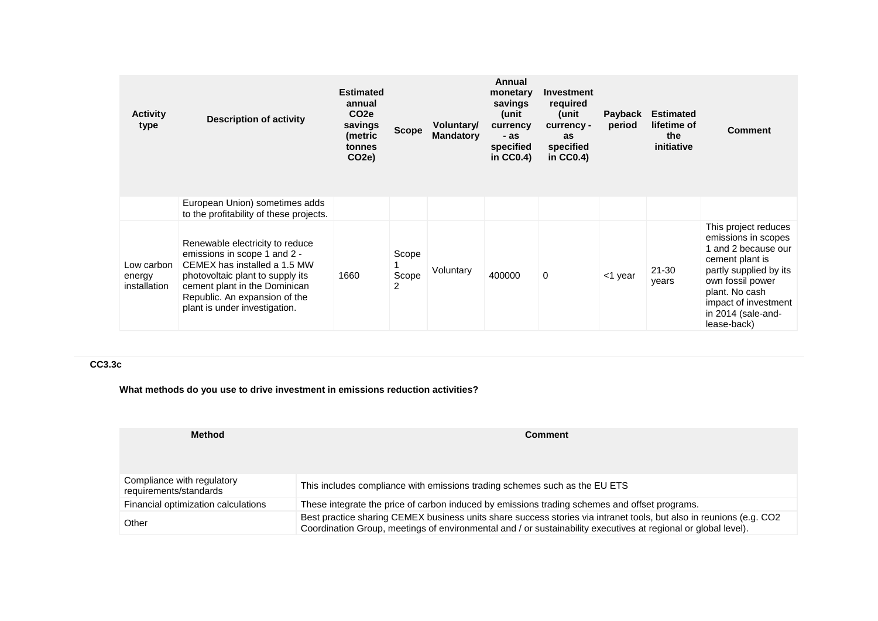| <b>Activity</b><br>type              | <b>Description of activity</b>                                                                                                                                                                                                         | <b>Estimated</b><br>annual<br>CO <sub>2</sub> e<br>savings<br>(metric<br>tonnes<br>CO2e) | <b>Scope</b>        | Voluntary/<br><b>Mandatory</b> | Annual<br>monetary<br>savings<br>(unit<br>currency<br>- as<br>specified<br>in $CC0.4$ ) | <b>Investment</b><br>required<br>unit)<br>currency -<br>as<br>specified<br>in $CC0.4$ ) | Payback<br>period | <b>Estimated</b><br>lifetime of<br>the<br>initiative | <b>Comment</b>                                                                                                                                                                                                   |
|--------------------------------------|----------------------------------------------------------------------------------------------------------------------------------------------------------------------------------------------------------------------------------------|------------------------------------------------------------------------------------------|---------------------|--------------------------------|-----------------------------------------------------------------------------------------|-----------------------------------------------------------------------------------------|-------------------|------------------------------------------------------|------------------------------------------------------------------------------------------------------------------------------------------------------------------------------------------------------------------|
|                                      | European Union) sometimes adds<br>to the profitability of these projects.                                                                                                                                                              |                                                                                          |                     |                                |                                                                                         |                                                                                         |                   |                                                      |                                                                                                                                                                                                                  |
| Low carbon<br>energy<br>installation | Renewable electricity to reduce<br>emissions in scope 1 and 2 -<br>CEMEX has installed a 1.5 MW<br>photovoltaic plant to supply its<br>cement plant in the Dominican<br>Republic. An expansion of the<br>plant is under investigation. | 1660                                                                                     | Scope<br>Scope<br>2 | Voluntary                      | 400000                                                                                  | $\Omega$                                                                                | <1 year           | $21 - 30$<br>years                                   | This project reduces<br>emissions in scopes<br>and 2 because our<br>cement plant is<br>partly supplied by its<br>own fossil power<br>plant. No cash<br>impact of investment<br>in 2014 (sale-and-<br>lease-back) |

# **CC3.3c**

**What methods do you use to drive investment in emissions reduction activities?**

| <b>Method</b>                                        | <b>Comment</b>                                                                                                                                                                                                                        |
|------------------------------------------------------|---------------------------------------------------------------------------------------------------------------------------------------------------------------------------------------------------------------------------------------|
| Compliance with regulatory<br>requirements/standards | This includes compliance with emissions trading schemes such as the EU ETS                                                                                                                                                            |
| Financial optimization calculations                  | These integrate the price of carbon induced by emissions trading schemes and offset programs.                                                                                                                                         |
| Other                                                | Best practice sharing CEMEX business units share success stories via intranet tools, but also in reunions (e.g. CO2<br>Coordination Group, meetings of environmental and / or sustainability executives at regional or global level). |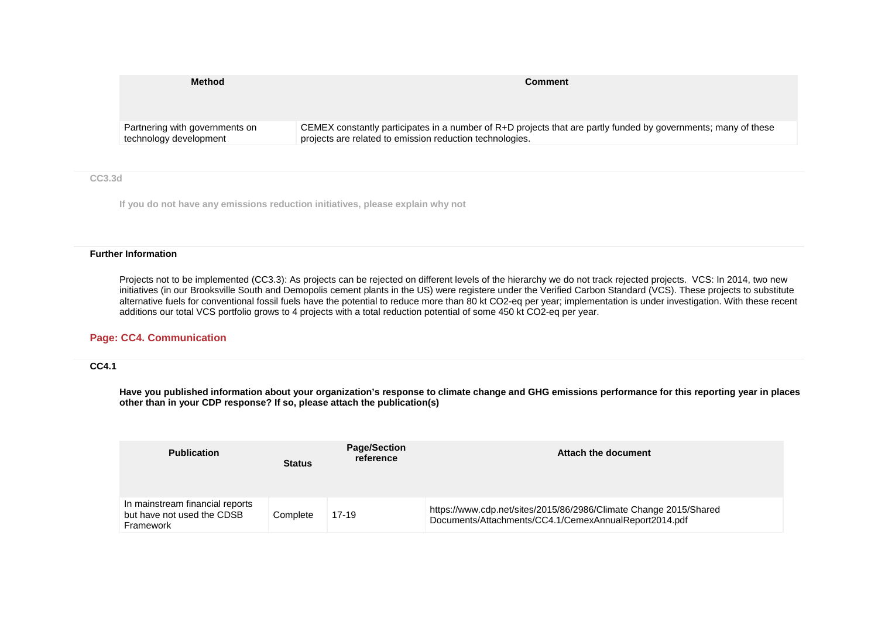| CEMEX constantly participates in a number of R+D projects that are partly funded by governments; many of these |
|----------------------------------------------------------------------------------------------------------------|
|                                                                                                                |

### **CC3.3d**

**If you do not have any emissions reduction initiatives, please explain why not**

### **Further Information**

Projects not to be implemented (CC3.3): As projects can be rejected on different levels of the hierarchy we do not track rejected projects. VCS: In 2014, two new initiatives (in our Brooksville South and Demopolis cement plants in the US) were registere under the Verified Carbon Standard (VCS). These projects to substitute alternative fuels for conventional fossil fuels have the potential to reduce more than 80 kt CO2-eq per year; implementation is under investigation. With these recent additions our total VCS portfolio grows to 4 projects with a total reduction potential of some 450 kt CO2-eq per year.

## **Page: CC4. Communication**

## **CC4.1**

**Have you published information about your organization's response to climate change and GHG emissions performance for this reporting year in places other than in your CDP response? If so, please attach the publication(s)**

| <b>Publication</b>                                                         | <b>Status</b> | <b>Page/Section</b><br>reference | Attach the document                                                                                                        |
|----------------------------------------------------------------------------|---------------|----------------------------------|----------------------------------------------------------------------------------------------------------------------------|
| In mainstream financial reports<br>but have not used the CDSB<br>Framework | Complete      | $17-19$                          | https://www.cdp.net/sites/2015/86/2986/Climate Change 2015/Shared<br>Documents/Attachments/CC4.1/CemexAnnualReport2014.pdf |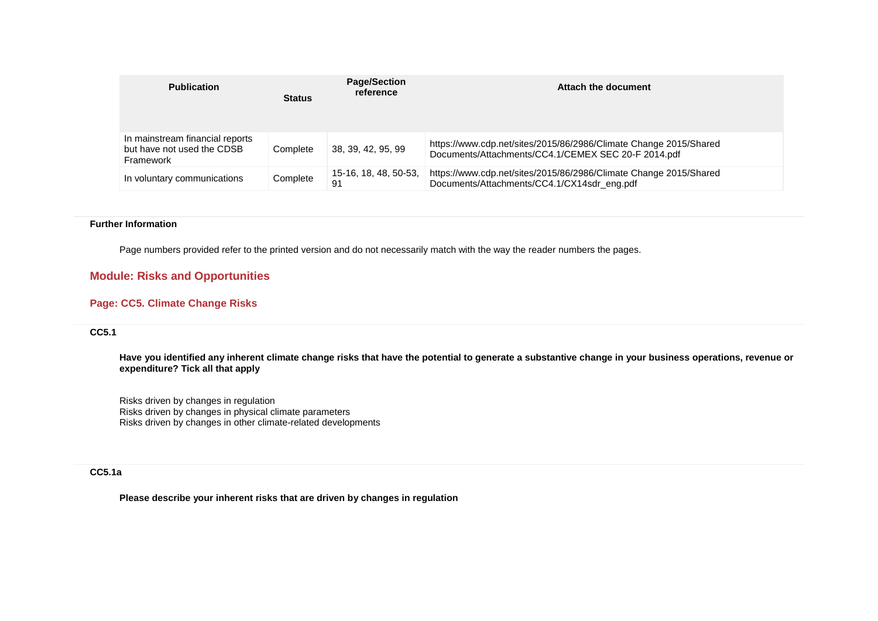| <b>Publication</b>                                                         | <b>Status</b> | <b>Page/Section</b><br>reference | Attach the document                                                                                                      |
|----------------------------------------------------------------------------|---------------|----------------------------------|--------------------------------------------------------------------------------------------------------------------------|
| In mainstream financial reports<br>but have not used the CDSB<br>Framework | Complete      | 38, 39, 42, 95, 99               | https://www.cdp.net/sites/2015/86/2986/Climate Change 2015/Shared<br>Documents/Attachments/CC4.1/CEMEX SEC 20-F 2014.pdf |
| In voluntary communications                                                | Complete      | 15-16, 18, 48, 50-53,<br>91      | https://www.cdp.net/sites/2015/86/2986/Climate Change 2015/Shared<br>Documents/Attachments/CC4.1/CX14sdr_eng.pdf         |

### **Further Information**

Page numbers provided refer to the printed version and do not necessarily match with the way the reader numbers the pages.

# **Module: Risks and Opportunities**

# **Page: CC5. Climate Change Risks**

# **CC5.1**

**Have you identified any inherent climate change risks that have the potential to generate a substantive change in your business operations, revenue or expenditure? Tick all that apply**

Risks driven by changes in regulation Risks driven by changes in physical climate parameters Risks driven by changes in other climate-related developments

# **CC5.1a**

**Please describe your inherent risks that are driven by changes in regulation**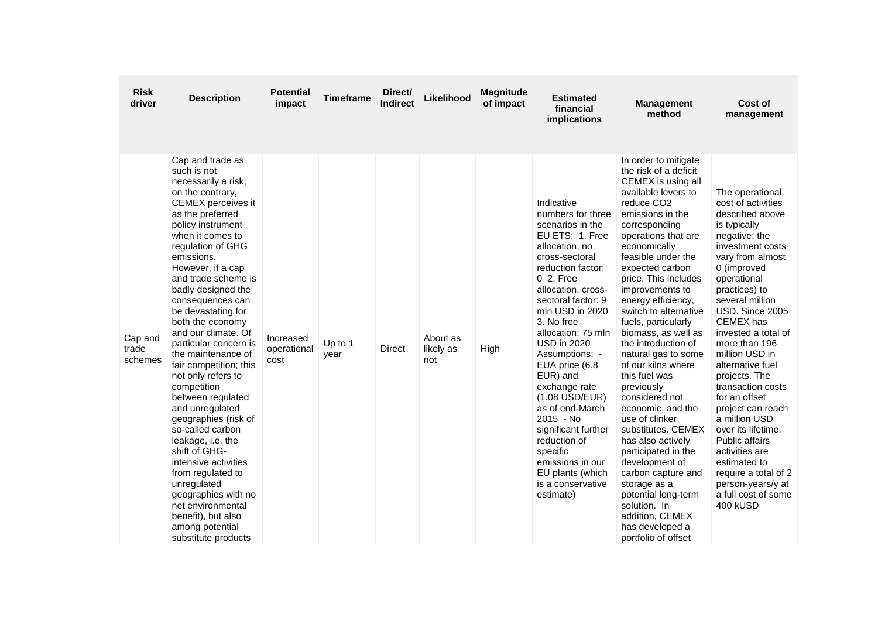| <b>Risk</b><br>driver       | <b>Description</b>                                                                                                                                                                                                                                                                                                                                                                                                                                                                                                                                                                                                                                                                                                                                                      | <b>Potential</b><br>impact       | <b>Timeframe</b> | Direct/<br><b>Indirect</b> | Likelihood                   | <b>Magnitude</b><br>of impact | <b>Estimated</b><br>financial<br>implications                                                                                                                                                                                                                                                                                                                                                                                                                                                                           | <b>Management</b><br>method                                                                                                                                                                                                                                                                                                                                                                                                                                                                                                                                                                                                                                                                                                                                                 | <b>Cost of</b><br>management                                                                                                                                                                                                                                                                                                                                                                                                                                                                                                                                                           |
|-----------------------------|-------------------------------------------------------------------------------------------------------------------------------------------------------------------------------------------------------------------------------------------------------------------------------------------------------------------------------------------------------------------------------------------------------------------------------------------------------------------------------------------------------------------------------------------------------------------------------------------------------------------------------------------------------------------------------------------------------------------------------------------------------------------------|----------------------------------|------------------|----------------------------|------------------------------|-------------------------------|-------------------------------------------------------------------------------------------------------------------------------------------------------------------------------------------------------------------------------------------------------------------------------------------------------------------------------------------------------------------------------------------------------------------------------------------------------------------------------------------------------------------------|-----------------------------------------------------------------------------------------------------------------------------------------------------------------------------------------------------------------------------------------------------------------------------------------------------------------------------------------------------------------------------------------------------------------------------------------------------------------------------------------------------------------------------------------------------------------------------------------------------------------------------------------------------------------------------------------------------------------------------------------------------------------------------|----------------------------------------------------------------------------------------------------------------------------------------------------------------------------------------------------------------------------------------------------------------------------------------------------------------------------------------------------------------------------------------------------------------------------------------------------------------------------------------------------------------------------------------------------------------------------------------|
| Cap and<br>trade<br>schemes | Cap and trade as<br>such is not<br>necessarily a risk;<br>on the contrary.<br>CEMEX perceives it<br>as the preferred<br>policy instrument<br>when it comes to<br>regulation of GHG<br>emissions.<br>However, if a cap<br>and trade scheme is<br>badly designed the<br>consequences can<br>be devastating for<br>both the economy<br>and our climate. Of<br>particular concern is<br>the maintenance of<br>fair competition; this<br>not only refers to<br>competition<br>between regulated<br>and unregulated<br>geographies (risk of<br>so-called carbon<br>leakage, i.e. the<br>shift of GHG-<br>intensive activities<br>from regulated to<br>unregulated<br>geographies with no<br>net environmental<br>benefit), but also<br>among potential<br>substitute products | Increased<br>operational<br>cost | Up to 1<br>vear  | Direct                     | About as<br>likely as<br>not | High                          | Indicative<br>numbers for three<br>scenarios in the<br>EU ETS: 1. Free<br>allocation, no<br>cross-sectoral<br>reduction factor:<br>0 2. Free<br>allocation, cross-<br>sectoral factor: 9<br>mln USD in 2020<br>3. No free<br>allocation: 75 mln<br><b>USD in 2020</b><br>Assumptions: -<br>EUA price (6.8<br>EUR) and<br>exchange rate<br>$(1.08$ USD/EUR)<br>as of end-March<br>2015 - No<br>significant further<br>reduction of<br>specific<br>emissions in our<br>EU plants (which<br>is a conservative<br>estimate) | In order to mitigate<br>the risk of a deficit<br>CEMEX is using all<br>available levers to<br>reduce CO <sub>2</sub><br>emissions in the<br>corresponding<br>operations that are<br>economically<br>feasible under the<br>expected carbon<br>price. This includes<br>improvements to<br>energy efficiency,<br>switch to alternative<br>fuels, particularly<br>biomass, as well as<br>the introduction of<br>natural gas to some<br>of our kilns where<br>this fuel was<br>previously<br>considered not<br>economic, and the<br>use of clinker<br>substitutes. CEMEX<br>has also actively<br>participated in the<br>development of<br>carbon capture and<br>storage as a<br>potential long-term<br>solution. In<br>addition, CEMEX<br>has developed a<br>portfolio of offset | The operational<br>cost of activities<br>described above<br>is typically<br>negative; the<br>investment costs<br>vary from almost<br>0 (improved<br>operational<br>practices) to<br>several million<br>USD. Since 2005<br><b>CEMEX</b> has<br>invested a total of<br>more than 196<br>million USD in<br>alternative fuel<br>projects. The<br>transaction costs<br>for an offset<br>project can reach<br>a million USD<br>over its lifetime.<br><b>Public affairs</b><br>activities are<br>estimated to<br>require a total of 2<br>person-years/y at<br>a full cost of some<br>400 kUSD |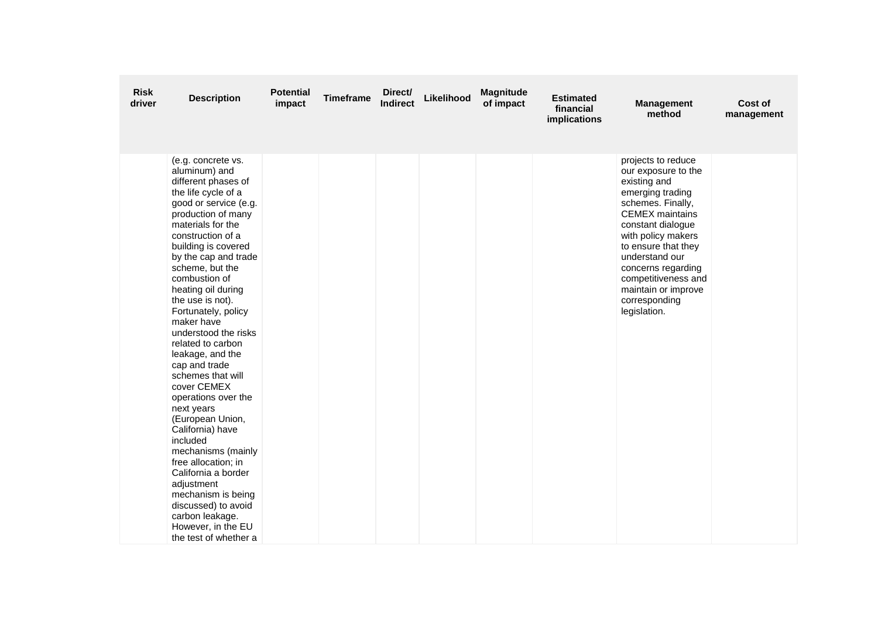| <b>Risk</b><br>driver | <b>Description</b>                                                                                                                                                                                                                                                                                                                                                                                                                                                                                                                                                                                                                                                                                                                                           | <b>Potential</b><br>impact | <b>Timeframe</b> | Direct/<br><b>Indirect</b> | Likelihood | <b>Magnitude</b><br>of impact | <b>Estimated</b><br>financial<br>implications | <b>Management</b><br>method                                                                                                                                                                                                                                                                                           | Cost of<br>management |
|-----------------------|--------------------------------------------------------------------------------------------------------------------------------------------------------------------------------------------------------------------------------------------------------------------------------------------------------------------------------------------------------------------------------------------------------------------------------------------------------------------------------------------------------------------------------------------------------------------------------------------------------------------------------------------------------------------------------------------------------------------------------------------------------------|----------------------------|------------------|----------------------------|------------|-------------------------------|-----------------------------------------------|-----------------------------------------------------------------------------------------------------------------------------------------------------------------------------------------------------------------------------------------------------------------------------------------------------------------------|-----------------------|
|                       | (e.g. concrete vs.<br>aluminum) and<br>different phases of<br>the life cycle of a<br>good or service (e.g.<br>production of many<br>materials for the<br>construction of a<br>building is covered<br>by the cap and trade<br>scheme, but the<br>combustion of<br>heating oil during<br>the use is not).<br>Fortunately, policy<br>maker have<br>understood the risks<br>related to carbon<br>leakage, and the<br>cap and trade<br>schemes that will<br>cover CEMEX<br>operations over the<br>next years<br>(European Union,<br>California) have<br>included<br>mechanisms (mainly<br>free allocation; in<br>California a border<br>adjustment<br>mechanism is being<br>discussed) to avoid<br>carbon leakage.<br>However, in the EU<br>the test of whether a |                            |                  |                            |            |                               |                                               | projects to reduce<br>our exposure to the<br>existing and<br>emerging trading<br>schemes. Finally,<br><b>CEMEX</b> maintains<br>constant dialogue<br>with policy makers<br>to ensure that they<br>understand our<br>concerns regarding<br>competitiveness and<br>maintain or improve<br>corresponding<br>legislation. |                       |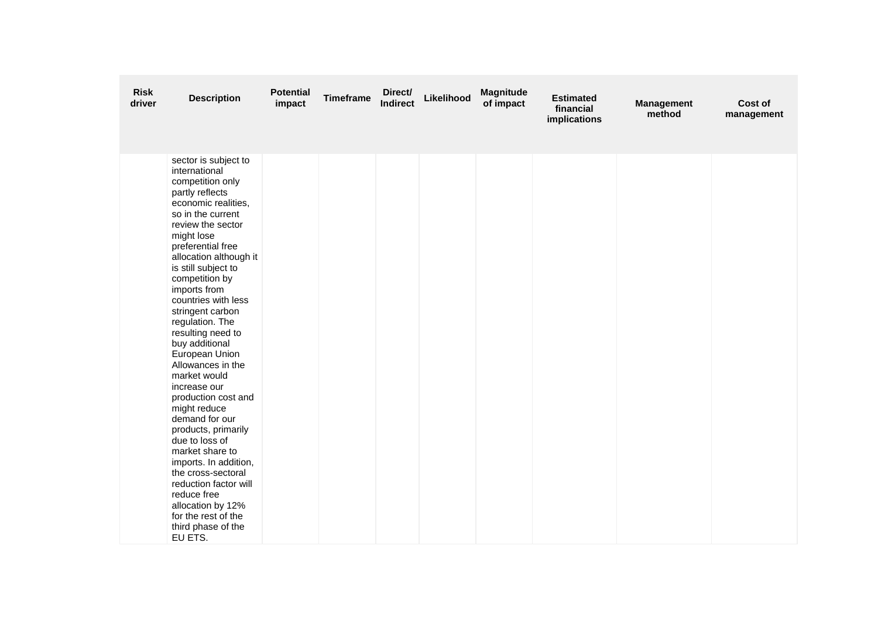| <b>Risk</b><br>driver | <b>Description</b>                                                                                                                                                                                                                                                                                                                                                                                                                                                                                                                                                                                                                                                                                                                       | <b>Potential</b><br>impact | <b>Timeframe</b> | Direct/<br><b>Indirect</b> | Likelihood | <b>Magnitude</b><br>of impact | <b>Estimated</b><br>financial<br>implications | <b>Management</b><br>method | Cost of<br>management |
|-----------------------|------------------------------------------------------------------------------------------------------------------------------------------------------------------------------------------------------------------------------------------------------------------------------------------------------------------------------------------------------------------------------------------------------------------------------------------------------------------------------------------------------------------------------------------------------------------------------------------------------------------------------------------------------------------------------------------------------------------------------------------|----------------------------|------------------|----------------------------|------------|-------------------------------|-----------------------------------------------|-----------------------------|-----------------------|
|                       | sector is subject to<br>international<br>competition only<br>partly reflects<br>economic realities,<br>so in the current<br>review the sector<br>might lose<br>preferential free<br>allocation although it<br>is still subject to<br>competition by<br>imports from<br>countries with less<br>stringent carbon<br>regulation. The<br>resulting need to<br>buy additional<br>European Union<br>Allowances in the<br>market would<br>increase our<br>production cost and<br>might reduce<br>demand for our<br>products, primarily<br>due to loss of<br>market share to<br>imports. In addition,<br>the cross-sectoral<br>reduction factor will<br>reduce free<br>allocation by 12%<br>for the rest of the<br>third phase of the<br>EU ETS. |                            |                  |                            |            |                               |                                               |                             |                       |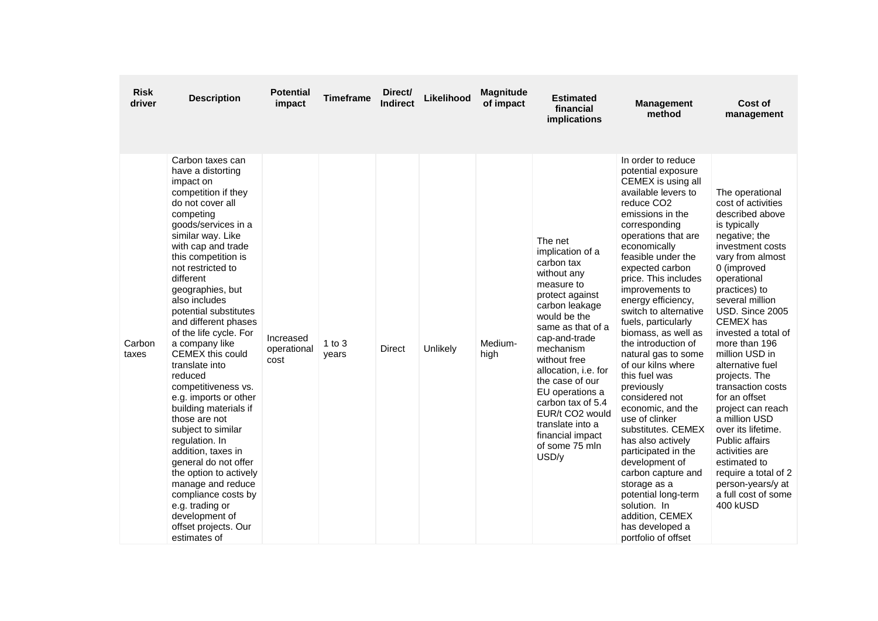| <b>Risk</b><br>driver | <b>Description</b>                                                                                                                                                                                                                                                                                                                                                                                                                                                                                                                                                                                                                                                                                                                                          | <b>Potential</b><br>impact       | <b>Timeframe</b>    | Direct/<br><b>Indirect</b> | Likelihood | <b>Magnitude</b><br>of impact | <b>Estimated</b><br>financial<br>implications                                                                                                                                                                                                                                                                                                                           | <b>Management</b><br>method                                                                                                                                                                                                                                                                                                                                                                                                                                                                                                                                                                                                                                                                                                                                            | Cost of<br>management                                                                                                                                                                                                                                                                                                                                                                                                                                                                                                                                                                  |
|-----------------------|-------------------------------------------------------------------------------------------------------------------------------------------------------------------------------------------------------------------------------------------------------------------------------------------------------------------------------------------------------------------------------------------------------------------------------------------------------------------------------------------------------------------------------------------------------------------------------------------------------------------------------------------------------------------------------------------------------------------------------------------------------------|----------------------------------|---------------------|----------------------------|------------|-------------------------------|-------------------------------------------------------------------------------------------------------------------------------------------------------------------------------------------------------------------------------------------------------------------------------------------------------------------------------------------------------------------------|------------------------------------------------------------------------------------------------------------------------------------------------------------------------------------------------------------------------------------------------------------------------------------------------------------------------------------------------------------------------------------------------------------------------------------------------------------------------------------------------------------------------------------------------------------------------------------------------------------------------------------------------------------------------------------------------------------------------------------------------------------------------|----------------------------------------------------------------------------------------------------------------------------------------------------------------------------------------------------------------------------------------------------------------------------------------------------------------------------------------------------------------------------------------------------------------------------------------------------------------------------------------------------------------------------------------------------------------------------------------|
| Carbon<br>taxes       | Carbon taxes can<br>have a distorting<br>impact on<br>competition if they<br>do not cover all<br>competing<br>goods/services in a<br>similar way. Like<br>with cap and trade<br>this competition is<br>not restricted to<br>different<br>geographies, but<br>also includes<br>potential substitutes<br>and different phases<br>of the life cycle. For<br>a company like<br>CEMEX this could<br>translate into<br>reduced<br>competitiveness vs.<br>e.g. imports or other<br>building materials if<br>those are not<br>subject to similar<br>regulation. In<br>addition, taxes in<br>general do not offer<br>the option to actively<br>manage and reduce<br>compliance costs by<br>e.g. trading or<br>development of<br>offset projects. Our<br>estimates of | Increased<br>operational<br>cost | $1$ to $3$<br>years | <b>Direct</b>              | Unlikely   | Medium-<br>high               | The net<br>implication of a<br>carbon tax<br>without any<br>measure to<br>protect against<br>carbon leakage<br>would be the<br>same as that of a<br>cap-and-trade<br>mechanism<br>without free<br>allocation, i.e. for<br>the case of our<br>EU operations a<br>carbon tax of 5.4<br>EUR/t CO2 would<br>translate into a<br>financial impact<br>of some 75 mln<br>USD/y | In order to reduce<br>potential exposure<br>CEMEX is using all<br>available levers to<br>reduce CO <sub>2</sub><br>emissions in the<br>corresponding<br>operations that are<br>economically<br>feasible under the<br>expected carbon<br>price. This includes<br>improvements to<br>energy efficiency,<br>switch to alternative<br>fuels, particularly<br>biomass, as well as<br>the introduction of<br>natural gas to some<br>of our kilns where<br>this fuel was<br>previously<br>considered not<br>economic, and the<br>use of clinker<br>substitutes, CEMEX<br>has also actively<br>participated in the<br>development of<br>carbon capture and<br>storage as a<br>potential long-term<br>solution. In<br>addition, CEMEX<br>has developed a<br>portfolio of offset | The operational<br>cost of activities<br>described above<br>is typically<br>negative; the<br>investment costs<br>vary from almost<br>0 (improved<br>operational<br>practices) to<br>several million<br>USD. Since 2005<br><b>CEMEX</b> has<br>invested a total of<br>more than 196<br>million USD in<br>alternative fuel<br>projects. The<br>transaction costs<br>for an offset<br>project can reach<br>a million USD<br>over its lifetime.<br><b>Public affairs</b><br>activities are<br>estimated to<br>require a total of 2<br>person-years/y at<br>a full cost of some<br>400 kUSD |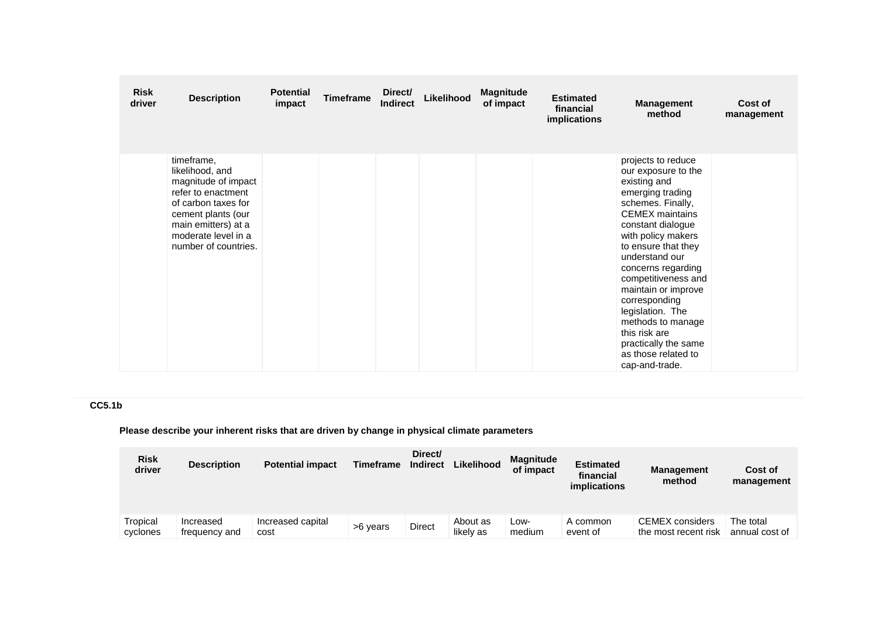| <b>Risk</b><br>driver | <b>Description</b>                                                                                                                                                                            | <b>Potential</b><br>impact | <b>Timeframe</b> | Direct/<br>Indirect | Likelihood | <b>Magnitude</b><br>of impact | <b>Estimated</b><br>financial<br>implications | <b>Management</b><br>method                                                                                                                                                                                                                                                                                                                                                                                                      | Cost of<br>management |
|-----------------------|-----------------------------------------------------------------------------------------------------------------------------------------------------------------------------------------------|----------------------------|------------------|---------------------|------------|-------------------------------|-----------------------------------------------|----------------------------------------------------------------------------------------------------------------------------------------------------------------------------------------------------------------------------------------------------------------------------------------------------------------------------------------------------------------------------------------------------------------------------------|-----------------------|
|                       | timeframe,<br>likelihood, and<br>magnitude of impact<br>refer to enactment<br>of carbon taxes for<br>cement plants (our<br>main emitters) at a<br>moderate level in a<br>number of countries. |                            |                  |                     |            |                               |                                               | projects to reduce<br>our exposure to the<br>existing and<br>emerging trading<br>schemes. Finally,<br><b>CEMEX</b> maintains<br>constant dialogue<br>with policy makers<br>to ensure that they<br>understand our<br>concerns regarding<br>competitiveness and<br>maintain or improve<br>corresponding<br>legislation. The<br>methods to manage<br>this risk are<br>practically the same<br>as those related to<br>cap-and-trade. |                       |

# **CC5.1b**

**Please describe your inherent risks that are driven by change in physical climate parameters**

| <b>Risk</b><br>driver | <b>Description</b>         | <b>Potential impact</b>   | <b>Timeframe</b> | Direct/<br><b>Indirect</b> | Likelihood            | <b>Magnitude</b><br>of impact | <b>Estimated</b><br>financial<br><i>implications</i> | <b>Management</b><br>method                    | Cost of<br>management       |
|-----------------------|----------------------------|---------------------------|------------------|----------------------------|-----------------------|-------------------------------|------------------------------------------------------|------------------------------------------------|-----------------------------|
| Tropical<br>cyclones  | Increased<br>frequency and | Increased capital<br>cost | >6 years         | Direct                     | About as<br>likely as | Low-<br>medium                | A common<br>event of                                 | <b>CEMEX</b> considers<br>the most recent risk | The total<br>annual cost of |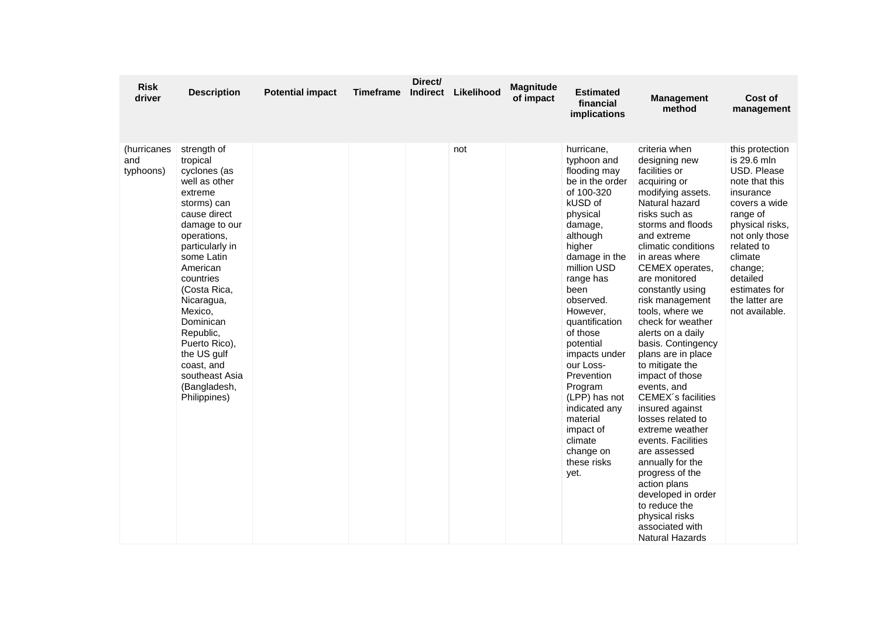| <b>Risk</b><br>driver           | <b>Description</b>                                                                                                                                                                                                                                                                                                                                              | <b>Potential impact</b> | <b>Timeframe</b> | Direct/<br><b>Indirect</b> | Likelihood | <b>Magnitude</b><br>of impact | Estimated<br>financial<br>implications                                                                                                                                                                                                                                                                                                                                                                                       | <b>Management</b><br>method                                                                                                                                                                                                                                                                                                                                                                                                                                                                                                                                                                                                                                                                                                       | Cost of<br>management                                                                                                                                                                                                                               |
|---------------------------------|-----------------------------------------------------------------------------------------------------------------------------------------------------------------------------------------------------------------------------------------------------------------------------------------------------------------------------------------------------------------|-------------------------|------------------|----------------------------|------------|-------------------------------|------------------------------------------------------------------------------------------------------------------------------------------------------------------------------------------------------------------------------------------------------------------------------------------------------------------------------------------------------------------------------------------------------------------------------|-----------------------------------------------------------------------------------------------------------------------------------------------------------------------------------------------------------------------------------------------------------------------------------------------------------------------------------------------------------------------------------------------------------------------------------------------------------------------------------------------------------------------------------------------------------------------------------------------------------------------------------------------------------------------------------------------------------------------------------|-----------------------------------------------------------------------------------------------------------------------------------------------------------------------------------------------------------------------------------------------------|
| (hurricanes<br>and<br>typhoons) | strength of<br>tropical<br>cyclones (as<br>well as other<br>extreme<br>storms) can<br>cause direct<br>damage to our<br>operations,<br>particularly in<br>some Latin<br>American<br>countries<br>(Costa Rica,<br>Nicaragua,<br>Mexico,<br>Dominican<br>Republic,<br>Puerto Rico),<br>the US gulf<br>coast, and<br>southeast Asia<br>(Bangladesh,<br>Philippines) |                         |                  |                            | not        |                               | hurricane,<br>typhoon and<br>flooding may<br>be in the order<br>of 100-320<br>kUSD of<br>physical<br>damage,<br>although<br>higher<br>damage in the<br>million USD<br>range has<br>been<br>observed.<br>However,<br>quantification<br>of those<br>potential<br>impacts under<br>our Loss-<br>Prevention<br>Program<br>(LPP) has not<br>indicated any<br>material<br>impact of<br>climate<br>change on<br>these risks<br>yet. | criteria when<br>designing new<br>facilities or<br>acquiring or<br>modifying assets.<br>Natural hazard<br>risks such as<br>storms and floods<br>and extreme<br>climatic conditions<br>in areas where<br>CEMEX operates,<br>are monitored<br>constantly using<br>risk management<br>tools, where we<br>check for weather<br>alerts on a daily<br>basis. Contingency<br>plans are in place<br>to mitigate the<br>impact of those<br>events, and<br>CEMEX's facilities<br>insured against<br>losses related to<br>extreme weather<br>events. Facilities<br>are assessed<br>annually for the<br>progress of the<br>action plans<br>developed in order<br>to reduce the<br>physical risks<br>associated with<br><b>Natural Hazards</b> | this protection<br>is 29.6 mln<br>USD. Please<br>note that this<br>insurance<br>covers a wide<br>range of<br>physical risks,<br>not only those<br>related to<br>climate<br>change;<br>detailed<br>estimates for<br>the latter are<br>not available. |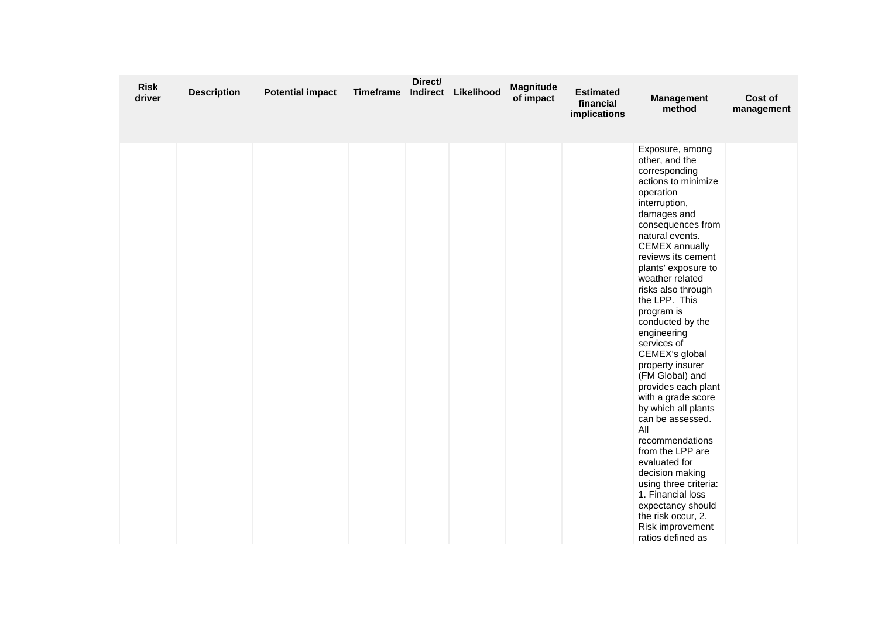| <b>Risk</b><br>driver | <b>Description</b> | <b>Potential impact</b> | <b>Timeframe</b> | Direct/<br><b>Indirect</b> | Likelihood | <b>Magnitude</b><br>of impact | <b>Estimated</b><br>financial<br>implications | <b>Management</b><br>method                                                                                                                                                                                                                                                                                                                                                                                                                                                                                                                                                                                                                                                                                                         | Cost of<br>management |
|-----------------------|--------------------|-------------------------|------------------|----------------------------|------------|-------------------------------|-----------------------------------------------|-------------------------------------------------------------------------------------------------------------------------------------------------------------------------------------------------------------------------------------------------------------------------------------------------------------------------------------------------------------------------------------------------------------------------------------------------------------------------------------------------------------------------------------------------------------------------------------------------------------------------------------------------------------------------------------------------------------------------------------|-----------------------|
|                       |                    |                         |                  |                            |            |                               |                                               | Exposure, among<br>other, and the<br>corresponding<br>actions to minimize<br>operation<br>interruption,<br>damages and<br>consequences from<br>natural events.<br><b>CEMEX</b> annually<br>reviews its cement<br>plants' exposure to<br>weather related<br>risks also through<br>the LPP. This<br>program is<br>conducted by the<br>engineering<br>services of<br>CEMEX's global<br>property insurer<br>(FM Global) and<br>provides each plant<br>with a grade score<br>by which all plants<br>can be assessed.<br>All<br>recommendations<br>from the LPP are<br>evaluated for<br>decision making<br>using three criteria:<br>1. Financial loss<br>expectancy should<br>the risk occur, 2.<br>Risk improvement<br>ratios defined as |                       |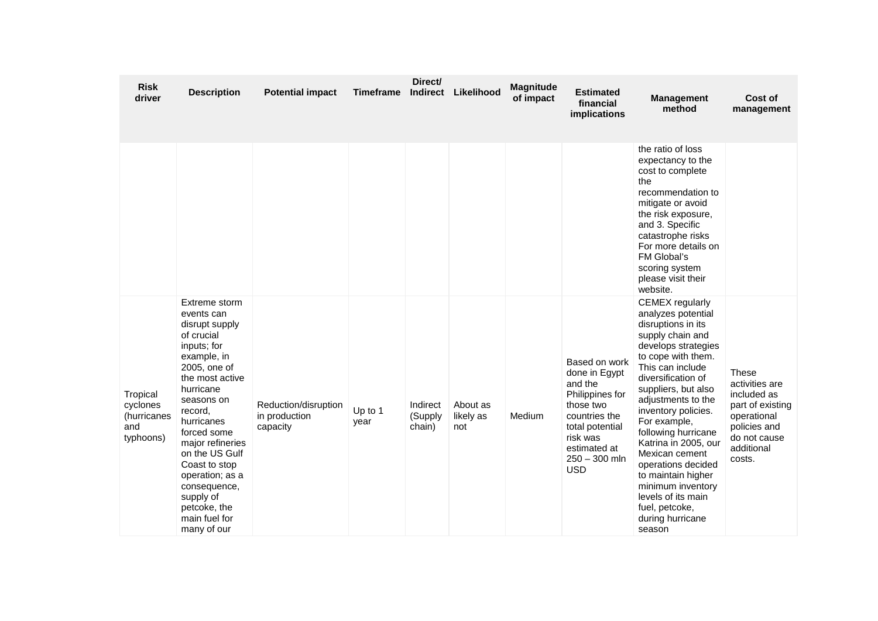| <b>Risk</b><br>driver                                   | <b>Description</b>                                                                                                                                                                                                                                                                                                                                     | <b>Potential impact</b>                           | <b>Timeframe</b> | Direct/<br><b>Indirect</b>    | Likelihood                   | <b>Magnitude</b><br>of impact | Estimated<br>financial<br><i>implications</i>                                                                                                                              | <b>Management</b><br>method                                                                                                                                                                                                                                                                                                                                                                                                                                               | Cost of<br>management                                                                                                                    |
|---------------------------------------------------------|--------------------------------------------------------------------------------------------------------------------------------------------------------------------------------------------------------------------------------------------------------------------------------------------------------------------------------------------------------|---------------------------------------------------|------------------|-------------------------------|------------------------------|-------------------------------|----------------------------------------------------------------------------------------------------------------------------------------------------------------------------|---------------------------------------------------------------------------------------------------------------------------------------------------------------------------------------------------------------------------------------------------------------------------------------------------------------------------------------------------------------------------------------------------------------------------------------------------------------------------|------------------------------------------------------------------------------------------------------------------------------------------|
|                                                         |                                                                                                                                                                                                                                                                                                                                                        |                                                   |                  |                               |                              |                               |                                                                                                                                                                            | the ratio of loss<br>expectancy to the<br>cost to complete<br>the<br>recommendation to<br>mitigate or avoid<br>the risk exposure,<br>and 3. Specific<br>catastrophe risks<br>For more details on<br>FM Global's<br>scoring system<br>please visit their<br>website.                                                                                                                                                                                                       |                                                                                                                                          |
| Tropical<br>cyclones<br>(hurricanes<br>and<br>typhoons) | Extreme storm<br>events can<br>disrupt supply<br>of crucial<br>inputs; for<br>example, in<br>2005, one of<br>the most active<br>hurricane<br>seasons on<br>record,<br>hurricanes<br>forced some<br>major refineries<br>on the US Gulf<br>Coast to stop<br>operation; as a<br>consequence,<br>supply of<br>petcoke, the<br>main fuel for<br>many of our | Reduction/disruption<br>in production<br>capacity | Up to 1<br>year  | Indirect<br>(Supply<br>chain) | About as<br>likely as<br>not | Medium                        | Based on work<br>done in Egypt<br>and the<br>Philippines for<br>those two<br>countries the<br>total potential<br>risk was<br>estimated at<br>$250 - 300$ mln<br><b>USD</b> | <b>CEMEX</b> regularly<br>analyzes potential<br>disruptions in its<br>supply chain and<br>develops strategies<br>to cope with them.<br>This can include<br>diversification of<br>suppliers, but also<br>adjustments to the<br>inventory policies.<br>For example,<br>following hurricane<br>Katrina in 2005, our<br>Mexican cement<br>operations decided<br>to maintain higher<br>minimum inventory<br>levels of its main<br>fuel, petcoke,<br>during hurricane<br>season | <b>These</b><br>activities are<br>included as<br>part of existing<br>operational<br>policies and<br>do not cause<br>additional<br>costs. |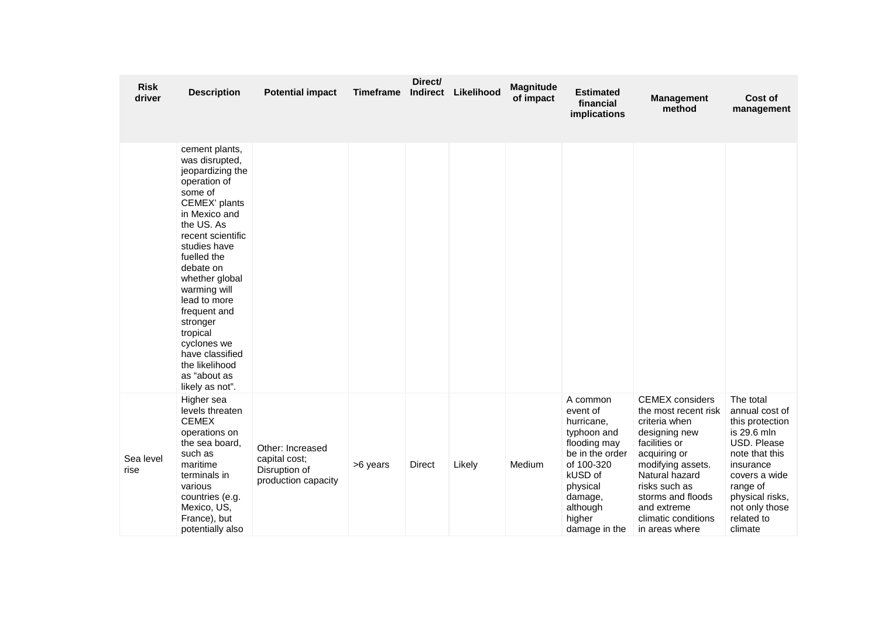| <b>Risk</b><br>driver | <b>Description</b>                                                                                                                                                                                                                                                                                                                                                                | <b>Potential impact</b>                                                   | <b>Timeframe</b> | Direct/<br><b>Indirect</b> | Likelihood | Magnitude<br>of impact | <b>Estimated</b><br>financial<br>implications                                                                                                                               | <b>Management</b><br>method                                                                                                                                                                                                                            | Cost of<br>management                                                                                                                                                                                  |
|-----------------------|-----------------------------------------------------------------------------------------------------------------------------------------------------------------------------------------------------------------------------------------------------------------------------------------------------------------------------------------------------------------------------------|---------------------------------------------------------------------------|------------------|----------------------------|------------|------------------------|-----------------------------------------------------------------------------------------------------------------------------------------------------------------------------|--------------------------------------------------------------------------------------------------------------------------------------------------------------------------------------------------------------------------------------------------------|--------------------------------------------------------------------------------------------------------------------------------------------------------------------------------------------------------|
|                       | cement plants,<br>was disrupted,<br>jeopardizing the<br>operation of<br>some of<br>CEMEX' plants<br>in Mexico and<br>the US. As<br>recent scientific<br>studies have<br>fuelled the<br>debate on<br>whether global<br>warming will<br>lead to more<br>frequent and<br>stronger<br>tropical<br>cyclones we<br>have classified<br>the likelihood<br>as "about as<br>likely as not". |                                                                           |                  |                            |            |                        |                                                                                                                                                                             |                                                                                                                                                                                                                                                        |                                                                                                                                                                                                        |
| Sea level<br>rise     | Higher sea<br>levels threaten<br><b>CEMEX</b><br>operations on<br>the sea board,<br>such as<br>maritime<br>terminals in<br>various<br>countries (e.g.<br>Mexico, US,<br>France), but<br>potentially also                                                                                                                                                                          | Other: Increased<br>capital cost;<br>Disruption of<br>production capacity | >6 years         | <b>Direct</b>              | Likely     | Medium                 | A common<br>event of<br>hurricane,<br>typhoon and<br>flooding may<br>be in the order<br>of 100-320<br>kUSD of<br>physical<br>damage,<br>although<br>higher<br>damage in the | <b>CEMEX</b> considers<br>the most recent risk<br>criteria when<br>designing new<br>facilities or<br>acquiring or<br>modifying assets.<br>Natural hazard<br>risks such as<br>storms and floods<br>and extreme<br>climatic conditions<br>in areas where | The total<br>annual cost of<br>this protection<br>is 29.6 mln<br>USD. Please<br>note that this<br>insurance<br>covers a wide<br>range of<br>physical risks,<br>not only those<br>related to<br>climate |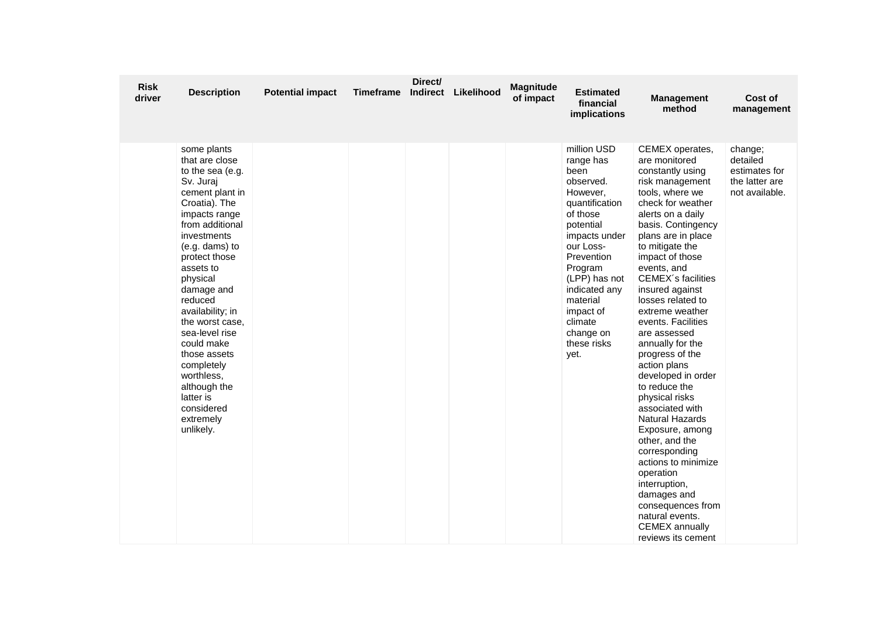| <b>Risk</b><br>driver | <b>Description</b>                                                                                                                                                                                                                                                                                                                                                                                                                   | <b>Potential impact</b> | <b>Timeframe</b> | Direct/<br>Indirect | Likelihood | <b>Magnitude</b><br>of impact | <b>Estimated</b><br>financial<br>implications                                                                                                                                                                                                                         | <b>Management</b><br>method                                                                                                                                                                                                                                                                                                                                                                                                                                                                                                                                                                                                                                                                                                         | Cost of<br>management                                                    |
|-----------------------|--------------------------------------------------------------------------------------------------------------------------------------------------------------------------------------------------------------------------------------------------------------------------------------------------------------------------------------------------------------------------------------------------------------------------------------|-------------------------|------------------|---------------------|------------|-------------------------------|-----------------------------------------------------------------------------------------------------------------------------------------------------------------------------------------------------------------------------------------------------------------------|-------------------------------------------------------------------------------------------------------------------------------------------------------------------------------------------------------------------------------------------------------------------------------------------------------------------------------------------------------------------------------------------------------------------------------------------------------------------------------------------------------------------------------------------------------------------------------------------------------------------------------------------------------------------------------------------------------------------------------------|--------------------------------------------------------------------------|
|                       | some plants<br>that are close<br>to the sea (e.g.<br>Sv. Juraj<br>cement plant in<br>Croatia). The<br>impacts range<br>from additional<br>investments<br>$(e.g.$ dams) to<br>protect those<br>assets to<br>physical<br>damage and<br>reduced<br>availability; in<br>the worst case.<br>sea-level rise<br>could make<br>those assets<br>completely<br>worthless,<br>although the<br>latter is<br>considered<br>extremely<br>unlikely. |                         |                  |                     |            |                               | million USD<br>range has<br>been<br>observed.<br>However,<br>quantification<br>of those<br>potential<br>impacts under<br>our Loss-<br>Prevention<br>Program<br>(LPP) has not<br>indicated any<br>material<br>impact of<br>climate<br>change on<br>these risks<br>yet. | CEMEX operates,<br>are monitored<br>constantly using<br>risk management<br>tools, where we<br>check for weather<br>alerts on a daily<br>basis. Contingency<br>plans are in place<br>to mitigate the<br>impact of those<br>events, and<br>CEMEX's facilities<br>insured against<br>losses related to<br>extreme weather<br>events. Facilities<br>are assessed<br>annually for the<br>progress of the<br>action plans<br>developed in order<br>to reduce the<br>physical risks<br>associated with<br>Natural Hazards<br>Exposure, among<br>other, and the<br>corresponding<br>actions to minimize<br>operation<br>interruption,<br>damages and<br>consequences from<br>natural events.<br><b>CEMEX</b> annually<br>reviews its cement | change;<br>detailed<br>estimates for<br>the latter are<br>not available. |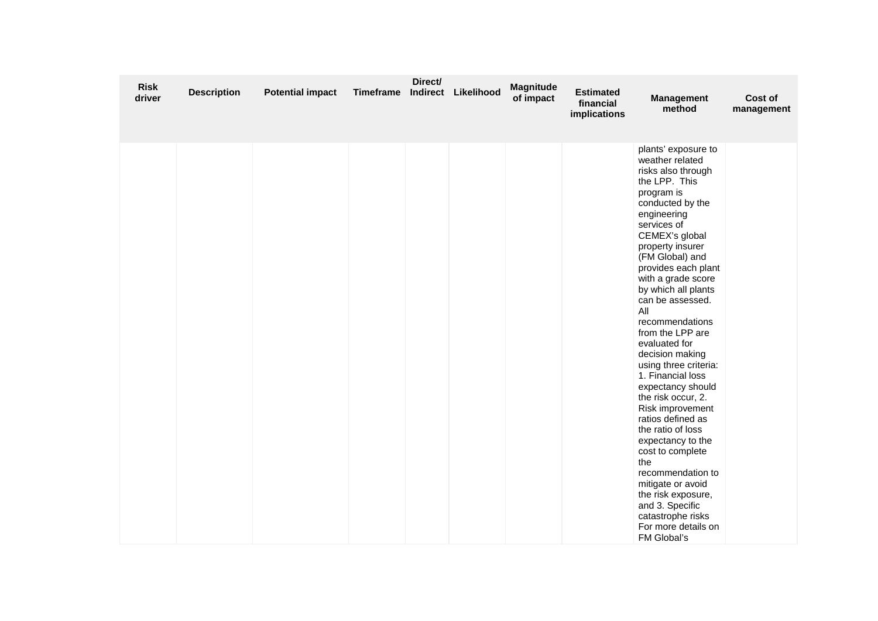| <b>Risk</b><br>driver | <b>Description</b> | <b>Potential impact</b> | <b>Timeframe</b> | Direct/ | Indirect Likelihood | <b>Magnitude</b><br>of impact | <b>Estimated</b><br>financial<br>implications | <b>Management</b><br>method                                                                                                                                                                                                                                                                                                                                                                                                                                                                                                                                                                                                                                                                                                           | Cost of<br>management |
|-----------------------|--------------------|-------------------------|------------------|---------|---------------------|-------------------------------|-----------------------------------------------|---------------------------------------------------------------------------------------------------------------------------------------------------------------------------------------------------------------------------------------------------------------------------------------------------------------------------------------------------------------------------------------------------------------------------------------------------------------------------------------------------------------------------------------------------------------------------------------------------------------------------------------------------------------------------------------------------------------------------------------|-----------------------|
|                       |                    |                         |                  |         |                     |                               |                                               | plants' exposure to<br>weather related<br>risks also through<br>the LPP. This<br>program is<br>conducted by the<br>engineering<br>services of<br>CEMEX's global<br>property insurer<br>(FM Global) and<br>provides each plant<br>with a grade score<br>by which all plants<br>can be assessed.<br>All<br>recommendations<br>from the LPP are<br>evaluated for<br>decision making<br>using three criteria:<br>1. Financial loss<br>expectancy should<br>the risk occur, 2.<br>Risk improvement<br>ratios defined as<br>the ratio of loss<br>expectancy to the<br>cost to complete<br>the<br>recommendation to<br>mitigate or avoid<br>the risk exposure,<br>and 3. Specific<br>catastrophe risks<br>For more details on<br>FM Global's |                       |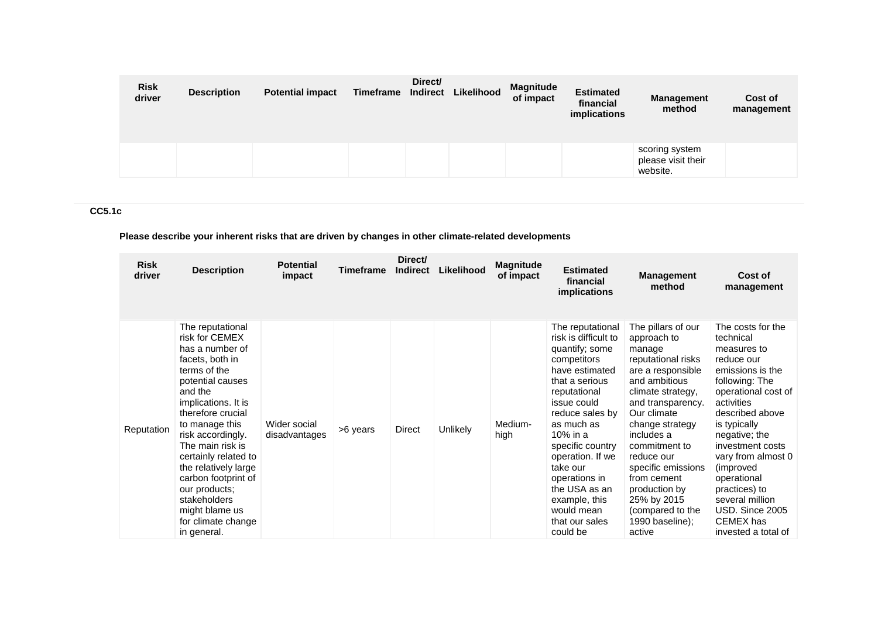| <b>Risk</b><br>driver | <b>Description</b> | <b>Potential impact</b> | Timeframe | Direct/<br>Indirect | Likelihood | <b>Magnitude</b><br>of impact | <b>Estimated</b><br>financial<br>implications | <b>Management</b><br>method                      | Cost of<br>management |
|-----------------------|--------------------|-------------------------|-----------|---------------------|------------|-------------------------------|-----------------------------------------------|--------------------------------------------------|-----------------------|
|                       |                    |                         |           |                     |            |                               |                                               | scoring system<br>please visit their<br>website. |                       |

# **CC5.1c**

**Please describe your inherent risks that are driven by changes in other climate-related developments**

| <b>Risk</b><br>driver | <b>Description</b>                                                                                                                                                                                                                                                                                                                                                                            | <b>Potential</b><br>impact    | Timeframe | Direct/<br><b>Indirect</b> | Likelihood | <b>Magnitude</b><br>of impact | <b>Estimated</b><br>financial<br>implications                                                                                                                                                                                                                                                                                                | <b>Management</b><br>method                                                                                                                                                                                                                                                                                                                            | Cost of<br>management                                                                                                                                                                                                                                                                                                                                        |
|-----------------------|-----------------------------------------------------------------------------------------------------------------------------------------------------------------------------------------------------------------------------------------------------------------------------------------------------------------------------------------------------------------------------------------------|-------------------------------|-----------|----------------------------|------------|-------------------------------|----------------------------------------------------------------------------------------------------------------------------------------------------------------------------------------------------------------------------------------------------------------------------------------------------------------------------------------------|--------------------------------------------------------------------------------------------------------------------------------------------------------------------------------------------------------------------------------------------------------------------------------------------------------------------------------------------------------|--------------------------------------------------------------------------------------------------------------------------------------------------------------------------------------------------------------------------------------------------------------------------------------------------------------------------------------------------------------|
| Reputation            | The reputational<br>risk for CEMEX<br>has a number of<br>facets, both in<br>terms of the<br>potential causes<br>and the<br>implications. It is<br>therefore crucial<br>to manage this<br>risk accordingly.<br>The main risk is<br>certainly related to<br>the relatively large<br>carbon footprint of<br>our products;<br>stakeholders<br>might blame us<br>for climate change<br>in general. | Wider social<br>disadvantages | >6 years  | Direct                     | Unlikely   | Medium-<br>high               | The reputational<br>risk is difficult to<br>quantify; some<br>competitors<br>have estimated<br>that a serious<br>reputational<br>issue could<br>reduce sales by<br>as much as<br>10% in a<br>specific country<br>operation. If we<br>take our<br>operations in<br>the USA as an<br>example, this<br>would mean<br>that our sales<br>could be | The pillars of our<br>approach to<br>manage<br>reputational risks<br>are a responsible<br>and ambitious<br>climate strategy,<br>and transparency.<br>Our climate<br>change strategy<br>includes a<br>commitment to<br>reduce our<br>specific emissions<br>from cement<br>production by<br>25% by 2015<br>(compared to the<br>1990 baseline);<br>active | The costs for the<br>technical<br>measures to<br>reduce our<br>emissions is the<br>following: The<br>operational cost of<br>activities<br>described above<br>is typically<br>negative; the<br>investment costs<br>vary from almost 0<br>(improved)<br>operational<br>practices) to<br>several million<br>USD. Since 2005<br>CEMEX has<br>invested a total of |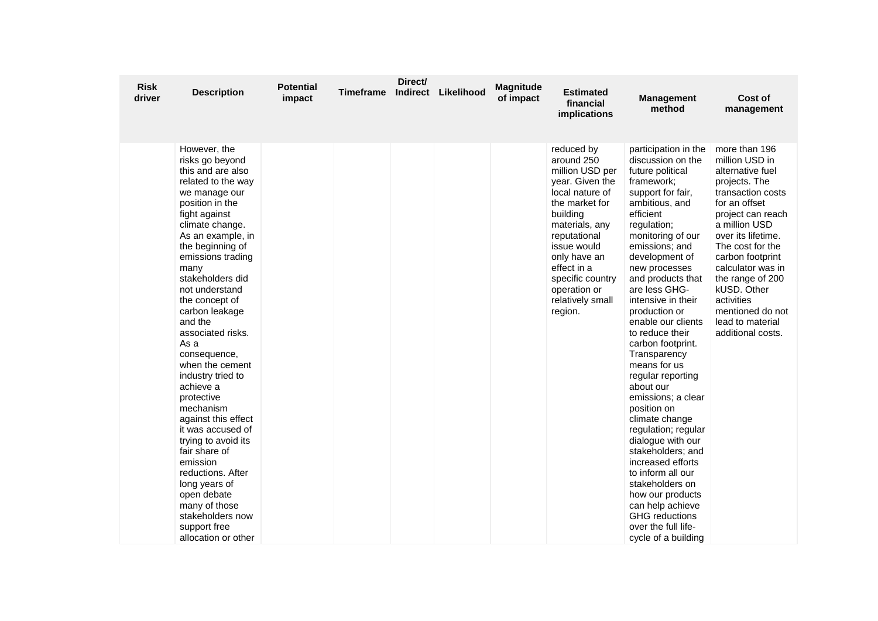| <b>Risk</b><br>driver | <b>Description</b>                                                                                                                                                                                                                                                                                                                                                                                                                                                                                                                                                                                                                                                          | <b>Potential</b><br>impact | Timeframe | Direct/ | Indirect Likelihood | <b>Magnitude</b><br>of impact | <b>Estimated</b><br>financial<br>implications                                                                                                                                                                                                                      | <b>Management</b><br>method                                                                                                                                                                                                                                                                                                                                                                                                                                                                                                                                                                                                                                                                                                               | Cost of<br>management                                                                                                                                                                                                                                                                                                                             |
|-----------------------|-----------------------------------------------------------------------------------------------------------------------------------------------------------------------------------------------------------------------------------------------------------------------------------------------------------------------------------------------------------------------------------------------------------------------------------------------------------------------------------------------------------------------------------------------------------------------------------------------------------------------------------------------------------------------------|----------------------------|-----------|---------|---------------------|-------------------------------|--------------------------------------------------------------------------------------------------------------------------------------------------------------------------------------------------------------------------------------------------------------------|-------------------------------------------------------------------------------------------------------------------------------------------------------------------------------------------------------------------------------------------------------------------------------------------------------------------------------------------------------------------------------------------------------------------------------------------------------------------------------------------------------------------------------------------------------------------------------------------------------------------------------------------------------------------------------------------------------------------------------------------|---------------------------------------------------------------------------------------------------------------------------------------------------------------------------------------------------------------------------------------------------------------------------------------------------------------------------------------------------|
|                       | However, the<br>risks go beyond<br>this and are also<br>related to the way<br>we manage our<br>position in the<br>fight against<br>climate change.<br>As an example, in<br>the beginning of<br>emissions trading<br>many<br>stakeholders did<br>not understand<br>the concept of<br>carbon leakage<br>and the<br>associated risks.<br>As a<br>consequence,<br>when the cement<br>industry tried to<br>achieve a<br>protective<br>mechanism<br>against this effect<br>it was accused of<br>trying to avoid its<br>fair share of<br>emission<br>reductions. After<br>long years of<br>open debate<br>many of those<br>stakeholders now<br>support free<br>allocation or other |                            |           |         |                     |                               | reduced by<br>around 250<br>million USD per<br>year. Given the<br>local nature of<br>the market for<br>building<br>materials, any<br>reputational<br>issue would<br>only have an<br>effect in a<br>specific country<br>operation or<br>relatively small<br>region. | participation in the<br>discussion on the<br>future political<br>framework;<br>support for fair,<br>ambitious, and<br>efficient<br>regulation;<br>monitoring of our<br>emissions; and<br>development of<br>new processes<br>and products that<br>are less GHG-<br>intensive in their<br>production or<br>enable our clients<br>to reduce their<br>carbon footprint.<br>Transparency<br>means for us<br>regular reporting<br>about our<br>emissions; a clear<br>position on<br>climate change<br>regulation; regular<br>dialogue with our<br>stakeholders; and<br>increased efforts<br>to inform all our<br>stakeholders on<br>how our products<br>can help achieve<br><b>GHG</b> reductions<br>over the full life-<br>cycle of a building | more than 196<br>million USD in<br>alternative fuel<br>projects. The<br>transaction costs<br>for an offset<br>project can reach<br>a million USD<br>over its lifetime.<br>The cost for the<br>carbon footprint<br>calculator was in<br>the range of 200<br>kUSD. Other<br>activities<br>mentioned do not<br>lead to material<br>additional costs. |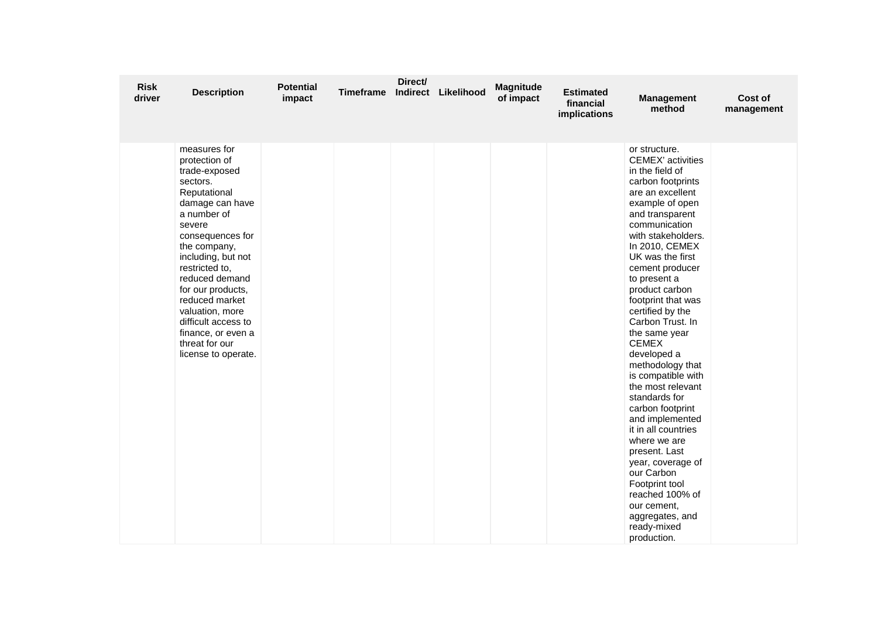| <b>Risk</b><br>driver | <b>Description</b>                                                                                                                                                                                                                                                                                                                                                   | <b>Potential</b><br>impact | <b>Timeframe</b> | Direct/ | Indirect Likelihood | Magnitude<br>of impact | <b>Estimated</b><br>financial<br>implications | <b>Management</b><br>method                                                                                                                                                                                                                                                                                                                                                                                                                                                                                                                                                                                                                                                                                        | Cost of<br>management |
|-----------------------|----------------------------------------------------------------------------------------------------------------------------------------------------------------------------------------------------------------------------------------------------------------------------------------------------------------------------------------------------------------------|----------------------------|------------------|---------|---------------------|------------------------|-----------------------------------------------|--------------------------------------------------------------------------------------------------------------------------------------------------------------------------------------------------------------------------------------------------------------------------------------------------------------------------------------------------------------------------------------------------------------------------------------------------------------------------------------------------------------------------------------------------------------------------------------------------------------------------------------------------------------------------------------------------------------------|-----------------------|
|                       | measures for<br>protection of<br>trade-exposed<br>sectors.<br>Reputational<br>damage can have<br>a number of<br>severe<br>consequences for<br>the company,<br>including, but not<br>restricted to,<br>reduced demand<br>for our products,<br>reduced market<br>valuation, more<br>difficult access to<br>finance, or even a<br>threat for our<br>license to operate. |                            |                  |         |                     |                        |                                               | or structure.<br><b>CEMEX'</b> activities<br>in the field of<br>carbon footprints<br>are an excellent<br>example of open<br>and transparent<br>communication<br>with stakeholders.<br>In 2010, CEMEX<br>UK was the first<br>cement producer<br>to present a<br>product carbon<br>footprint that was<br>certified by the<br>Carbon Trust. In<br>the same year<br><b>CEMEX</b><br>developed a<br>methodology that<br>is compatible with<br>the most relevant<br>standards for<br>carbon footprint<br>and implemented<br>it in all countries<br>where we are<br>present. Last<br>year, coverage of<br>our Carbon<br>Footprint tool<br>reached 100% of<br>our cement,<br>aggregates, and<br>ready-mixed<br>production. |                       |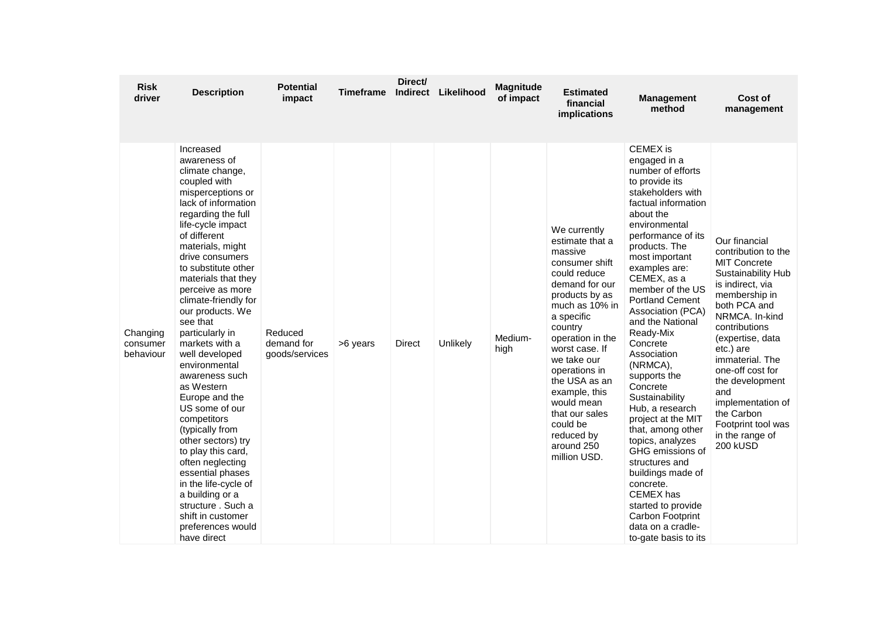| <b>Risk</b><br>driver             | <b>Description</b>                                                                                                                                                                                                                                                                                                                                                                                                                                                                                                                                                                                                                                                                                                               | Potential<br>impact                     | Timeframe | Direct/<br><b>Indirect</b> | Likelihood | <b>Magnitude</b><br>of impact | <b>Estimated</b><br>financial<br>implications                                                                                                                                                                                                                                                                                                               | <b>Management</b><br>method                                                                                                                                                                                                                                                                                                                                                                                                                                                                                                                                                                                                                                                                      | Cost of<br>management                                                                                                                                                                                                                                                                                                                                                      |
|-----------------------------------|----------------------------------------------------------------------------------------------------------------------------------------------------------------------------------------------------------------------------------------------------------------------------------------------------------------------------------------------------------------------------------------------------------------------------------------------------------------------------------------------------------------------------------------------------------------------------------------------------------------------------------------------------------------------------------------------------------------------------------|-----------------------------------------|-----------|----------------------------|------------|-------------------------------|-------------------------------------------------------------------------------------------------------------------------------------------------------------------------------------------------------------------------------------------------------------------------------------------------------------------------------------------------------------|--------------------------------------------------------------------------------------------------------------------------------------------------------------------------------------------------------------------------------------------------------------------------------------------------------------------------------------------------------------------------------------------------------------------------------------------------------------------------------------------------------------------------------------------------------------------------------------------------------------------------------------------------------------------------------------------------|----------------------------------------------------------------------------------------------------------------------------------------------------------------------------------------------------------------------------------------------------------------------------------------------------------------------------------------------------------------------------|
| Changing<br>consumer<br>behaviour | Increased<br>awareness of<br>climate change,<br>coupled with<br>misperceptions or<br>lack of information<br>regarding the full<br>life-cycle impact<br>of different<br>materials, might<br>drive consumers<br>to substitute other<br>materials that they<br>perceive as more<br>climate-friendly for<br>our products. We<br>see that<br>particularly in<br>markets with a<br>well developed<br>environmental<br>awareness such<br>as Western<br>Europe and the<br>US some of our<br>competitors<br>(typically from<br>other sectors) try<br>to play this card,<br>often neglecting<br>essential phases<br>in the life-cycle of<br>a building or a<br>structure . Such a<br>shift in customer<br>preferences would<br>have direct | Reduced<br>demand for<br>goods/services | >6 years  | <b>Direct</b>              | Unlikely   | Medium-<br>high               | We currently<br>estimate that a<br>massive<br>consumer shift<br>could reduce<br>demand for our<br>products by as<br>much as 10% in<br>a specific<br>country<br>operation in the<br>worst case. If<br>we take our<br>operations in<br>the USA as an<br>example, this<br>would mean<br>that our sales<br>could be<br>reduced by<br>around 250<br>million USD. | <b>CEMEX</b> is<br>engaged in a<br>number of efforts<br>to provide its<br>stakeholders with<br>factual information<br>about the<br>environmental<br>performance of its<br>products. The<br>most important<br>examples are:<br>CEMEX, as a<br>member of the US<br><b>Portland Cement</b><br>Association (PCA)<br>and the National<br>Ready-Mix<br>Concrete<br>Association<br>(NRMCA),<br>supports the<br>Concrete<br>Sustainability<br>Hub, a research<br>project at the MIT<br>that, among other<br>topics, analyzes<br>GHG emissions of<br>structures and<br>buildings made of<br>concrete.<br>CEMEX has<br>started to provide<br>Carbon Footprint<br>data on a cradle-<br>to-gate basis to its | Our financial<br>contribution to the<br><b>MIT Concrete</b><br><b>Sustainability Hub</b><br>is indirect, via<br>membership in<br>both PCA and<br>NRMCA. In-kind<br>contributions<br>(expertise, data<br>etc.) are<br>immaterial. The<br>one-off cost for<br>the development<br>and<br>implementation of<br>the Carbon<br>Footprint tool was<br>in the range of<br>200 kUSD |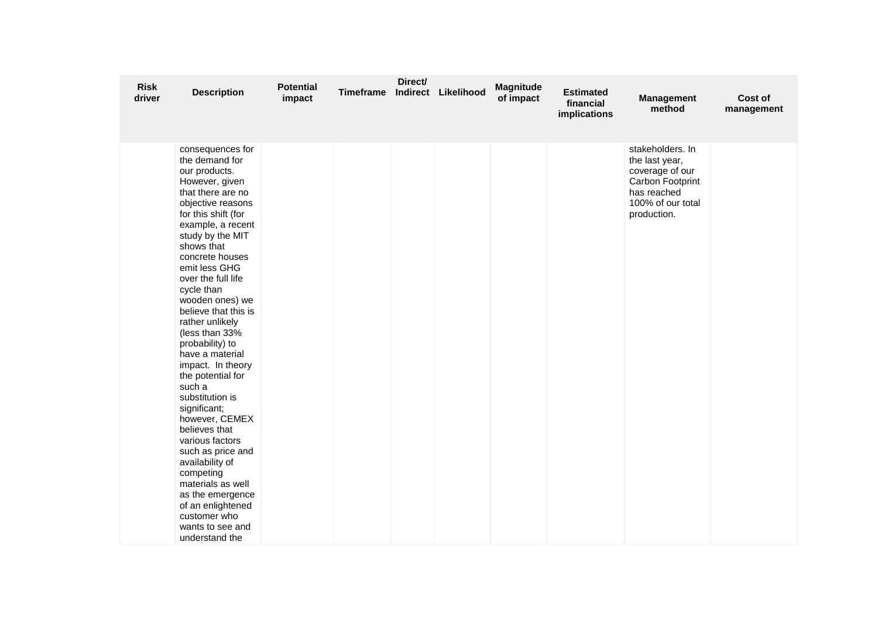| <b>Risk</b><br>driver | <b>Description</b>                                                                                                                                                                                                                                                                                                                                                                                                                                                                                                                                                                                                                                                                                                | <b>Potential</b><br>impact | Timeframe | Direct/ | Indirect Likelihood | <b>Magnitude</b><br>of impact | <b>Estimated</b><br>financial<br>implications | <b>Management</b><br>method                                                                                                  | Cost of<br>management |
|-----------------------|-------------------------------------------------------------------------------------------------------------------------------------------------------------------------------------------------------------------------------------------------------------------------------------------------------------------------------------------------------------------------------------------------------------------------------------------------------------------------------------------------------------------------------------------------------------------------------------------------------------------------------------------------------------------------------------------------------------------|----------------------------|-----------|---------|---------------------|-------------------------------|-----------------------------------------------|------------------------------------------------------------------------------------------------------------------------------|-----------------------|
|                       | consequences for<br>the demand for<br>our products.<br>However, given<br>that there are no<br>objective reasons<br>for this shift (for<br>example, a recent<br>study by the MIT<br>shows that<br>concrete houses<br>emit less GHG<br>over the full life<br>cycle than<br>wooden ones) we<br>believe that this is<br>rather unlikely<br>(less than 33%<br>probability) to<br>have a material<br>impact. In theory<br>the potential for<br>such a<br>substitution is<br>significant;<br>however, CEMEX<br>believes that<br>various factors<br>such as price and<br>availability of<br>competing<br>materials as well<br>as the emergence<br>of an enlightened<br>customer who<br>wants to see and<br>understand the |                            |           |         |                     |                               |                                               | stakeholders. In<br>the last year,<br>coverage of our<br>Carbon Footprint<br>has reached<br>100% of our total<br>production. |                       |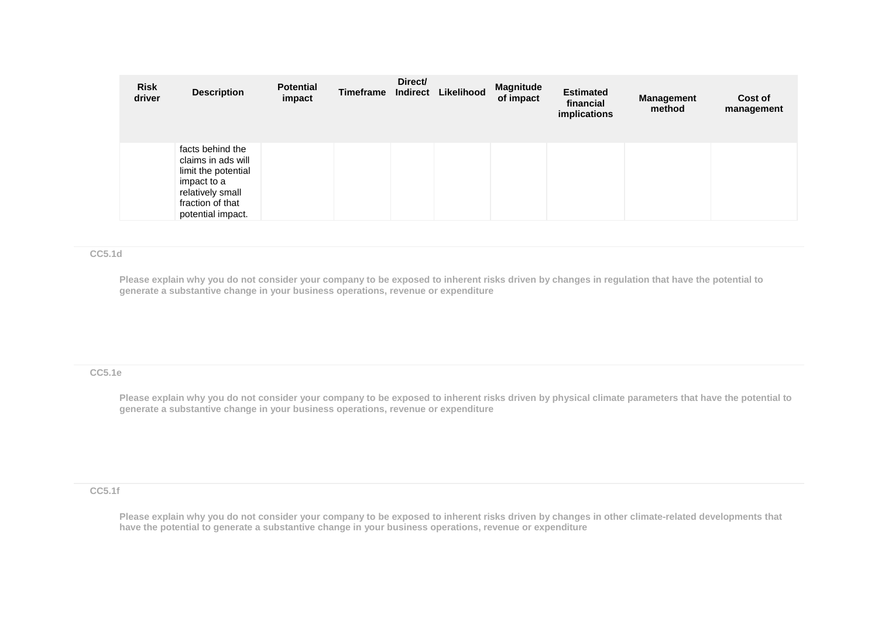| <b>Risk</b><br>driver | <b>Description</b>                                                                                                                        | <b>Potential</b><br>impact | Timeframe | Direct/<br><b>Indirect</b> | Likelihood | <b>Magnitude</b><br>of impact | <b>Estimated</b><br>financial<br>implications | <b>Management</b><br>method | Cost of<br>management |
|-----------------------|-------------------------------------------------------------------------------------------------------------------------------------------|----------------------------|-----------|----------------------------|------------|-------------------------------|-----------------------------------------------|-----------------------------|-----------------------|
|                       | facts behind the<br>claims in ads will<br>limit the potential<br>impact to a<br>relatively small<br>fraction of that<br>potential impact. |                            |           |                            |            |                               |                                               |                             |                       |

#### **CC5.1d**

**Please explain why you do not consider your company to be exposed to inherent risks driven by changes in regulation that have the potential to generate a substantive change in your business operations, revenue or expenditure** 

# **CC5.1e**

**Please explain why you do not consider your company to be exposed to inherent risks driven by physical climate parameters that have the potential to generate a substantive change in your business operations, revenue or expenditure**

**CC5.1f**

**Please explain why you do not consider your company to be exposed to inherent risks driven by changes in other climate-related developments that have the potential to generate a substantive change in your business operations, revenue or expenditure**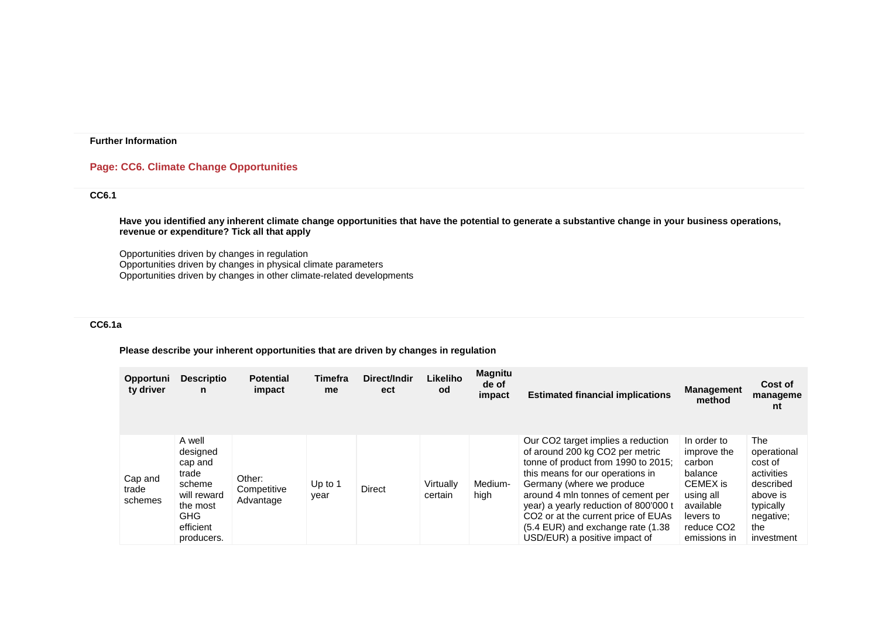# **Page: CC6. Climate Change Opportunities**

# **CC6.1**

**Have you identified any inherent climate change opportunities that have the potential to generate a substantive change in your business operations, revenue or expenditure? Tick all that apply**

Opportunities driven by changes in regulation Opportunities driven by changes in physical climate parameters Opportunities driven by changes in other climate-related developments

# **CC6.1a**

#### **Please describe your inherent opportunities that are driven by changes in regulation**

| <b>Opportuni</b><br>ty driver | <b>Descriptio</b><br>n                                                                                               | <b>Potential</b><br>impact         | Timefra<br>me     | Direct/Indir<br>ect | Likeliho<br><b>od</b> | <b>Magnitu</b><br>de of<br>impact | <b>Estimated financial implications</b>                                                                                                                                                                                                                                                                                                                                              | <b>Management</b><br>method                                                                                                                  | Cost of<br>manageme<br>nt                                                                                           |
|-------------------------------|----------------------------------------------------------------------------------------------------------------------|------------------------------------|-------------------|---------------------|-----------------------|-----------------------------------|--------------------------------------------------------------------------------------------------------------------------------------------------------------------------------------------------------------------------------------------------------------------------------------------------------------------------------------------------------------------------------------|----------------------------------------------------------------------------------------------------------------------------------------------|---------------------------------------------------------------------------------------------------------------------|
| Cap and<br>trade<br>schemes   | A well<br>designed<br>cap and<br>trade<br>scheme<br>will reward<br>the most<br><b>GHG</b><br>efficient<br>producers. | Other:<br>Competitive<br>Advantage | Up to $1$<br>vear | Direct              | Virtually<br>certain  | Medium-<br>high                   | Our CO2 target implies a reduction<br>of around 200 kg CO2 per metric<br>tonne of product from 1990 to 2015;<br>this means for our operations in<br>Germany (where we produce<br>around 4 mln tonnes of cement per<br>year) a yearly reduction of 800'000 t<br>CO <sub>2</sub> or at the current price of EUAs<br>(5.4 EUR) and exchange rate (1.38<br>USD/EUR) a positive impact of | In order to<br>improve the<br>carbon<br>balance<br>CEMEX is<br>using all<br>available<br>levers to<br>reduce CO <sub>2</sub><br>emissions in | The<br>operational<br>cost of<br>activities<br>described<br>above is<br>typically<br>negative;<br>the<br>investment |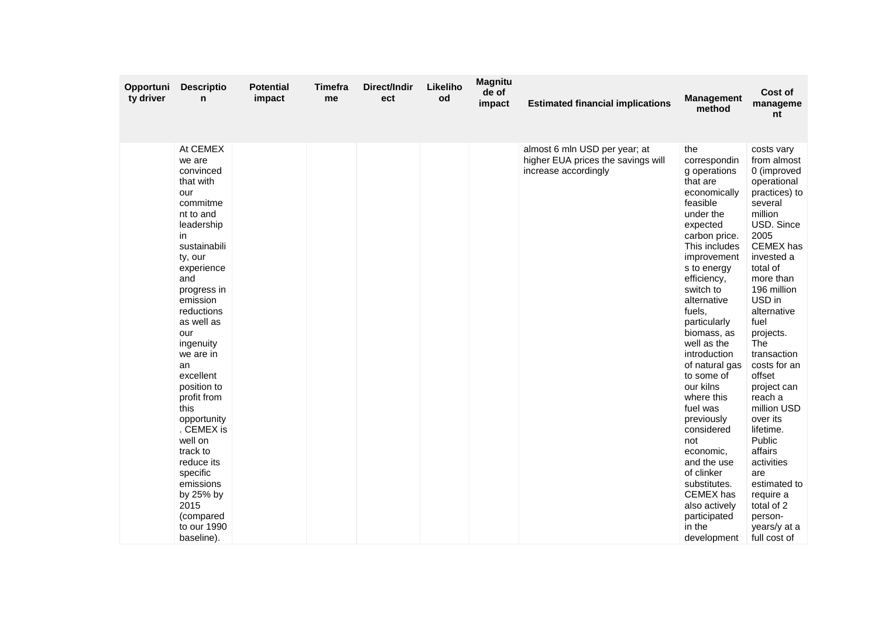| Opportuni<br>ty driver | <b>Descriptio</b><br>n                                                                                                                                                                                                                                                                                                                                                                                                                                      | <b>Potential</b><br>impact | Timefra<br>me | Direct/Indir<br>ect | Likeliho<br>od | <b>Magnitu</b><br>de of<br>impact | <b>Estimated financial implications</b>                                                     | <b>Management</b><br>method                                                                                                                                                                                                                                                                                                                                                                                                                                                                                                        | Cost of<br>manageme<br>nt                                                                                                                                                                                                                                                                                                                                                                                                                                                               |
|------------------------|-------------------------------------------------------------------------------------------------------------------------------------------------------------------------------------------------------------------------------------------------------------------------------------------------------------------------------------------------------------------------------------------------------------------------------------------------------------|----------------------------|---------------|---------------------|----------------|-----------------------------------|---------------------------------------------------------------------------------------------|------------------------------------------------------------------------------------------------------------------------------------------------------------------------------------------------------------------------------------------------------------------------------------------------------------------------------------------------------------------------------------------------------------------------------------------------------------------------------------------------------------------------------------|-----------------------------------------------------------------------------------------------------------------------------------------------------------------------------------------------------------------------------------------------------------------------------------------------------------------------------------------------------------------------------------------------------------------------------------------------------------------------------------------|
|                        | At CEMEX<br>we are<br>convinced<br>that with<br>our<br>commitme<br>nt to and<br>leadership<br>in<br>sustainabili<br>ty, our<br>experience<br>and<br>progress in<br>emission<br>reductions<br>as well as<br>our<br>ingenuity<br>we are in<br>an<br>excellent<br>position to<br>profit from<br>this<br>opportunity<br>. CEMEX is<br>well on<br>track to<br>reduce its<br>specific<br>emissions<br>by 25% by<br>2015<br>(compared<br>to our 1990<br>baseline). |                            |               |                     |                |                                   | almost 6 mln USD per year; at<br>higher EUA prices the savings will<br>increase accordingly | the<br>correspondin<br>g operations<br>that are<br>economically<br>feasible<br>under the<br>expected<br>carbon price.<br>This includes<br>improvement<br>s to energy<br>efficiency,<br>switch to<br>alternative<br>fuels,<br>particularly<br>biomass, as<br>well as the<br>introduction<br>of natural gas<br>to some of<br>our kilns<br>where this<br>fuel was<br>previously<br>considered<br>not<br>economic,<br>and the use<br>of clinker<br>substitutes.<br>CEMEX has<br>also actively<br>participated<br>in the<br>development | costs vary<br>from almost<br>0 (improved<br>operational<br>practices) to<br>several<br>million<br>USD. Since<br>2005<br>CEMEX has<br>invested a<br>total of<br>more than<br>196 million<br>USD in<br>alternative<br>fuel<br>projects.<br>The<br>transaction<br>costs for an<br>offset<br>project can<br>reach a<br>million USD<br>over its<br>lifetime.<br>Public<br>affairs<br>activities<br>are<br>estimated to<br>require a<br>total of 2<br>person-<br>years/y at a<br>full cost of |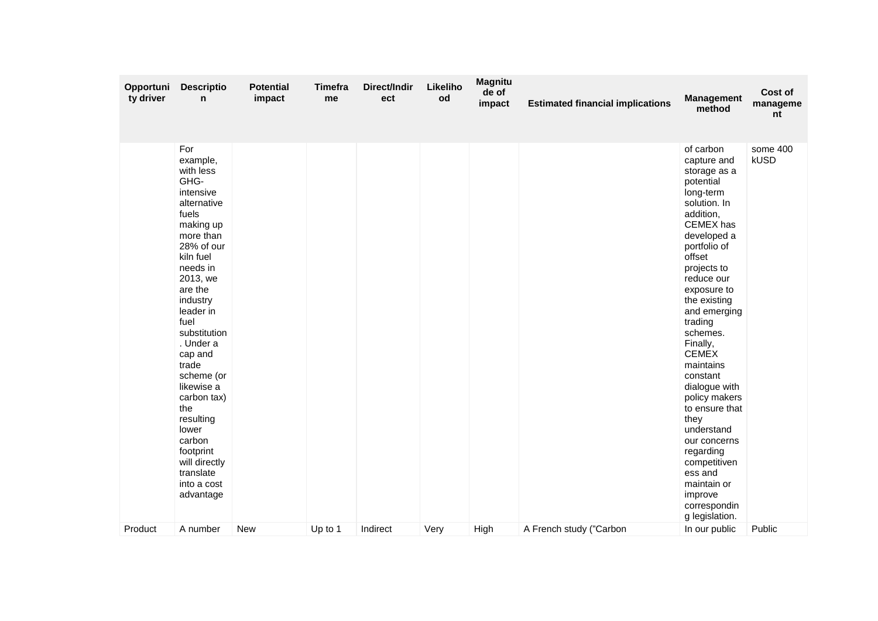| Opportuni<br>ty driver | <b>Descriptio</b><br>n                                                                                                                                                                                                                                                                                                                                                                                       | <b>Potential</b><br>impact | <b>Timefra</b><br>me | Direct/Indir<br>ect | Likeliho<br>od | <b>Magnitu</b><br>de of<br>impact | <b>Estimated financial implications</b> | <b>Management</b><br>method                                                                                                                                                                                                                                                                                                                                                                                                                                                                                 | Cost of<br>manageme<br>nt |
|------------------------|--------------------------------------------------------------------------------------------------------------------------------------------------------------------------------------------------------------------------------------------------------------------------------------------------------------------------------------------------------------------------------------------------------------|----------------------------|----------------------|---------------------|----------------|-----------------------------------|-----------------------------------------|-------------------------------------------------------------------------------------------------------------------------------------------------------------------------------------------------------------------------------------------------------------------------------------------------------------------------------------------------------------------------------------------------------------------------------------------------------------------------------------------------------------|---------------------------|
|                        | For<br>example,<br>with less<br>GHG-<br>intensive<br>alternative<br>fuels<br>making up<br>more than<br>28% of our<br>kiln fuel<br>needs in<br>2013, we<br>are the<br>industry<br>leader in<br>fuel<br>substitution<br>. Under a<br>cap and<br>trade<br>scheme (or<br>likewise a<br>carbon tax)<br>the<br>resulting<br>lower<br>carbon<br>footprint<br>will directly<br>translate<br>into a cost<br>advantage |                            |                      |                     |                |                                   |                                         | of carbon<br>capture and<br>storage as a<br>potential<br>long-term<br>solution. In<br>addition,<br>CEMEX has<br>developed a<br>portfolio of<br>offset<br>projects to<br>reduce our<br>exposure to<br>the existing<br>and emerging<br>trading<br>schemes.<br>Finally,<br><b>CEMEX</b><br>maintains<br>constant<br>dialogue with<br>policy makers<br>to ensure that<br>they<br>understand<br>our concerns<br>regarding<br>competitiven<br>ess and<br>maintain or<br>improve<br>correspondin<br>g legislation. | some 400<br><b>kUSD</b>   |
| Product                | A number                                                                                                                                                                                                                                                                                                                                                                                                     | <b>New</b>                 | Up to 1              | Indirect            | Very           | High                              | A French study ("Carbon                 | In our public                                                                                                                                                                                                                                                                                                                                                                                                                                                                                               | Public                    |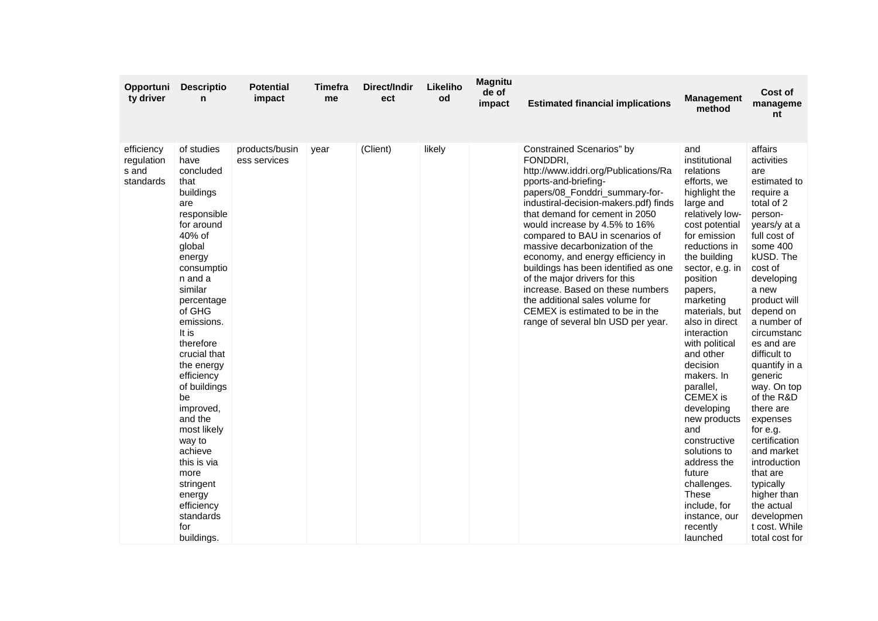| Opportuni<br>ty driver                         | <b>Descriptio</b><br>n                                                                                                                                                                                                                                                                                                                                                                                                                             | <b>Potential</b><br>impact     | <b>Timefra</b><br>me | Direct/Indir<br>ect | Likeliho<br>od | <b>Magnitu</b><br>de of<br>impact | <b>Estimated financial implications</b>                                                                                                                                                                                                                                                                                                                                                                                                                                                                                                                                                | <b>Management</b><br>method                                                                                                                                                                                                                                                                                                                                                                                                                                                                                                                            | Cost of<br>manageme<br>nt                                                                                                                                                                                                                                                                                                                                                                                                                                                                                                  |
|------------------------------------------------|----------------------------------------------------------------------------------------------------------------------------------------------------------------------------------------------------------------------------------------------------------------------------------------------------------------------------------------------------------------------------------------------------------------------------------------------------|--------------------------------|----------------------|---------------------|----------------|-----------------------------------|----------------------------------------------------------------------------------------------------------------------------------------------------------------------------------------------------------------------------------------------------------------------------------------------------------------------------------------------------------------------------------------------------------------------------------------------------------------------------------------------------------------------------------------------------------------------------------------|--------------------------------------------------------------------------------------------------------------------------------------------------------------------------------------------------------------------------------------------------------------------------------------------------------------------------------------------------------------------------------------------------------------------------------------------------------------------------------------------------------------------------------------------------------|----------------------------------------------------------------------------------------------------------------------------------------------------------------------------------------------------------------------------------------------------------------------------------------------------------------------------------------------------------------------------------------------------------------------------------------------------------------------------------------------------------------------------|
| efficiency<br>regulation<br>s and<br>standards | of studies<br>have<br>concluded<br>that<br>buildings<br>are<br>responsible<br>for around<br>40% of<br>global<br>energy<br>consumptio<br>n and a<br>similar<br>percentage<br>of GHG<br>emissions.<br>It is<br>therefore<br>crucial that<br>the energy<br>efficiency<br>of buildings<br>be<br>improved,<br>and the<br>most likely<br>way to<br>achieve<br>this is via<br>more<br>stringent<br>energy<br>efficiency<br>standards<br>for<br>buildings. | products/busin<br>ess services | year                 | (Client)            | likely         |                                   | Constrained Scenarios" by<br>FONDDRI.<br>http://www.iddri.org/Publications/Ra<br>pports-and-briefing-<br>papers/08_Fonddri_summary-for-<br>industiral-decision-makers.pdf) finds<br>that demand for cement in 2050<br>would increase by 4.5% to 16%<br>compared to BAU in scenarios of<br>massive decarbonization of the<br>economy, and energy efficiency in<br>buildings has been identified as one<br>of the major drivers for this<br>increase. Based on these numbers<br>the additional sales volume for<br>CEMEX is estimated to be in the<br>range of several bln USD per year. | and<br>institutional<br>relations<br>efforts, we<br>highlight the<br>large and<br>relatively low-<br>cost potential<br>for emission<br>reductions in<br>the building<br>sector, e.g. in<br>position<br>papers,<br>marketing<br>materials, but<br>also in direct<br>interaction<br>with political<br>and other<br>decision<br>makers. In<br>parallel,<br><b>CEMEX</b> is<br>developing<br>new products<br>and<br>constructive<br>solutions to<br>address the<br>future<br>challenges.<br>These<br>include, for<br>instance, our<br>recently<br>launched | affairs<br>activities<br>are<br>estimated to<br>require a<br>total of 2<br>person-<br>years/y at a<br>full cost of<br>some 400<br>kUSD. The<br>cost of<br>developing<br>a new<br>product will<br>depend on<br>a number of<br>circumstanc<br>es and are<br>difficult to<br>quantify in a<br>generic<br>way. On top<br>of the R&D<br>there are<br>expenses<br>for e.g.<br>certification<br>and market<br>introduction<br>that are<br>typically<br>higher than<br>the actual<br>developmen<br>t cost. While<br>total cost for |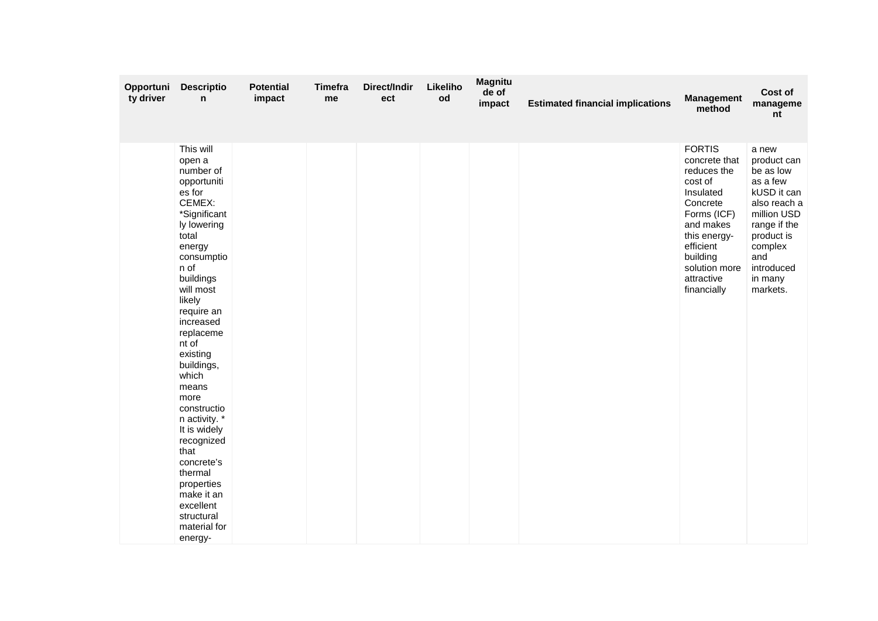| Opportuni<br>ty driver | <b>Descriptio</b><br>n                                                                                                                                                                                                                                                                                                                                                                                                                                                | <b>Potential</b><br>impact | <b>Timefra</b><br>me | Direct/Indir<br>ect | Likeliho<br>od | <b>Magnitu</b><br>de of<br>impact | <b>Estimated financial implications</b> | <b>Management</b><br>method                                                                                                                                                                          | Cost of<br>manageme<br>nt                                                                                                                                                        |
|------------------------|-----------------------------------------------------------------------------------------------------------------------------------------------------------------------------------------------------------------------------------------------------------------------------------------------------------------------------------------------------------------------------------------------------------------------------------------------------------------------|----------------------------|----------------------|---------------------|----------------|-----------------------------------|-----------------------------------------|------------------------------------------------------------------------------------------------------------------------------------------------------------------------------------------------------|----------------------------------------------------------------------------------------------------------------------------------------------------------------------------------|
|                        | This will<br>open a<br>number of<br>opportuniti<br>es for<br>CEMEX:<br>*Significant<br>ly lowering<br>total<br>energy<br>consumptio<br>n of<br>buildings<br>will most<br>likely<br>require an<br>increased<br>replaceme<br>nt of<br>existing<br>buildings,<br>which<br>means<br>more<br>constructio<br>n activity. *<br>It is widely<br>recognized<br>that<br>concrete's<br>thermal<br>properties<br>make it an<br>excellent<br>structural<br>material for<br>energy- |                            |                      |                     |                |                                   |                                         | <b>FORTIS</b><br>concrete that<br>reduces the<br>cost of<br>Insulated<br>Concrete<br>Forms (ICF)<br>and makes<br>this energy-<br>efficient<br>building<br>solution more<br>attractive<br>financially | a new<br>product can<br>be as low<br>as a few<br>kUSD it can<br>also reach a<br>million USD<br>range if the<br>product is<br>complex<br>and<br>introduced<br>in many<br>markets. |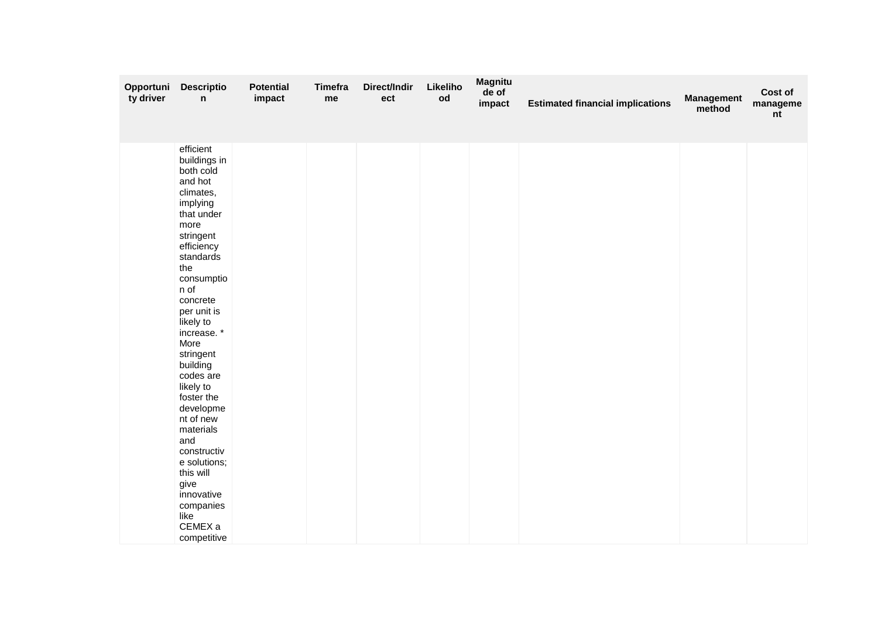| Opportuni<br>ty driver | <b>Descriptio</b><br>n                                                                                                                                                                                                                                                                                                                                                                                                                                              | <b>Potential</b><br>impact | <b>Timefra</b><br>me | Direct/Indir<br>ect | Likeliho<br>$\mathsf{od}$ | <b>Magnitu</b><br>de of<br>impact | <b>Estimated financial implications</b> | <b>Management</b><br>method | Cost of<br>manageme<br>nt |
|------------------------|---------------------------------------------------------------------------------------------------------------------------------------------------------------------------------------------------------------------------------------------------------------------------------------------------------------------------------------------------------------------------------------------------------------------------------------------------------------------|----------------------------|----------------------|---------------------|---------------------------|-----------------------------------|-----------------------------------------|-----------------------------|---------------------------|
|                        | efficient<br>buildings in<br>both cold<br>and hot<br>climates,<br>implying<br>that under<br>more<br>stringent<br>efficiency<br>standards<br>the<br>consumptio<br>n of<br>concrete<br>per unit is<br>likely to<br>increase.*<br>More<br>stringent<br>building<br>codes are<br>likely to<br>foster the<br>developme<br>nt of new<br>materials<br>and<br>constructiv<br>e solutions;<br>this will<br>give<br>innovative<br>companies<br>like<br>CEMEX a<br>competitive |                            |                      |                     |                           |                                   |                                         |                             |                           |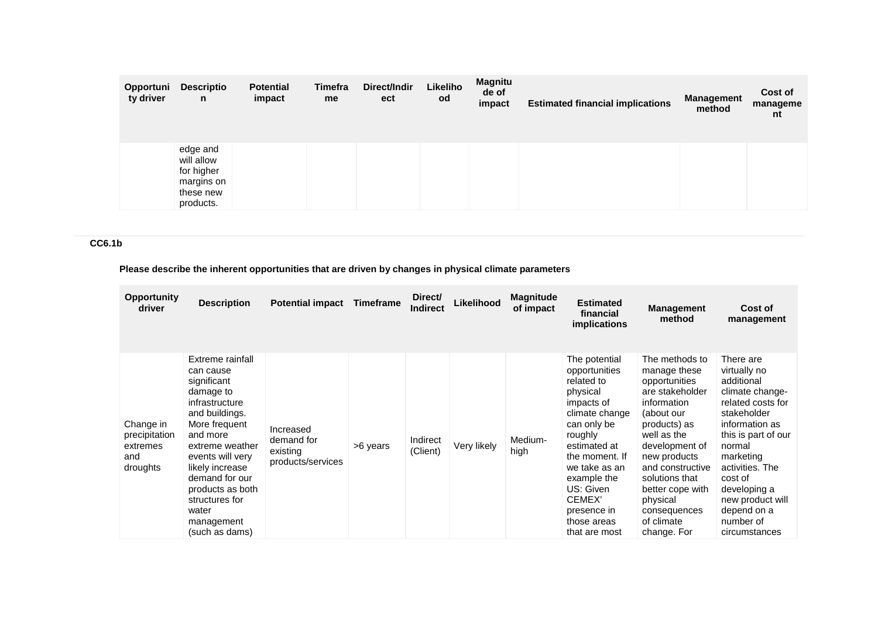| Opportuni<br>ty driver | <b>Descriptio</b><br>n                                                       | <b>Potential</b><br>impact | Timefra<br>me | Direct/Indir<br>ect | Likeliho<br>od | <b>Magnitu</b><br>de of<br>impact | <b>Estimated financial implications</b> | <b>Management</b><br>method | Cost of<br>manageme<br>nt |
|------------------------|------------------------------------------------------------------------------|----------------------------|---------------|---------------------|----------------|-----------------------------------|-----------------------------------------|-----------------------------|---------------------------|
|                        | edge and<br>will allow<br>for higher<br>margins on<br>these new<br>products. |                            |               |                     |                |                                   |                                         |                             |                           |

# **CC6.1b**

# **Please describe the inherent opportunities that are driven by changes in physical climate parameters**

| <b>Opportunity</b><br>driver                              | <b>Description</b>                                                                                                                                                                                                                                                                    | <b>Potential impact</b>                                  | <b>Timeframe</b> | Direct/<br><b>Indirect</b> | Likelihood  | <b>Magnitude</b><br>of impact | <b>Estimated</b><br>financial<br>implications                                                                                                                                                                                                              | <b>Management</b><br>method                                                                                                                                                                                                                                                         | Cost of<br>management                                                                                                                                                                                                                                                         |
|-----------------------------------------------------------|---------------------------------------------------------------------------------------------------------------------------------------------------------------------------------------------------------------------------------------------------------------------------------------|----------------------------------------------------------|------------------|----------------------------|-------------|-------------------------------|------------------------------------------------------------------------------------------------------------------------------------------------------------------------------------------------------------------------------------------------------------|-------------------------------------------------------------------------------------------------------------------------------------------------------------------------------------------------------------------------------------------------------------------------------------|-------------------------------------------------------------------------------------------------------------------------------------------------------------------------------------------------------------------------------------------------------------------------------|
| Change in<br>precipitation<br>extremes<br>and<br>droughts | Extreme rainfall<br>can cause<br>significant<br>damage to<br>infrastructure<br>and buildings.<br>More frequent<br>and more<br>extreme weather<br>events will very<br>likely increase<br>demand for our<br>products as both<br>structures for<br>water<br>management<br>(such as dams) | Increased<br>demand for<br>existing<br>products/services | >6 years         | Indirect<br>(Client)       | Very likely | Medium-<br>high               | The potential<br>opportunities<br>related to<br>physical<br>impacts of<br>climate change<br>can only be<br>roughly<br>estimated at<br>the moment. If<br>we take as an<br>example the<br>US: Given<br>CEMEX'<br>presence in<br>those areas<br>that are most | The methods to<br>manage these<br>opportunities<br>are stakeholder<br>information<br>(about our<br>products) as<br>well as the<br>development of<br>new products<br>and constructive<br>solutions that<br>better cope with<br>physical<br>consequences<br>of climate<br>change. For | There are<br>virtually no<br>additional<br>climate change-<br>related costs for<br>stakeholder<br>information as<br>this is part of our<br>normal<br>marketing<br>activities. The<br>cost of<br>developing a<br>new product will<br>depend on a<br>number of<br>circumstances |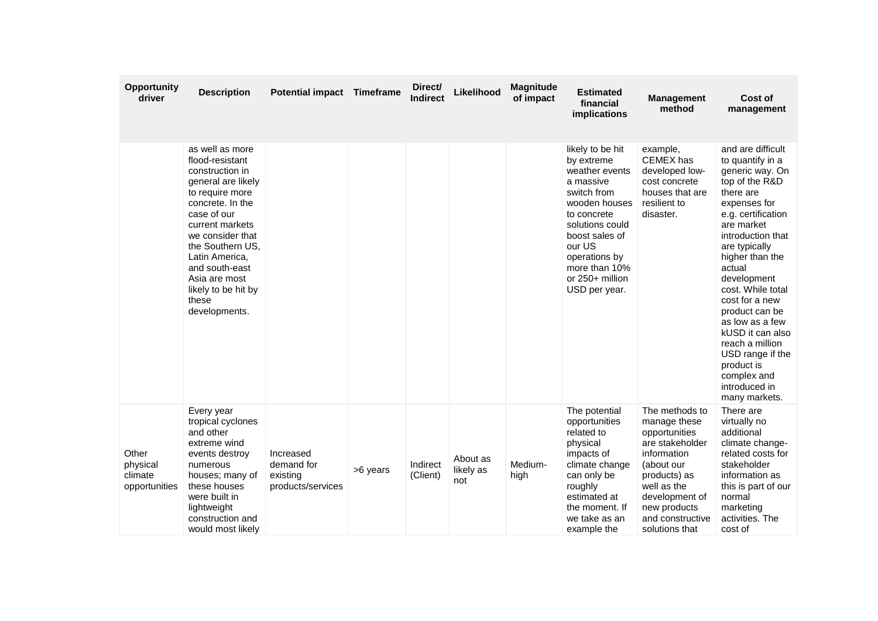| <b>Opportunity</b><br>driver                  | <b>Description</b>                                                                                                                                                                                                                                                                                 | Potential impact Timeframe                               |          | Direct/<br><b>Indirect</b> | Likelihood                   | <b>Magnitude</b><br>of impact | <b>Estimated</b><br>financial<br>implications                                                                                                                                                                                     | <b>Management</b><br>method                                                                                                                                                                            | Cost of<br>management                                                                                                                                                                                                                                                                                                                                                                                                               |
|-----------------------------------------------|----------------------------------------------------------------------------------------------------------------------------------------------------------------------------------------------------------------------------------------------------------------------------------------------------|----------------------------------------------------------|----------|----------------------------|------------------------------|-------------------------------|-----------------------------------------------------------------------------------------------------------------------------------------------------------------------------------------------------------------------------------|--------------------------------------------------------------------------------------------------------------------------------------------------------------------------------------------------------|-------------------------------------------------------------------------------------------------------------------------------------------------------------------------------------------------------------------------------------------------------------------------------------------------------------------------------------------------------------------------------------------------------------------------------------|
|                                               | as well as more<br>flood-resistant<br>construction in<br>general are likely<br>to require more<br>concrete. In the<br>case of our<br>current markets<br>we consider that<br>the Southern US.<br>Latin America,<br>and south-east<br>Asia are most<br>likely to be hit by<br>these<br>developments. |                                                          |          |                            |                              |                               | likely to be hit<br>by extreme<br>weather events<br>a massive<br>switch from<br>wooden houses<br>to concrete<br>solutions could<br>boost sales of<br>our US<br>operations by<br>more than 10%<br>or 250+ million<br>USD per year. | example,<br>CEMEX has<br>developed low-<br>cost concrete<br>houses that are<br>resilient to<br>disaster.                                                                                               | and are difficult<br>to quantify in a<br>generic way. On<br>top of the R&D<br>there are<br>expenses for<br>e.g. certification<br>are market<br>introduction that<br>are typically<br>higher than the<br>actual<br>development<br>cost. While total<br>cost for a new<br>product can be<br>as low as a few<br>kUSD it can also<br>reach a million<br>USD range if the<br>product is<br>complex and<br>introduced in<br>many markets. |
| Other<br>physical<br>climate<br>opportunities | Every year<br>tropical cyclones<br>and other<br>extreme wind<br>events destroy<br>numerous<br>houses; many of<br>these houses<br>were built in<br>lightweight<br>construction and<br>would most likely                                                                                             | Increased<br>demand for<br>existing<br>products/services | >6 years | Indirect<br>(Client)       | About as<br>likely as<br>not | Medium-<br>high               | The potential<br>opportunities<br>related to<br>physical<br>impacts of<br>climate change<br>can only be<br>roughly<br>estimated at<br>the moment. If<br>we take as an<br>example the                                              | The methods to<br>manage these<br>opportunities<br>are stakeholder<br>information<br>(about our<br>products) as<br>well as the<br>development of<br>new products<br>and constructive<br>solutions that | There are<br>virtually no<br>additional<br>climate change-<br>related costs for<br>stakeholder<br>information as<br>this is part of our<br>normal<br>marketing<br>activities. The<br>cost of                                                                                                                                                                                                                                        |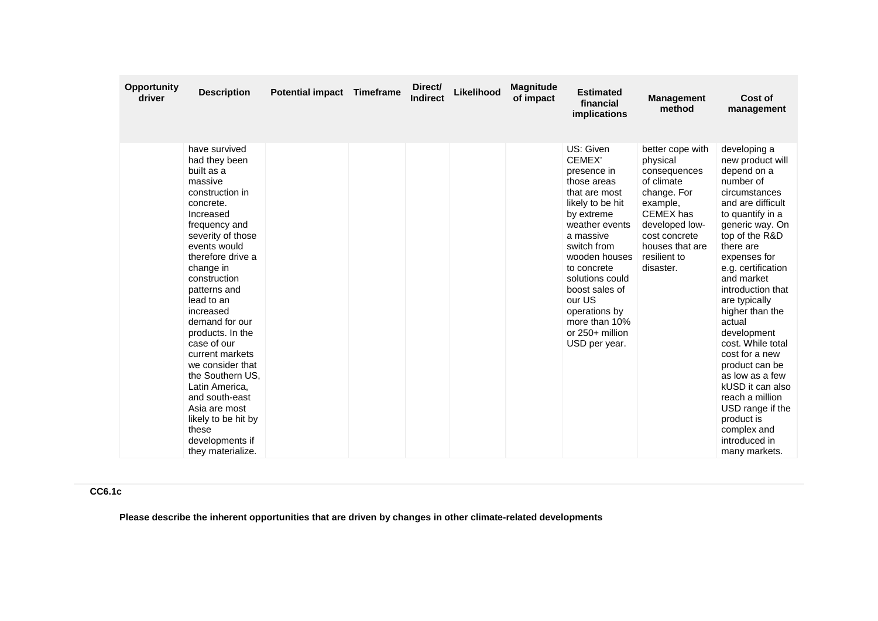| <b>Opportunity</b><br>driver | <b>Description</b>                                                                                                                                                                                                                                                                                                                                                                                                                                                                                   | <b>Potential impact</b> | Timeframe | Direct/<br><b>Indirect</b> | Likelihood | <b>Magnitude</b><br>of impact | <b>Estimated</b><br>financial<br><i>implications</i>                                                                                                                                                                                                                                                    | <b>Management</b><br>method                                                                                                                                                           | Cost of<br>management                                                                                                                                                                                                                                                                                                                                                                                                                                                                                                |
|------------------------------|------------------------------------------------------------------------------------------------------------------------------------------------------------------------------------------------------------------------------------------------------------------------------------------------------------------------------------------------------------------------------------------------------------------------------------------------------------------------------------------------------|-------------------------|-----------|----------------------------|------------|-------------------------------|---------------------------------------------------------------------------------------------------------------------------------------------------------------------------------------------------------------------------------------------------------------------------------------------------------|---------------------------------------------------------------------------------------------------------------------------------------------------------------------------------------|----------------------------------------------------------------------------------------------------------------------------------------------------------------------------------------------------------------------------------------------------------------------------------------------------------------------------------------------------------------------------------------------------------------------------------------------------------------------------------------------------------------------|
|                              | have survived<br>had they been<br>built as a<br>massive<br>construction in<br>concrete.<br>Increased<br>frequency and<br>severity of those<br>events would<br>therefore drive a<br>change in<br>construction<br>patterns and<br>lead to an<br>increased<br>demand for our<br>products. In the<br>case of our<br>current markets<br>we consider that<br>the Southern US.<br>Latin America,<br>and south-east<br>Asia are most<br>likely to be hit by<br>these<br>developments if<br>they materialize. |                         |           |                            |            |                               | US: Given<br>CEMEX'<br>presence in<br>those areas<br>that are most<br>likely to be hit<br>by extreme<br>weather events<br>a massive<br>switch from<br>wooden houses<br>to concrete<br>solutions could<br>boost sales of<br>our US<br>operations by<br>more than 10%<br>or 250+ million<br>USD per year. | better cope with<br>physical<br>consequences<br>of climate<br>change. For<br>example,<br>CEMEX has<br>developed low-<br>cost concrete<br>houses that are<br>resilient to<br>disaster. | developing a<br>new product will<br>depend on a<br>number of<br>circumstances<br>and are difficult<br>to quantify in a<br>generic way. On<br>top of the R&D<br>there are<br>expenses for<br>e.g. certification<br>and market<br>introduction that<br>are typically<br>higher than the<br>actual<br>development<br>cost. While total<br>cost for a new<br>product can be<br>as low as a few<br>kUSD it can also<br>reach a million<br>USD range if the<br>product is<br>complex and<br>introduced in<br>many markets. |

# **CC6.1c**

**Please describe the inherent opportunities that are driven by changes in other climate-related developments**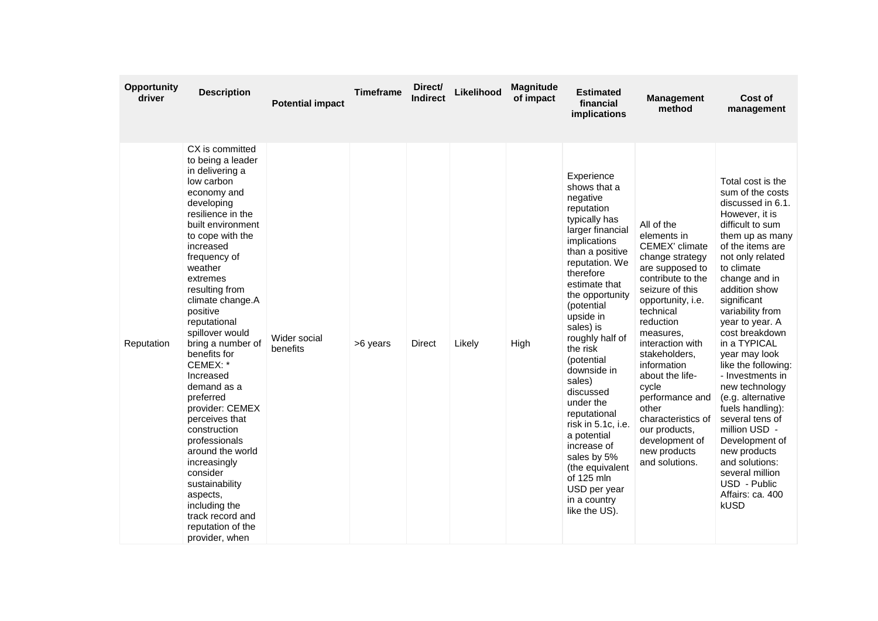| Opportunity<br>driver | <b>Description</b>                                                                                                                                                                                                                                                                                                                                                                                                                                                                                                                                                                                                                  | <b>Potential impact</b>  | <b>Timeframe</b> | Direct/<br><b>Indirect</b> | Likelihood | <b>Magnitude</b><br>of impact | <b>Estimated</b><br>financial<br>implications                                                                                                                                                                                                                                                                                                                                                                                                                                                                | <b>Management</b><br>method                                                                                                                                                                                                                                                                                                                                                                  | Cost of<br>management                                                                                                                                                                                                                                                                                                                                                                                                                                                                                                                                                                    |
|-----------------------|-------------------------------------------------------------------------------------------------------------------------------------------------------------------------------------------------------------------------------------------------------------------------------------------------------------------------------------------------------------------------------------------------------------------------------------------------------------------------------------------------------------------------------------------------------------------------------------------------------------------------------------|--------------------------|------------------|----------------------------|------------|-------------------------------|--------------------------------------------------------------------------------------------------------------------------------------------------------------------------------------------------------------------------------------------------------------------------------------------------------------------------------------------------------------------------------------------------------------------------------------------------------------------------------------------------------------|----------------------------------------------------------------------------------------------------------------------------------------------------------------------------------------------------------------------------------------------------------------------------------------------------------------------------------------------------------------------------------------------|------------------------------------------------------------------------------------------------------------------------------------------------------------------------------------------------------------------------------------------------------------------------------------------------------------------------------------------------------------------------------------------------------------------------------------------------------------------------------------------------------------------------------------------------------------------------------------------|
| Reputation            | CX is committed<br>to being a leader<br>in delivering a<br>low carbon<br>economy and<br>developing<br>resilience in the<br>built environment<br>to cope with the<br>increased<br>frequency of<br>weather<br>extremes<br>resulting from<br>climate change.A<br>positive<br>reputational<br>spillover would<br>bring a number of<br>benefits for<br>CEMEX: *<br>Increased<br>demand as a<br>preferred<br>provider: CEMEX<br>perceives that<br>construction<br>professionals<br>around the world<br>increasingly<br>consider<br>sustainability<br>aspects,<br>including the<br>track record and<br>reputation of the<br>provider, when | Wider social<br>benefits | >6 years         | Direct                     | Likely     | High                          | Experience<br>shows that a<br>negative<br>reputation<br>typically has<br>larger financial<br>implications<br>than a positive<br>reputation. We<br>therefore<br>estimate that<br>the opportunity<br>(potential<br>upside in<br>sales) is<br>roughly half of<br>the risk<br>(potential<br>downside in<br>sales)<br>discussed<br>under the<br>reputational<br>risk in 5.1c, i.e.<br>a potential<br>increase of<br>sales by 5%<br>(the equivalent<br>of 125 mln<br>USD per year<br>in a country<br>like the US). | All of the<br>elements in<br>CEMEX' climate<br>change strategy<br>are supposed to<br>contribute to the<br>seizure of this<br>opportunity, i.e.<br>technical<br>reduction<br>measures,<br>interaction with<br>stakeholders,<br>information<br>about the life-<br>cycle<br>performance and<br>other<br>characteristics of<br>our products.<br>development of<br>new products<br>and solutions. | Total cost is the<br>sum of the costs<br>discussed in 6.1.<br>However, it is<br>difficult to sum<br>them up as many<br>of the items are<br>not only related<br>to climate<br>change and in<br>addition show<br>significant<br>variability from<br>year to year. A<br>cost breakdown<br>in a TYPICAL<br>year may look<br>like the following:<br>- Investments in<br>new technology<br>(e.g. alternative<br>fuels handling):<br>several tens of<br>million USD -<br>Development of<br>new products<br>and solutions:<br>several million<br>USD - Public<br>Affairs: ca. 400<br><b>kUSD</b> |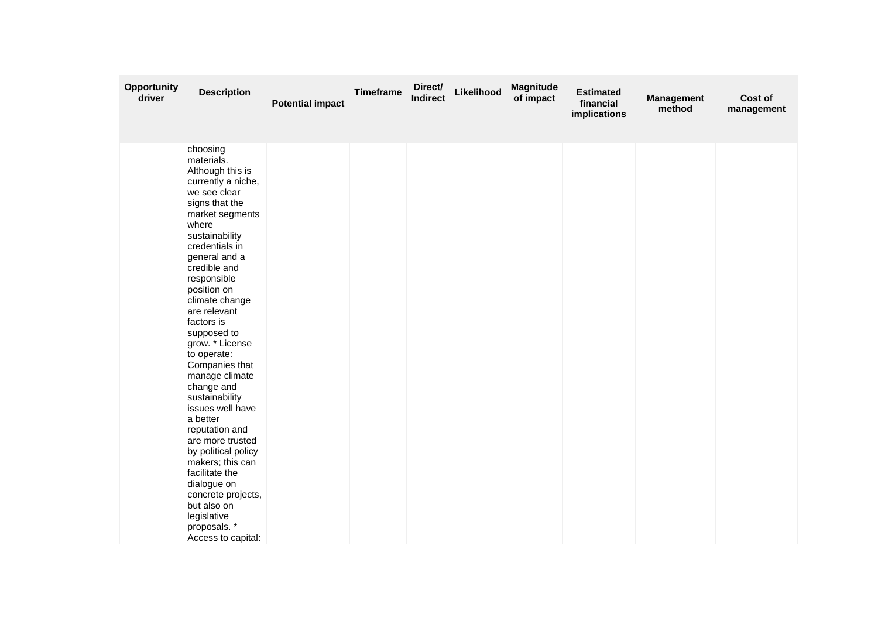| <b>Opportunity</b><br>driver | <b>Description</b>                                                                                                                                                                                                                                                                                                                                                                                                                                                                                                                                                                                                                                 | <b>Potential impact</b> | <b>Timeframe</b> | Direct/<br><b>Indirect</b> | Likelihood | <b>Magnitude</b><br>of impact | <b>Estimated</b><br>financial<br>implications | <b>Management</b><br>method | Cost of<br>management |
|------------------------------|----------------------------------------------------------------------------------------------------------------------------------------------------------------------------------------------------------------------------------------------------------------------------------------------------------------------------------------------------------------------------------------------------------------------------------------------------------------------------------------------------------------------------------------------------------------------------------------------------------------------------------------------------|-------------------------|------------------|----------------------------|------------|-------------------------------|-----------------------------------------------|-----------------------------|-----------------------|
|                              | choosing<br>materials.<br>Although this is<br>currently a niche,<br>we see clear<br>signs that the<br>market segments<br>where<br>sustainability<br>credentials in<br>general and a<br>credible and<br>responsible<br>position on<br>climate change<br>are relevant<br>factors is<br>supposed to<br>grow. * License<br>to operate:<br>Companies that<br>manage climate<br>change and<br>sustainability<br>issues well have<br>a better<br>reputation and<br>are more trusted<br>by political policy<br>makers; this can<br>facilitate the<br>dialogue on<br>concrete projects,<br>but also on<br>legislative<br>proposals. *<br>Access to capital: |                         |                  |                            |            |                               |                                               |                             |                       |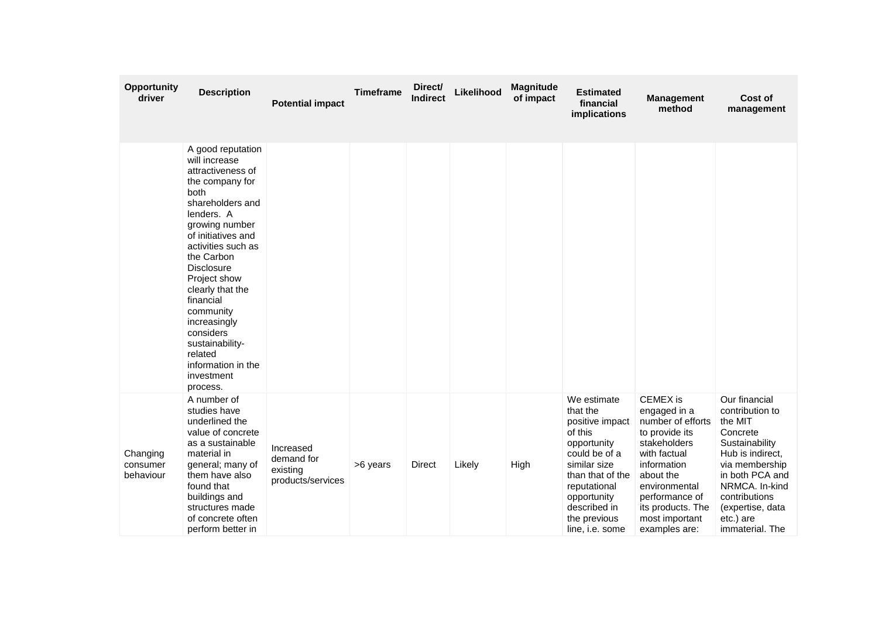| Opportunity<br>driver             | <b>Description</b>                                                                                                                                                                                                                                                                                                                                                                             | <b>Potential impact</b>                                  | <b>Timeframe</b> | Direct/<br><b>Indirect</b> | Likelihood | <b>Magnitude</b><br>of impact | <b>Estimated</b><br>financial<br>implications                                                                                                                                                               | <b>Management</b><br>method                                                                                                                                                                                                   | Cost of<br>management                                                                                                                                                                                                     |
|-----------------------------------|------------------------------------------------------------------------------------------------------------------------------------------------------------------------------------------------------------------------------------------------------------------------------------------------------------------------------------------------------------------------------------------------|----------------------------------------------------------|------------------|----------------------------|------------|-------------------------------|-------------------------------------------------------------------------------------------------------------------------------------------------------------------------------------------------------------|-------------------------------------------------------------------------------------------------------------------------------------------------------------------------------------------------------------------------------|---------------------------------------------------------------------------------------------------------------------------------------------------------------------------------------------------------------------------|
|                                   | A good reputation<br>will increase<br>attractiveness of<br>the company for<br>both<br>shareholders and<br>lenders. A<br>growing number<br>of initiatives and<br>activities such as<br>the Carbon<br><b>Disclosure</b><br>Project show<br>clearly that the<br>financial<br>community<br>increasingly<br>considers<br>sustainability-<br>related<br>information in the<br>investment<br>process. |                                                          |                  |                            |            |                               |                                                                                                                                                                                                             |                                                                                                                                                                                                                               |                                                                                                                                                                                                                           |
| Changing<br>consumer<br>behaviour | A number of<br>studies have<br>underlined the<br>value of concrete<br>as a sustainable<br>material in<br>general; many of<br>them have also<br>found that<br>buildings and<br>structures made<br>of concrete often<br>perform better in                                                                                                                                                        | Increased<br>demand for<br>existing<br>products/services | >6 years         | <b>Direct</b>              | Likely     | High                          | We estimate<br>that the<br>positive impact<br>of this<br>opportunity<br>could be of a<br>similar size<br>than that of the<br>reputational<br>opportunity<br>described in<br>the previous<br>line, i.e. some | <b>CEMEX</b> is<br>engaged in a<br>number of efforts<br>to provide its<br>stakeholders<br>with factual<br>information<br>about the<br>environmental<br>performance of<br>its products. The<br>most important<br>examples are: | Our financial<br>contribution to<br>the MIT<br>Concrete<br>Sustainability<br>Hub is indirect.<br>via membership<br>in both PCA and<br>NRMCA, In-kind<br>contributions<br>(expertise, data<br>etc.) are<br>immaterial. The |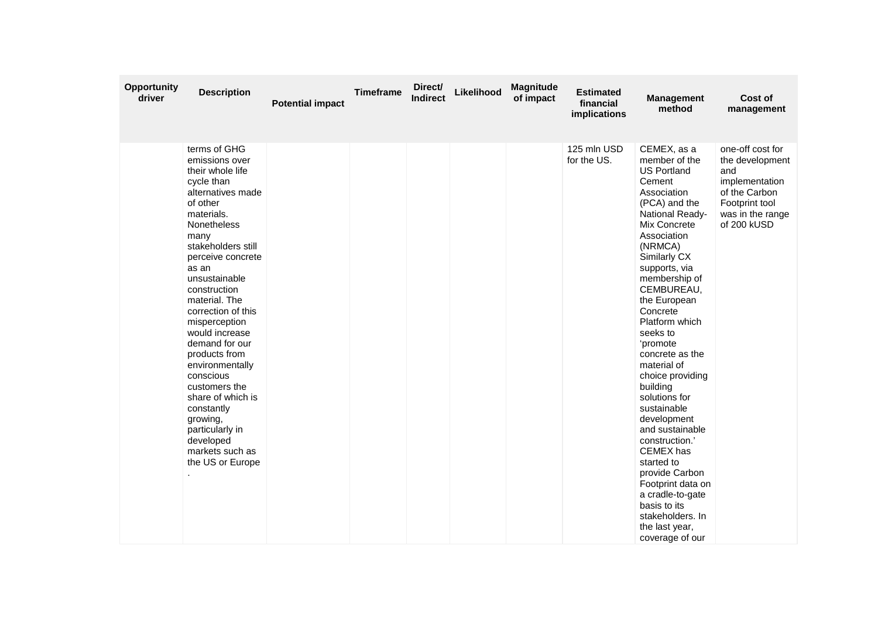| <b>Opportunity</b><br>driver | <b>Description</b>                                                                                                                                                                                                                                                                                                                                                                                                                                                                                              | <b>Potential impact</b> | <b>Timeframe</b> | Direct/<br><b>Indirect</b> | Likelihood | <b>Magnitude</b><br>of impact | <b>Estimated</b><br>financial<br>implications | <b>Management</b><br>method                                                                                                                                                                                                                                                                                                                                                                                                                                                                                                                                                                                          | Cost of<br>management                                                                                                              |
|------------------------------|-----------------------------------------------------------------------------------------------------------------------------------------------------------------------------------------------------------------------------------------------------------------------------------------------------------------------------------------------------------------------------------------------------------------------------------------------------------------------------------------------------------------|-------------------------|------------------|----------------------------|------------|-------------------------------|-----------------------------------------------|----------------------------------------------------------------------------------------------------------------------------------------------------------------------------------------------------------------------------------------------------------------------------------------------------------------------------------------------------------------------------------------------------------------------------------------------------------------------------------------------------------------------------------------------------------------------------------------------------------------------|------------------------------------------------------------------------------------------------------------------------------------|
|                              | terms of GHG<br>emissions over<br>their whole life<br>cycle than<br>alternatives made<br>of other<br>materials.<br>Nonetheless<br>many<br>stakeholders still<br>perceive concrete<br>as an<br>unsustainable<br>construction<br>material. The<br>correction of this<br>misperception<br>would increase<br>demand for our<br>products from<br>environmentally<br>conscious<br>customers the<br>share of which is<br>constantly<br>growing,<br>particularly in<br>developed<br>markets such as<br>the US or Europe |                         |                  |                            |            |                               | 125 mln USD<br>for the US.                    | CEMEX, as a<br>member of the<br><b>US Portland</b><br>Cement<br>Association<br>(PCA) and the<br>National Ready-<br>Mix Concrete<br>Association<br>(NRMCA)<br>Similarly CX<br>supports, via<br>membership of<br>CEMBUREAU,<br>the European<br>Concrete<br>Platform which<br>seeks to<br>'promote<br>concrete as the<br>material of<br>choice providing<br>building<br>solutions for<br>sustainable<br>development<br>and sustainable<br>construction.'<br>CEMEX has<br>started to<br>provide Carbon<br>Footprint data on<br>a cradle-to-gate<br>basis to its<br>stakeholders. In<br>the last year,<br>coverage of our | one-off cost for<br>the development<br>and<br>implementation<br>of the Carbon<br>Footprint tool<br>was in the range<br>of 200 kUSD |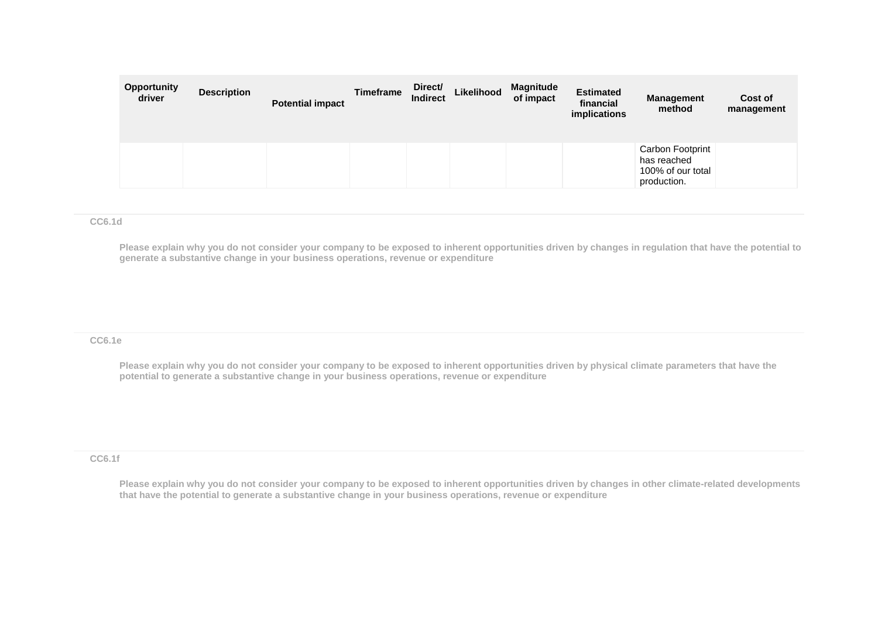| <b>Opportunity</b><br>driver | <b>Description</b> | <b>Potential impact</b> | Timeframe | Direct/<br><b>Indirect</b> | Likelihood | <b>Magnitude</b><br>of impact | <b>Estimated</b><br>financial<br>implications | Management<br>method                                                | Cost of<br>management |
|------------------------------|--------------------|-------------------------|-----------|----------------------------|------------|-------------------------------|-----------------------------------------------|---------------------------------------------------------------------|-----------------------|
|                              |                    |                         |           |                            |            |                               |                                               | Carbon Footprint<br>has reached<br>100% of our total<br>production. |                       |

#### **CC6.1d**

**Please explain why you do not consider your company to be exposed to inherent opportunities driven by changes in regulation that have the potential to generate a substantive change in your business operations, revenue or expenditure**

#### **CC6.1e**

**Please explain why you do not consider your company to be exposed to inherent opportunities driven by physical climate parameters that have the potential to generate a substantive change in your business operations, revenue or expenditure**

#### **CC6.1f**

**Please explain why you do not consider your company to be exposed to inherent opportunities driven by changes in other climate-related developments that have the potential to generate a substantive change in your business operations, revenue or expenditure**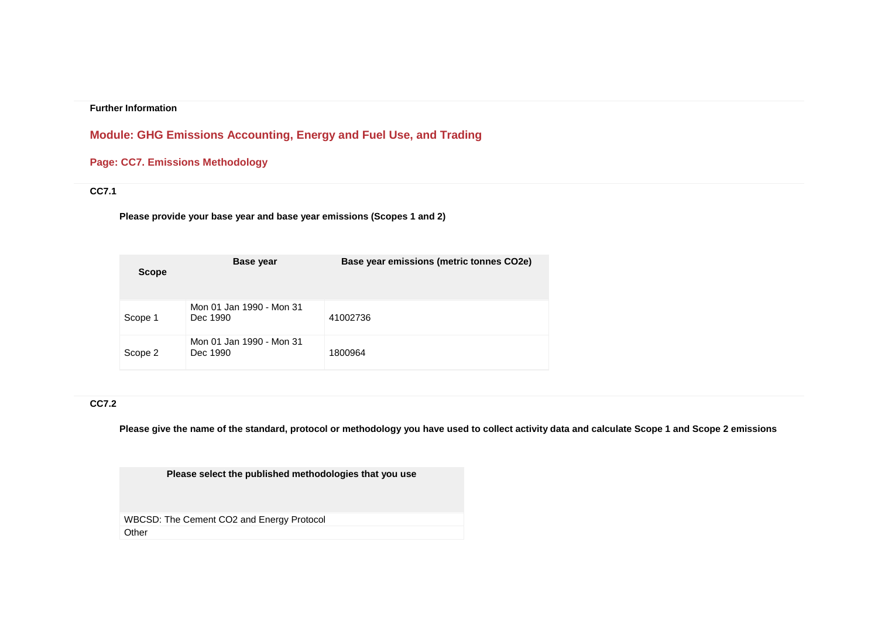# **Module: GHG Emissions Accounting, Energy and Fuel Use, and Trading**

# **Page: CC7. Emissions Methodology**

# **CC7.1**

**Please provide your base year and base year emissions (Scopes 1 and 2)**

| <b>Scope</b> | <b>Base year</b>                     | Base year emissions (metric tonnes CO2e) |
|--------------|--------------------------------------|------------------------------------------|
| Scope 1      | Mon 01 Jan 1990 - Mon 31<br>Dec 1990 | 41002736                                 |
| Scope 2      | Mon 01 Jan 1990 - Mon 31<br>Dec 1990 | 1800964                                  |

### **CC7.2**

**Please give the name of the standard, protocol or methodology you have used to collect activity data and calculate Scope 1 and Scope 2 emissions** 

**Please select the published methodologies that you use**

WBCSD: The Cement CO2 and Energy Protocol Other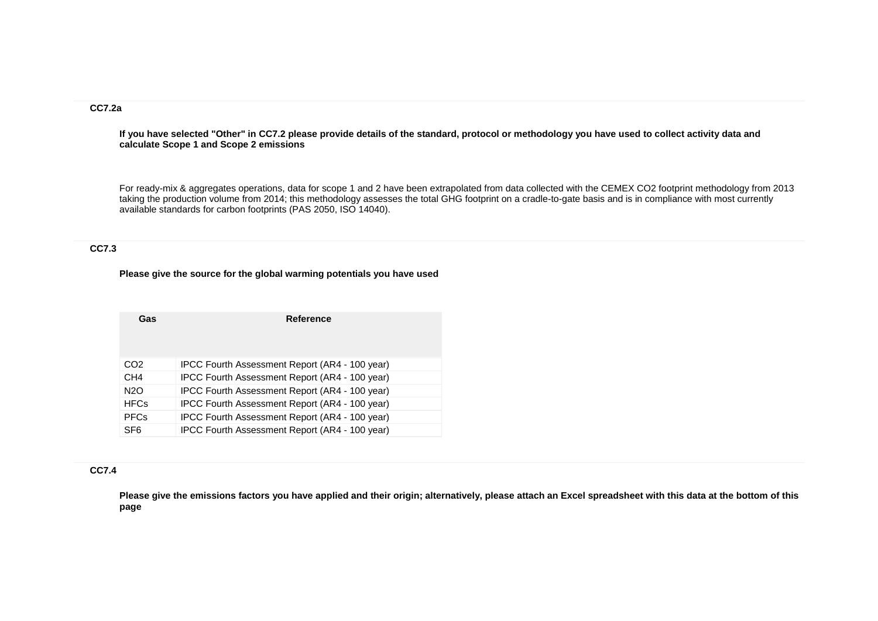# **CC7.2a**

**If you have selected "Other" in CC7.2 please provide details of the standard, protocol or methodology you have used to collect activity data and calculate Scope 1 and Scope 2 emissions**

For ready-mix & aggregates operations, data for scope 1 and 2 have been extrapolated from data collected with the CEMEX CO2 footprint methodology from 2013 taking the production volume from 2014; this methodology assesses the total GHG footprint on a cradle-to-gate basis and is in compliance with most currently available standards for carbon footprints (PAS 2050, ISO 14040).

### **CC7.3**

#### **Please give the source for the global warming potentials you have used**

| Gas              | <b>Reference</b>                               |
|------------------|------------------------------------------------|
|                  |                                                |
| CO <sub>2</sub>  | IPCC Fourth Assessment Report (AR4 - 100 year) |
| CH <sub>4</sub>  | IPCC Fourth Assessment Report (AR4 - 100 year) |
| N <sub>2</sub> O | IPCC Fourth Assessment Report (AR4 - 100 year) |
| <b>HFCs</b>      | IPCC Fourth Assessment Report (AR4 - 100 year) |
| <b>PFCs</b>      | IPCC Fourth Assessment Report (AR4 - 100 year) |
| SF <sub>6</sub>  | IPCC Fourth Assessment Report (AR4 - 100 year) |

### **CC7.4**

**Please give the emissions factors you have applied and their origin; alternatively, please attach an Excel spreadsheet with this data at the bottom of this page**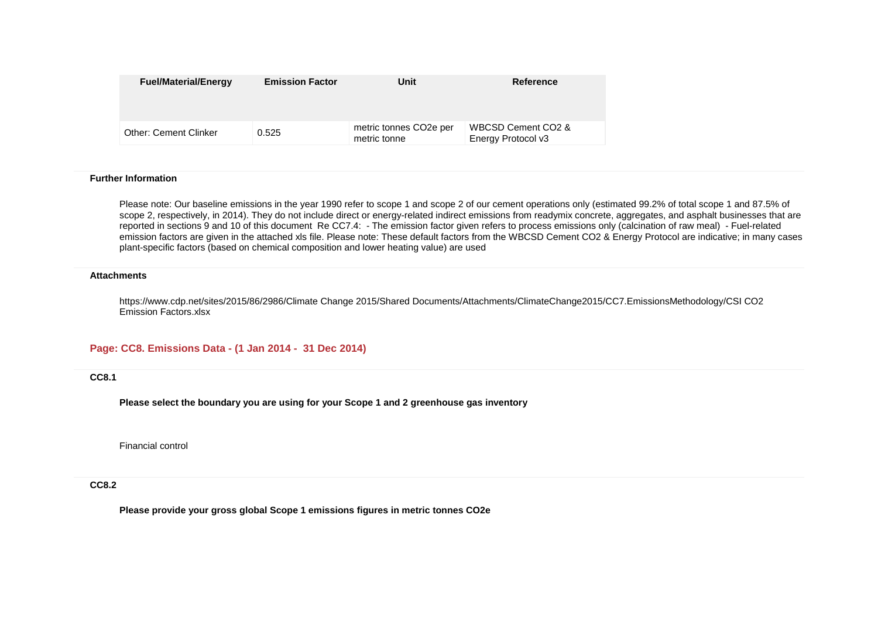| <b>Fuel/Material/Energy</b>  | <b>Emission Factor</b> | Unit                                                | Reference                                |
|------------------------------|------------------------|-----------------------------------------------------|------------------------------------------|
| <b>Other: Cement Clinker</b> | 0.525                  | metric tonnes CO <sub>2</sub> e per<br>metric tonne | WBCSD Cement CO2 &<br>Energy Protocol v3 |

Please note: Our baseline emissions in the year 1990 refer to scope 1 and scope 2 of our cement operations only (estimated 99.2% of total scope 1 and 87.5% of scope 2, respectively, in 2014). They do not include direct or energy-related indirect emissions from readymix concrete, aggregates, and asphalt businesses that are reported in sections 9 and 10 of this document Re CC7.4: - The emission factor given refers to process emissions only (calcination of raw meal) - Fuel-related emission factors are given in the attached xls file. Please note: These default factors from the WBCSD Cement CO2 & Energy Protocol are indicative; in many cases plant-specific factors (based on chemical composition and lower heating value) are used

#### **Attachments**

https://www.cdp.net/sites/2015/86/2986/Climate Change 2015/Shared Documents/Attachments/ClimateChange2015/CC7.EmissionsMethodology/CSI CO2 Emission Factors.xlsx

#### **Page: CC8. Emissions Data - (1 Jan 2014 - 31 Dec 2014)**

**CC8.1**

**Please select the boundary you are using for your Scope 1 and 2 greenhouse gas inventory**

Financial control

**CC8.2**

**Please provide your gross global Scope 1 emissions figures in metric tonnes CO2e**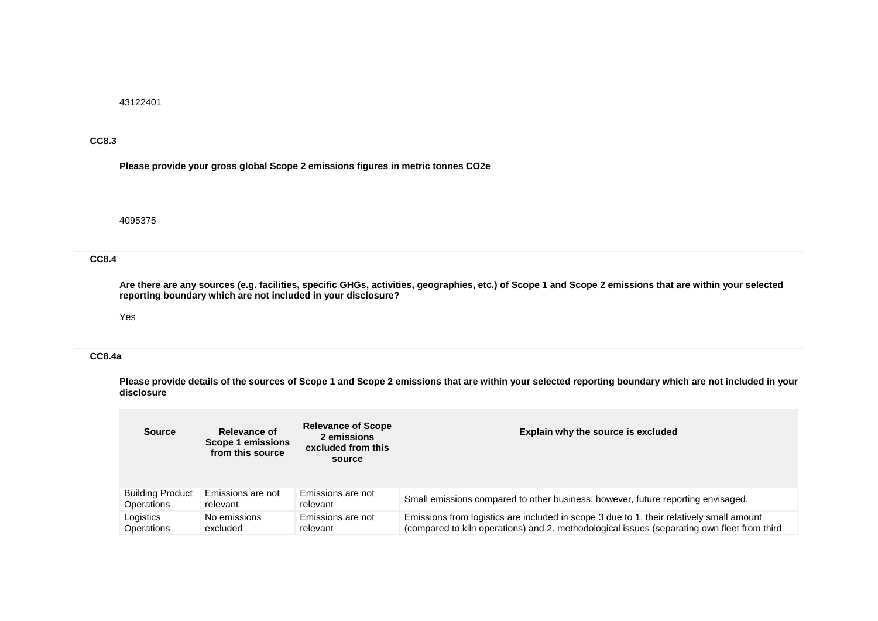43122401

#### **CC8.3**

**Please provide your gross global Scope 2 emissions figures in metric tonnes CO2e**

4095375

#### **CC8.4**

**Are there are any sources (e.g. facilities, specific GHGs, activities, geographies, etc.) of Scope 1 and Scope 2 emissions that are within your selected reporting boundary which are not included in your disclosure?**

#### Yes

# **CC8.4a**

**Please provide details of the sources of Scope 1 and Scope 2 emissions that are within your selected reporting boundary which are not included in your disclosure**

| <b>Source</b>           | Relevance of<br>Scope 1 emissions<br>from this source | <b>Relevance of Scope</b><br>2 emissions<br>excluded from this<br>source | Explain why the source is excluded                                                          |
|-------------------------|-------------------------------------------------------|--------------------------------------------------------------------------|---------------------------------------------------------------------------------------------|
| <b>Building Product</b> | Emissions are not                                     | Emissions are not                                                        | Small emissions compared to other business; however, future reporting envisaged.            |
| <b>Operations</b>       | relevant                                              | relevant                                                                 |                                                                                             |
| Logistics               | No emissions                                          | Emissions are not                                                        | Emissions from logistics are included in scope 3 due to 1. their relatively small amount    |
| Operations              | excluded                                              | relevant                                                                 | (compared to kiln operations) and 2. methodological issues (separating own fleet from third |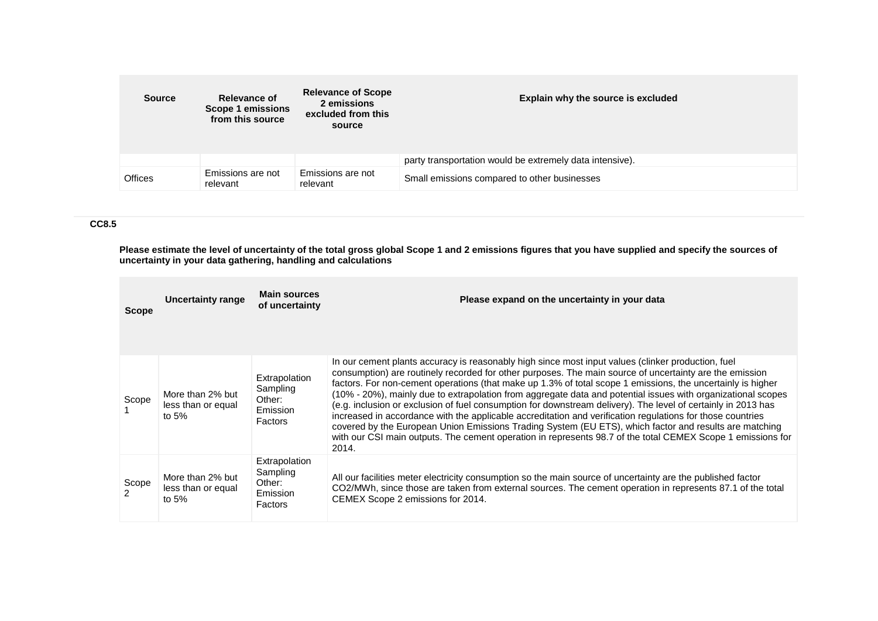| <b>Source</b>  | Relevance of<br>Scope 1 emissions<br>from this source | <b>Relevance of Scope</b><br>2 emissions<br>excluded from this<br>source | Explain why the source is excluded                       |
|----------------|-------------------------------------------------------|--------------------------------------------------------------------------|----------------------------------------------------------|
|                |                                                       |                                                                          | party transportation would be extremely data intensive). |
| <b>Offices</b> | Emissions are not<br>relevant                         | Emissions are not<br>relevant                                            | Small emissions compared to other businesses             |

# **CC8.5**

**Please estimate the level of uncertainty of the total gross global Scope 1 and 2 emissions figures that you have supplied and specify the sources of uncertainty in your data gathering, handling and calculations**

| <b>Scope</b> | <b>Uncertainty range</b>                          | <b>Main sources</b><br>of uncertainty                      | Please expand on the uncertainty in your data                                                                                                                                                                                                                                                                                                                                                                                                                                                                                                                                                                                                                                                                                                                                                                                                                                                                 |
|--------------|---------------------------------------------------|------------------------------------------------------------|---------------------------------------------------------------------------------------------------------------------------------------------------------------------------------------------------------------------------------------------------------------------------------------------------------------------------------------------------------------------------------------------------------------------------------------------------------------------------------------------------------------------------------------------------------------------------------------------------------------------------------------------------------------------------------------------------------------------------------------------------------------------------------------------------------------------------------------------------------------------------------------------------------------|
| Scope        | More than 2% but<br>less than or equal<br>to $5%$ | Extrapolation<br>Sampling<br>Other:<br>Emission<br>Factors | In our cement plants accuracy is reasonably high since most input values (clinker production, fuel<br>consumption) are routinely recorded for other purposes. The main source of uncertainty are the emission<br>factors. For non-cement operations (that make up 1.3% of total scope 1 emissions, the uncertainly is higher<br>(10% - 20%), mainly due to extrapolation from aggregate data and potential issues with organizational scopes<br>(e.g. inclusion or exclusion of fuel consumption for downstream delivery). The level of certainly in 2013 has<br>increased in accordance with the applicable accreditation and verification regulations for those countries<br>covered by the European Union Emissions Trading System (EU ETS), which factor and results are matching<br>with our CSI main outputs. The cement operation in represents 98.7 of the total CEMEX Scope 1 emissions for<br>2014. |
| Scope        | More than 2% but<br>less than or equal<br>to $5%$ | Extrapolation<br>Sampling<br>Other:<br>Emission<br>Factors | All our facilities meter electricity consumption so the main source of uncertainty are the published factor<br>CO2/MWh, since those are taken from external sources. The cement operation in represents 87.1 of the total<br>CEMEX Scope 2 emissions for 2014.                                                                                                                                                                                                                                                                                                                                                                                                                                                                                                                                                                                                                                                |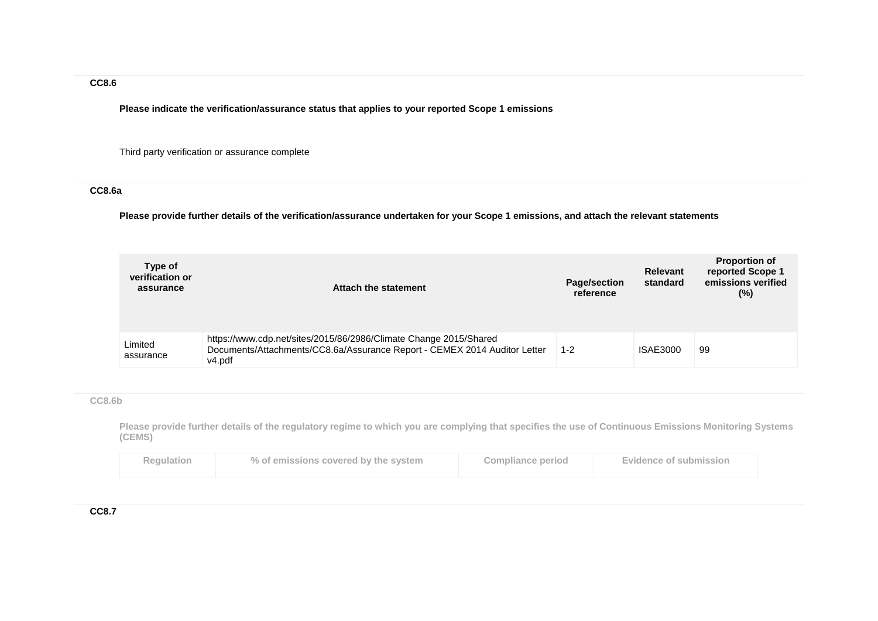# **CC8.6**

**Please indicate the verification/assurance status that applies to your reported Scope 1 emissions**

Third party verification or assurance complete

# **CC8.6a**

**Please provide further details of the verification/assurance undertaken for your Scope 1 emissions, and attach the relevant statements**

| Type of<br>verification or<br>assurance | Attach the statement                                                                                                                                     | <b>Page/section</b><br>reference | Relevant<br>standard | <b>Proportion of</b><br>reported Scope 1<br>emissions verified<br>(%) |
|-----------------------------------------|----------------------------------------------------------------------------------------------------------------------------------------------------------|----------------------------------|----------------------|-----------------------------------------------------------------------|
| Limited<br>assurance                    | https://www.cdp.net/sites/2015/86/2986/Climate Change 2015/Shared<br>Documents/Attachments/CC8.6a/Assurance Report - CEMEX 2014 Auditor Letter<br>v4.pdf | $1 - 2$                          | <b>ISAE3000</b>      | 99                                                                    |

#### **CC8.6b**

**Please provide further details of the regulatory regime to which you are complying that specifies the use of Continuous Emissions Monitoring Systems (CEMS)**

| Regulation | % of emissions covered by the system | <b>Compliance period</b> | Evidence of submission |
|------------|--------------------------------------|--------------------------|------------------------|
|            |                                      |                          |                        |

**CC8.7**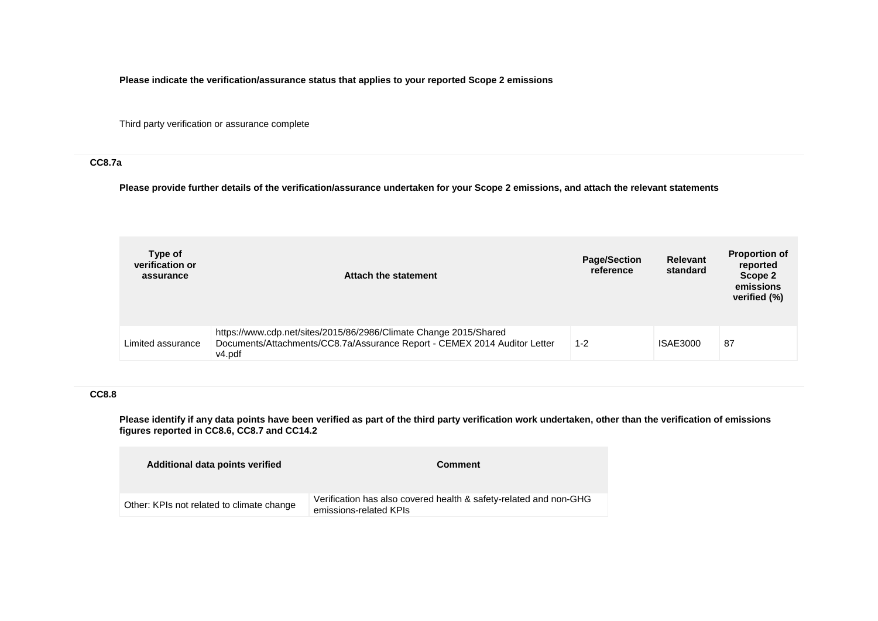**Please indicate the verification/assurance status that applies to your reported Scope 2 emissions**

Third party verification or assurance complete

# **CC8.7a**

**Please provide further details of the verification/assurance undertaken for your Scope 2 emissions, and attach the relevant statements**

| Type of<br>verification or<br>assurance | Attach the statement                                                                                                                                     | <b>Page/Section</b><br>reference | <b>Relevant</b><br>standard | <b>Proportion of</b><br>reported<br>Scope 2<br>emissions<br>verified (%) |
|-----------------------------------------|----------------------------------------------------------------------------------------------------------------------------------------------------------|----------------------------------|-----------------------------|--------------------------------------------------------------------------|
| Limited assurance                       | https://www.cdp.net/sites/2015/86/2986/Climate Change 2015/Shared<br>Documents/Attachments/CC8.7a/Assurance Report - CEMEX 2014 Auditor Letter<br>v4.pdf | $1 - 2$                          | <b>ISAE3000</b>             | 87                                                                       |

# **CC8.8**

**Please identify if any data points have been verified as part of the third party verification work undertaken, other than the verification of emissions figures reported in CC8.6, CC8.7 and CC14.2**

| Additional data points verified           | <b>Comment</b>                                                                              |
|-------------------------------------------|---------------------------------------------------------------------------------------------|
| Other: KPIs not related to climate change | Verification has also covered health & safety-related and non-GHG<br>emissions-related KPIs |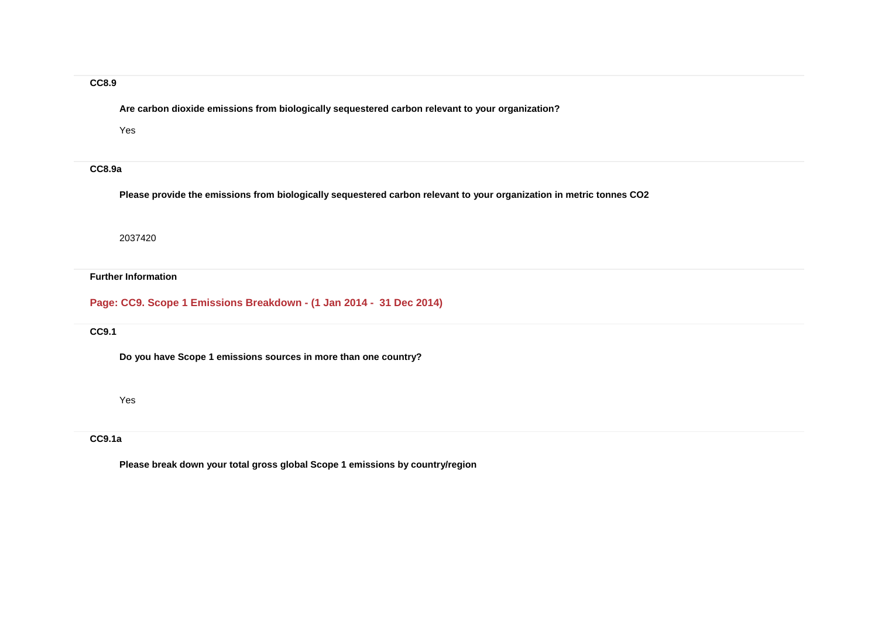### **CC8.9**

**Are carbon dioxide emissions from biologically sequestered carbon relevant to your organization?**

Yes

### **CC8.9a**

**Please provide the emissions from biologically sequestered carbon relevant to your organization in metric tonnes CO2**

2037420

#### **Further Information**

**Page: CC9. Scope 1 Emissions Breakdown - (1 Jan 2014 - 31 Dec 2014)**

#### **CC9.1**

**Do you have Scope 1 emissions sources in more than one country?**

Yes

### **CC9.1a**

**Please break down your total gross global Scope 1 emissions by country/region**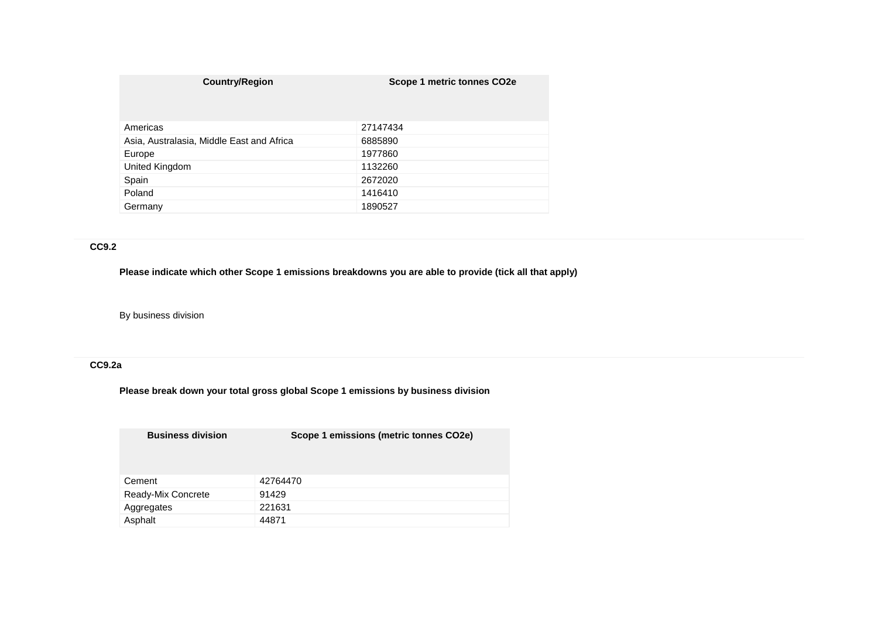| <b>Country/Region</b>                     | Scope 1 metric tonnes CO2e |
|-------------------------------------------|----------------------------|
| Americas                                  | 27147434                   |
| Asia, Australasia, Middle East and Africa | 6885890                    |
| Europe                                    | 1977860                    |
| United Kingdom                            | 1132260                    |
| Spain                                     | 2672020                    |
| Poland                                    | 1416410                    |
| Germany                                   | 1890527                    |

# **CC9.2**

**Please indicate which other Scope 1 emissions breakdowns you are able to provide (tick all that apply)**

By business division

# **CC9.2a**

**Please break down your total gross global Scope 1 emissions by business division**

| <b>Business division</b> | Scope 1 emissions (metric tonnes CO2e) |
|--------------------------|----------------------------------------|
| Cement                   | 42764470                               |
| Ready-Mix Concrete       | 91429                                  |
| Aggregates               | 221631                                 |
| Asphalt                  | 44871                                  |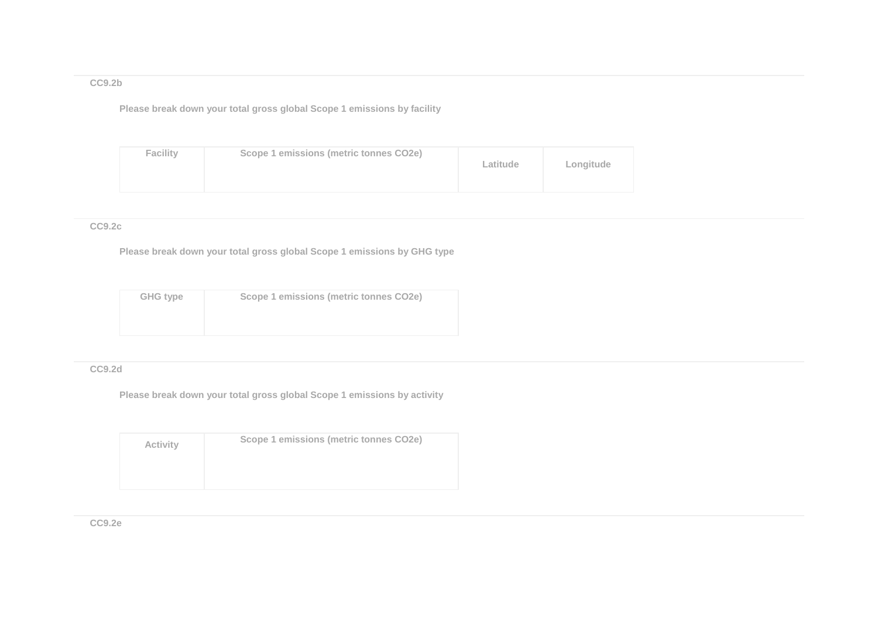# **CC9.2b**

**Please break down your total gross global Scope 1 emissions by facility**

| <b>Facility</b> | Scope 1 emissions (metric tonnes CO2e) | Latitude | Longitude |
|-----------------|----------------------------------------|----------|-----------|
|-----------------|----------------------------------------|----------|-----------|

### **CC9.2c**

**Please break down your total gross global Scope 1 emissions by GHG type**

| <b>GHG type</b> | Scope 1 emissions (metric tonnes CO2e) |
|-----------------|----------------------------------------|
|                 |                                        |
|                 |                                        |

# **CC9.2d**

**Please break down your total gross global Scope 1 emissions by activity**

| <b>Activity</b> | Scope 1 emissions (metric tonnes CO2e) |
|-----------------|----------------------------------------|
|                 |                                        |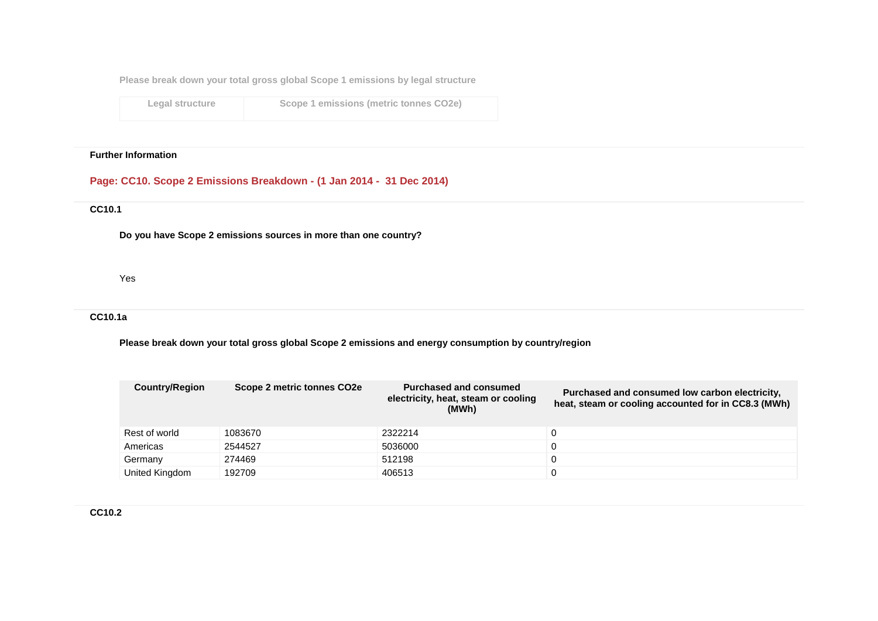**Please break down your total gross global Scope 1 emissions by legal structure**

**Legal structure Scope 1 emissions (metric tonnes CO2e)**

#### **Further Information**

# **Page: CC10. Scope 2 Emissions Breakdown - (1 Jan 2014 - 31 Dec 2014)**

# **CC10.1**

**Do you have Scope 2 emissions sources in more than one country?**

Yes

# **CC10.1a**

**Please break down your total gross global Scope 2 emissions and energy consumption by country/region**

| <b>Country/Region</b> | Scope 2 metric tonnes CO2e | Purchased and consumed<br>electricity, heat, steam or cooling<br>(MWh) | Purchased and consumed low carbon electricity,<br>heat, steam or cooling accounted for in CC8.3 (MWh) |
|-----------------------|----------------------------|------------------------------------------------------------------------|-------------------------------------------------------------------------------------------------------|
| Rest of world         | 1083670                    | 2322214                                                                |                                                                                                       |
| Americas              | 2544527                    | 5036000                                                                |                                                                                                       |
| Germany               | 274469                     | 512198                                                                 |                                                                                                       |
| United Kingdom        | 192709                     | 406513                                                                 |                                                                                                       |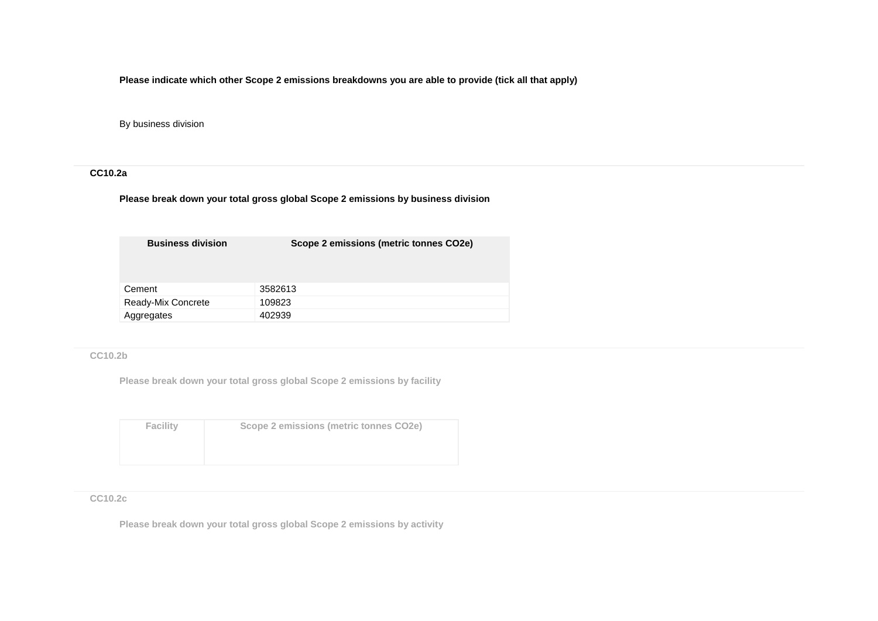**Please indicate which other Scope 2 emissions breakdowns you are able to provide (tick all that apply)**

By business division

# **CC10.2a**

**Please break down your total gross global Scope 2 emissions by business division**

| <b>Business division</b> | Scope 2 emissions (metric tonnes CO2e) |
|--------------------------|----------------------------------------|
| Cement                   | 3582613                                |
| Ready-Mix Concrete       | 109823                                 |
| Aggregates               | 402939                                 |

**CC10.2b**

**Please break down your total gross global Scope 2 emissions by facility**

| <b>Facility</b> | Scope 2 emissions (metric tonnes CO2e) |
|-----------------|----------------------------------------|
|                 |                                        |
|                 |                                        |
|                 |                                        |
|                 |                                        |
|                 |                                        |
|                 |                                        |

### **CC10.2c**

**Please break down your total gross global Scope 2 emissions by activity**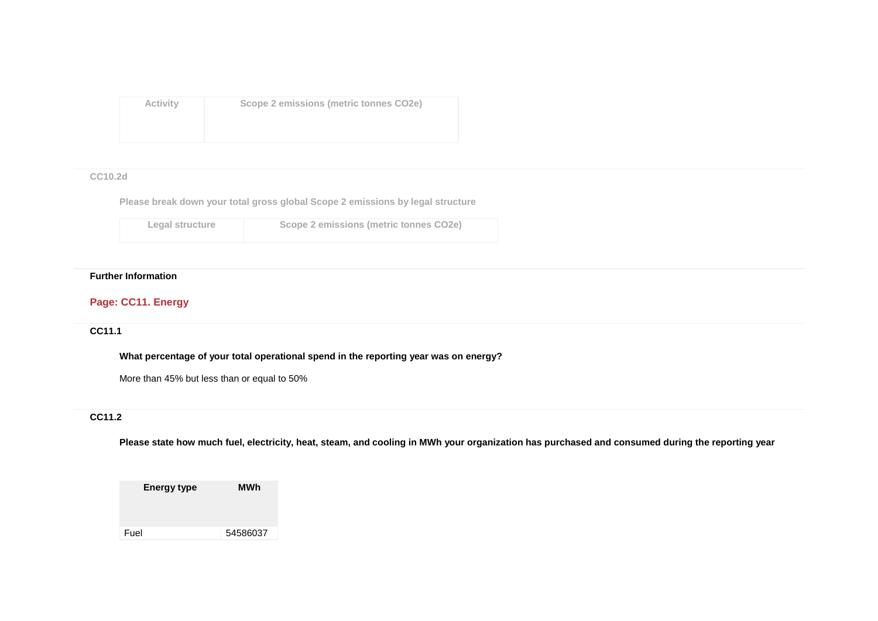**Activity Scope 2 emissions (metric tonnes CO2e)**

### **CC10.2d**

**Please break down your total gross global Scope 2 emissions by legal structure**

| Legal structure | Scope 2 emissions (metric tonnes CO2e) |
|-----------------|----------------------------------------|
|                 |                                        |

# **Further Information**

# **Page: CC11. Energy**

### **CC11.1**

**What percentage of your total operational spend in the reporting year was on energy?**

More than 45% but less than or equal to 50%

# **CC11.2**

**Please state how much fuel, electricity, heat, steam, and cooling in MWh your organization has purchased and consumed during the reporting year**

**Energy type MWh** Fuel 54586037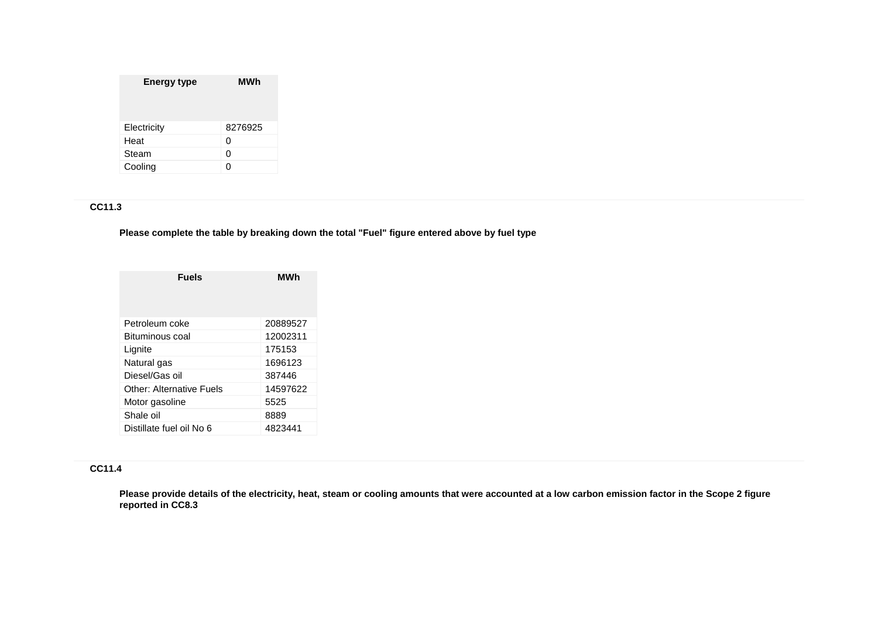| <b>Energy type</b> | MWh     |
|--------------------|---------|
| Electricity        | 8276925 |
| Heat               | 0       |
| Steam              | 0       |
| Cooling            |         |

# **CC11.3**

**Please complete the table by breaking down the total "Fuel" figure entered above by fuel type**

| <b>Fuels</b>             | MWh      |
|--------------------------|----------|
| Petroleum coke           | 20889527 |
| Bituminous coal          | 12002311 |
| Lignite                  | 175153   |
| Natural gas              | 1696123  |
| Diesel/Gas oil           | 387446   |
| Other: Alternative Fuels | 14597622 |
| Motor gasoline           | 5525     |
| Shale oil                | 8889     |
| Distillate fuel oil No 6 | 4823441  |

# **CC11.4**

**Please provide details of the electricity, heat, steam or cooling amounts that were accounted at a low carbon emission factor in the Scope 2 figure reported in CC8.3**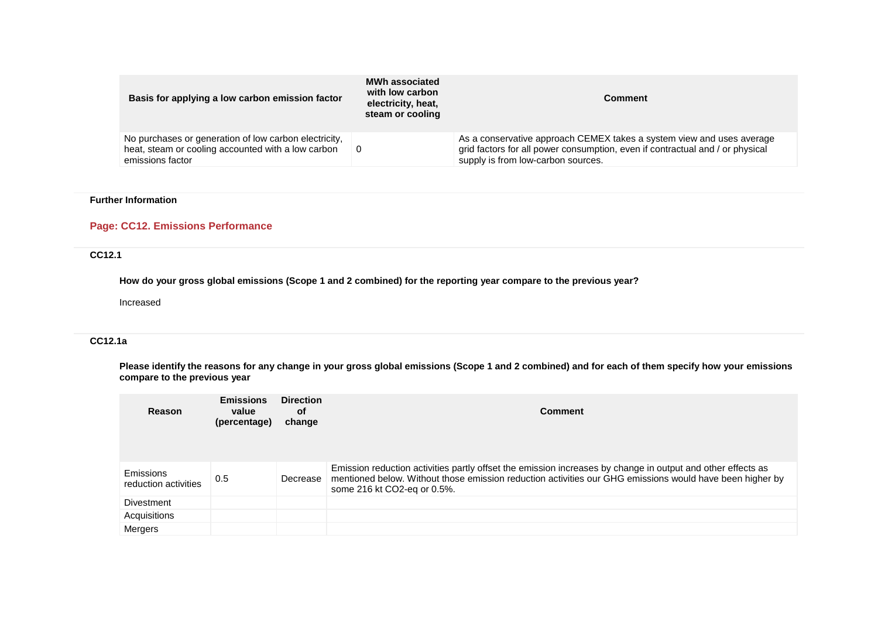| Basis for applying a low carbon emission factor                                                                                 | <b>MWh associated</b><br>with low carbon<br>electricity, heat,<br>steam or cooling | <b>Comment</b>                                                                                                                                                                               |
|---------------------------------------------------------------------------------------------------------------------------------|------------------------------------------------------------------------------------|----------------------------------------------------------------------------------------------------------------------------------------------------------------------------------------------|
| No purchases or generation of low carbon electricity,<br>heat, steam or cooling accounted with a low carbon<br>emissions factor | - 0                                                                                | As a conservative approach CEMEX takes a system view and uses average<br>grid factors for all power consumption, even if contractual and / or physical<br>supply is from low-carbon sources. |

# **Page: CC12. Emissions Performance**

### **CC12.1**

**How do your gross global emissions (Scope 1 and 2 combined) for the reporting year compare to the previous year?**

Increased

### **CC12.1a**

**Please identify the reasons for any change in your gross global emissions (Scope 1 and 2 combined) and for each of them specify how your emissions compare to the previous year**

| Reason                            | <b>Emissions</b><br>value<br>(percentage) | <b>Direction</b><br>0f<br>change | Comment                                                                                                                                                                                                                                                |
|-----------------------------------|-------------------------------------------|----------------------------------|--------------------------------------------------------------------------------------------------------------------------------------------------------------------------------------------------------------------------------------------------------|
| Emissions<br>reduction activities | 0.5                                       | Decrease                         | Emission reduction activities partly offset the emission increases by change in output and other effects as<br>mentioned below. Without those emission reduction activities our GHG emissions would have been higher by<br>some 216 kt CO2-eq or 0.5%. |
| Divestment                        |                                           |                                  |                                                                                                                                                                                                                                                        |
| Acquisitions                      |                                           |                                  |                                                                                                                                                                                                                                                        |
| Mergers                           |                                           |                                  |                                                                                                                                                                                                                                                        |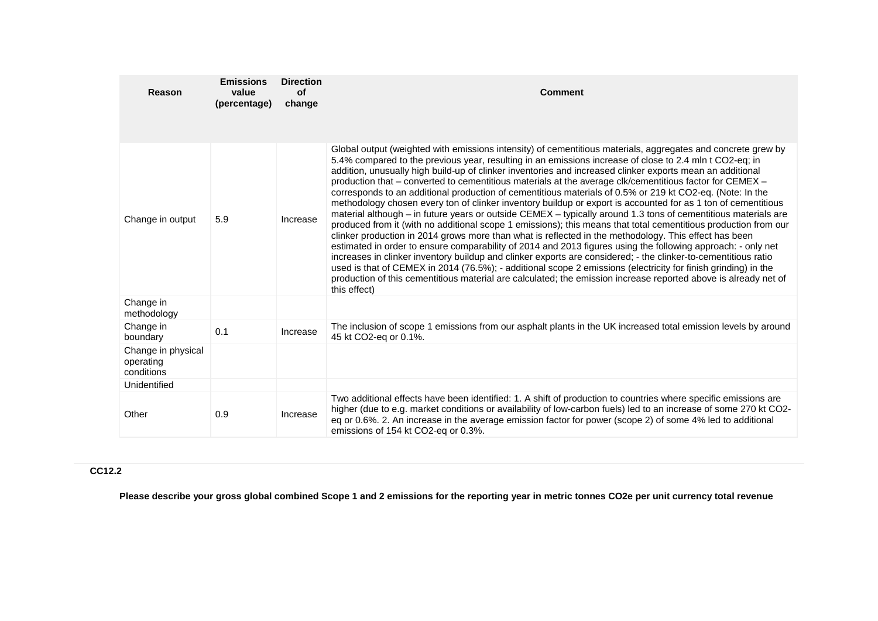| Reason                                        | <b>Emissions</b><br>value<br>(percentage) | <b>Direction</b><br><b>of</b><br>change | <b>Comment</b>                                                                                                                                                                                                                                                                                                                                                                                                                                                                                                                                                                                                                                                                                                                                                                                                                                                                                                                                                                                                                                                                                                                                                                                                                                                                                                                                                                                                                                                                                                      |
|-----------------------------------------------|-------------------------------------------|-----------------------------------------|---------------------------------------------------------------------------------------------------------------------------------------------------------------------------------------------------------------------------------------------------------------------------------------------------------------------------------------------------------------------------------------------------------------------------------------------------------------------------------------------------------------------------------------------------------------------------------------------------------------------------------------------------------------------------------------------------------------------------------------------------------------------------------------------------------------------------------------------------------------------------------------------------------------------------------------------------------------------------------------------------------------------------------------------------------------------------------------------------------------------------------------------------------------------------------------------------------------------------------------------------------------------------------------------------------------------------------------------------------------------------------------------------------------------------------------------------------------------------------------------------------------------|
| Change in output                              | 5.9                                       | Increase                                | Global output (weighted with emissions intensity) of cementitious materials, aggregates and concrete grew by<br>5.4% compared to the previous year, resulting in an emissions increase of close to 2.4 mln t CO2-eq; in<br>addition, unusually high build-up of clinker inventories and increased clinker exports mean an additional<br>production that - converted to cementitious materials at the average clk/cementitious factor for CEMEX -<br>corresponds to an additional production of cementitious materials of 0.5% or 219 kt CO2-eq. (Note: In the<br>methodology chosen every ton of clinker inventory buildup or export is accounted for as 1 ton of cementitious<br>material although – in future years or outside CEMEX – typically around 1.3 tons of cementitious materials are<br>produced from it (with no additional scope 1 emissions); this means that total cementitious production from our<br>clinker production in 2014 grows more than what is reflected in the methodology. This effect has been<br>estimated in order to ensure comparability of 2014 and 2013 figures using the following approach: - only net<br>increases in clinker inventory buildup and clinker exports are considered; - the clinker-to-cementitious ratio<br>used is that of CEMEX in 2014 (76.5%); - additional scope 2 emissions (electricity for finish grinding) in the<br>production of this cementitious material are calculated; the emission increase reported above is already net of<br>this effect) |
| Change in<br>methodology                      |                                           |                                         |                                                                                                                                                                                                                                                                                                                                                                                                                                                                                                                                                                                                                                                                                                                                                                                                                                                                                                                                                                                                                                                                                                                                                                                                                                                                                                                                                                                                                                                                                                                     |
| Change in<br>boundary                         | 0.1                                       | Increase                                | The inclusion of scope 1 emissions from our asphalt plants in the UK increased total emission levels by around<br>45 kt CO2-eg or 0.1%.                                                                                                                                                                                                                                                                                                                                                                                                                                                                                                                                                                                                                                                                                                                                                                                                                                                                                                                                                                                                                                                                                                                                                                                                                                                                                                                                                                             |
| Change in physical<br>operating<br>conditions |                                           |                                         |                                                                                                                                                                                                                                                                                                                                                                                                                                                                                                                                                                                                                                                                                                                                                                                                                                                                                                                                                                                                                                                                                                                                                                                                                                                                                                                                                                                                                                                                                                                     |
| Unidentified                                  |                                           |                                         |                                                                                                                                                                                                                                                                                                                                                                                                                                                                                                                                                                                                                                                                                                                                                                                                                                                                                                                                                                                                                                                                                                                                                                                                                                                                                                                                                                                                                                                                                                                     |
| Other                                         | 0.9                                       | Increase                                | Two additional effects have been identified: 1. A shift of production to countries where specific emissions are<br>higher (due to e.g. market conditions or availability of low-carbon fuels) led to an increase of some 270 kt CO2-<br>eq or 0.6%. 2. An increase in the average emission factor for power (scope 2) of some 4% led to additional<br>emissions of 154 kt CO2-eq or 0.3%.                                                                                                                                                                                                                                                                                                                                                                                                                                                                                                                                                                                                                                                                                                                                                                                                                                                                                                                                                                                                                                                                                                                           |

# **CC12.2**

**Please describe your gross global combined Scope 1 and 2 emissions for the reporting year in metric tonnes CO2e per unit currency total revenue**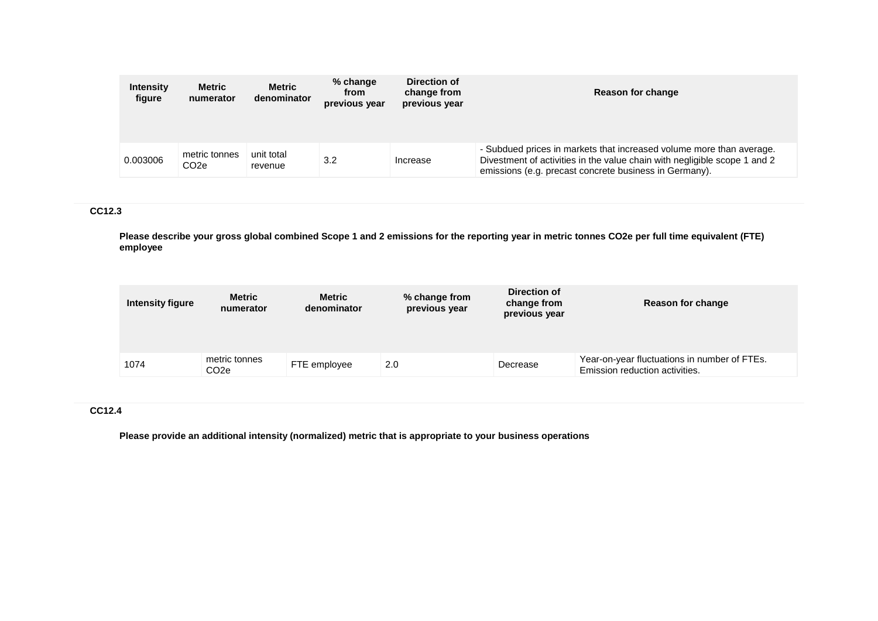| <b>Intensity</b><br>figure | <b>Metric</b><br>numerator         | <b>Metric</b><br>denominator | % change<br>from<br>previous year | Direction of<br>change from<br>previous year | Reason for change                                                                                                                                                                                           |
|----------------------------|------------------------------------|------------------------------|-----------------------------------|----------------------------------------------|-------------------------------------------------------------------------------------------------------------------------------------------------------------------------------------------------------------|
| 0.003006                   | metric tonnes<br>CO <sub>2</sub> e | unit total<br>revenue        | 3.2                               | Increase                                     | - Subdued prices in markets that increased volume more than average.<br>Divestment of activities in the value chain with negligible scope 1 and 2<br>emissions (e.g. precast concrete business in Germany). |

## **CC12.3**

**Please describe your gross global combined Scope 1 and 2 emissions for the reporting year in metric tonnes CO2e per full time equivalent (FTE) employee**

| <b>Intensity figure</b> | <b>Metric</b><br>numerator         | Metric<br>denominator | % change from<br>previous year | Direction of<br>change from<br>previous year | Reason for change                                                              |
|-------------------------|------------------------------------|-----------------------|--------------------------------|----------------------------------------------|--------------------------------------------------------------------------------|
|                         |                                    |                       |                                |                                              |                                                                                |
| 1074                    | metric tonnes<br>CO <sub>2</sub> e | FTE employee          | 2.0                            | Decrease                                     | Year-on-year fluctuations in number of FTEs.<br>Emission reduction activities. |

# **CC12.4**

**Please provide an additional intensity (normalized) metric that is appropriate to your business operations**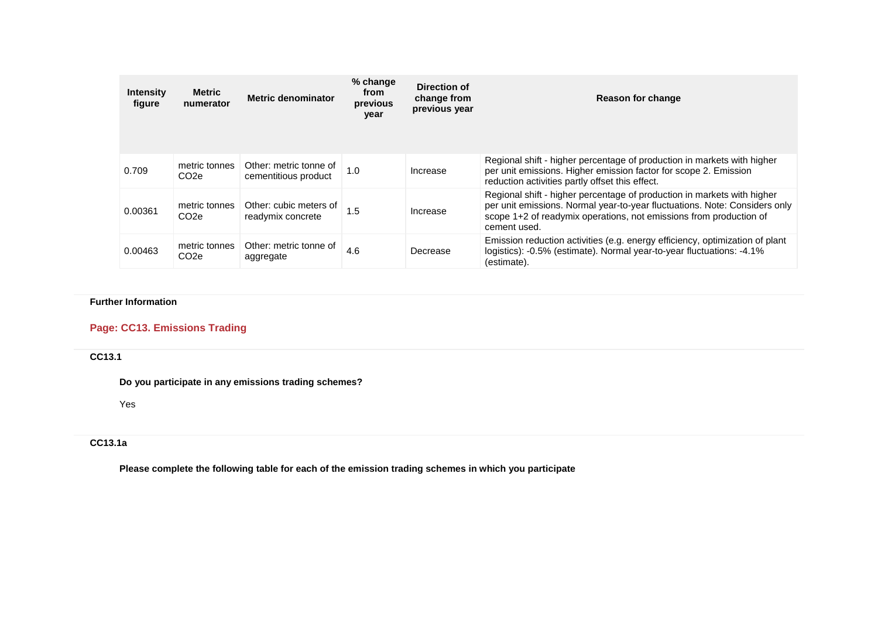| <b>Intensity</b><br>figure | Metric<br>numerator                | Metric denominator                             | % change<br>from<br>previous<br>year | Direction of<br>change from<br>previous year | Reason for change                                                                                                                                                                                                                           |
|----------------------------|------------------------------------|------------------------------------------------|--------------------------------------|----------------------------------------------|---------------------------------------------------------------------------------------------------------------------------------------------------------------------------------------------------------------------------------------------|
| 0.709                      | metric tonnes<br>CO <sub>2</sub> e | Other: metric tonne of<br>cementitious product | 1.0                                  | Increase                                     | Regional shift - higher percentage of production in markets with higher<br>per unit emissions. Higher emission factor for scope 2. Emission<br>reduction activities partly offset this effect.                                              |
| 0.00361                    | metric tonnes<br>CO <sub>2</sub> e | Other: cubic meters of<br>readymix concrete    | 1.5                                  | Increase                                     | Regional shift - higher percentage of production in markets with higher<br>per unit emissions. Normal year-to-year fluctuations. Note: Considers only<br>scope 1+2 of readymix operations, not emissions from production of<br>cement used. |
| 0.00463                    | metric tonnes<br>CO <sub>2e</sub>  | Other: metric tonne of<br>aggregate            | 4.6                                  | Decrease                                     | Emission reduction activities (e.g. energy efficiency, optimization of plant<br>logistics): -0.5% (estimate). Normal year-to-year fluctuations: -4.1%<br>(estimate).                                                                        |

# **Page: CC13. Emissions Trading**

# **CC13.1**

**Do you participate in any emissions trading schemes?**

Yes

# **CC13.1a**

**Please complete the following table for each of the emission trading schemes in which you participate**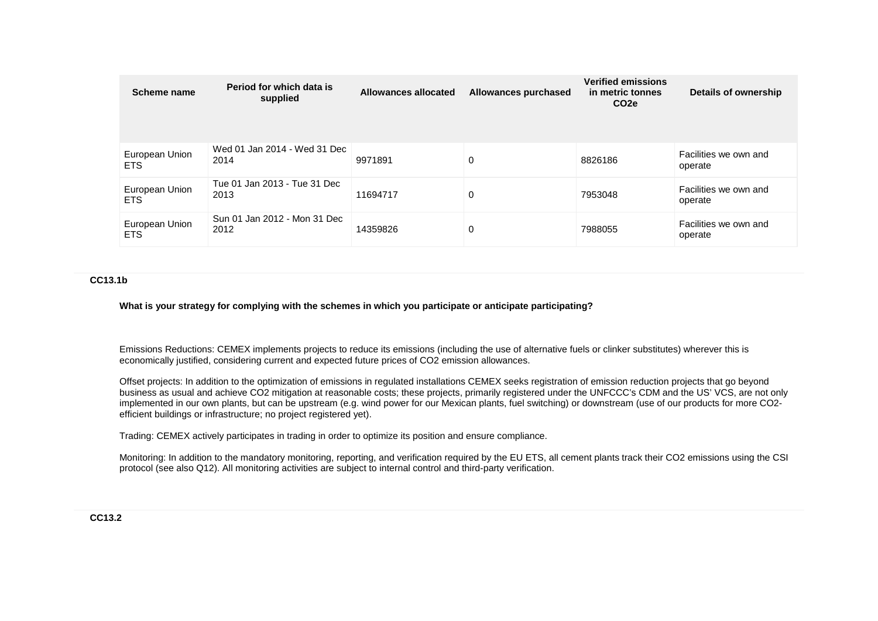| Scheme name                  | Period for which data is<br>supplied | Allowances allocated | Allowances purchased | <b>Verified emissions</b><br>in metric tonnes<br>CO <sub>2</sub> e | Details of ownership             |
|------------------------------|--------------------------------------|----------------------|----------------------|--------------------------------------------------------------------|----------------------------------|
| European Union<br>ETS.       | Wed 01 Jan 2014 - Wed 31 Dec<br>2014 | 9971891              | 0                    | 8826186                                                            | Facilities we own and<br>operate |
| European Union<br><b>ETS</b> | Tue 01 Jan 2013 - Tue 31 Dec<br>2013 | 11694717             | 0                    | 7953048                                                            | Facilities we own and<br>operate |
| European Union<br><b>ETS</b> | Sun 01 Jan 2012 - Mon 31 Dec<br>2012 | 14359826             | 0                    | 7988055                                                            | Facilities we own and<br>operate |

#### **CC13.1b**

**What is your strategy for complying with the schemes in which you participate or anticipate participating?**

Emissions Reductions: CEMEX implements projects to reduce its emissions (including the use of alternative fuels or clinker substitutes) wherever this is economically justified, considering current and expected future prices of CO2 emission allowances.

Offset projects: In addition to the optimization of emissions in regulated installations CEMEX seeks registration of emission reduction projects that go beyond business as usual and achieve CO2 mitigation at reasonable costs; these projects, primarily registered under the UNFCCC's CDM and the US' VCS, are not only implemented in our own plants, but can be upstream (e.g. wind power for our Mexican plants, fuel switching) or downstream (use of our products for more CO2 efficient buildings or infrastructure; no project registered yet).

Trading: CEMEX actively participates in trading in order to optimize its position and ensure compliance.

Monitoring: In addition to the mandatory monitoring, reporting, and verification required by the EU ETS, all cement plants track their CO2 emissions using the CSI protocol (see also Q12). All monitoring activities are subject to internal control and third-party verification.

### **CC13.2**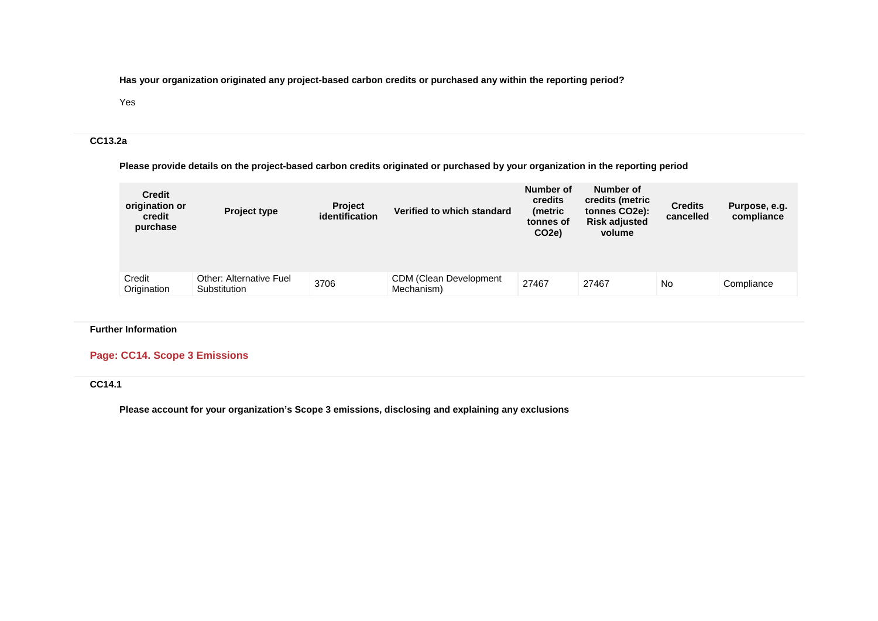**Has your organization originated any project-based carbon credits or purchased any within the reporting period?**

### Yes

### **CC13.2a**

**Please provide details on the project-based carbon credits originated or purchased by your organization in the reporting period**

| <b>Credit</b><br>origination or<br>credit<br>purchase | <b>Project type</b>                            | <b>Project</b><br><i>identification</i> | Verified to which standard                   | Number of<br><b>credits</b><br>(metric<br>tonnes of<br>CO <sub>2</sub> e) | Number of<br>credits (metric<br>tonnes CO2e):<br><b>Risk adjusted</b><br>volume | <b>Credits</b><br>cancelled | Purpose, e.g.<br>compliance |
|-------------------------------------------------------|------------------------------------------------|-----------------------------------------|----------------------------------------------|---------------------------------------------------------------------------|---------------------------------------------------------------------------------|-----------------------------|-----------------------------|
| Credit<br>Origination                                 | <b>Other: Alternative Fuel</b><br>Substitution | 3706                                    | <b>CDM (Clean Development)</b><br>Mechanism) | 27467                                                                     | 27467                                                                           | <b>No</b>                   | Compliance                  |

## **Further Information**

# **Page: CC14. Scope 3 Emissions**

# **CC14.1**

**Please account for your organization's Scope 3 emissions, disclosing and explaining any exclusions**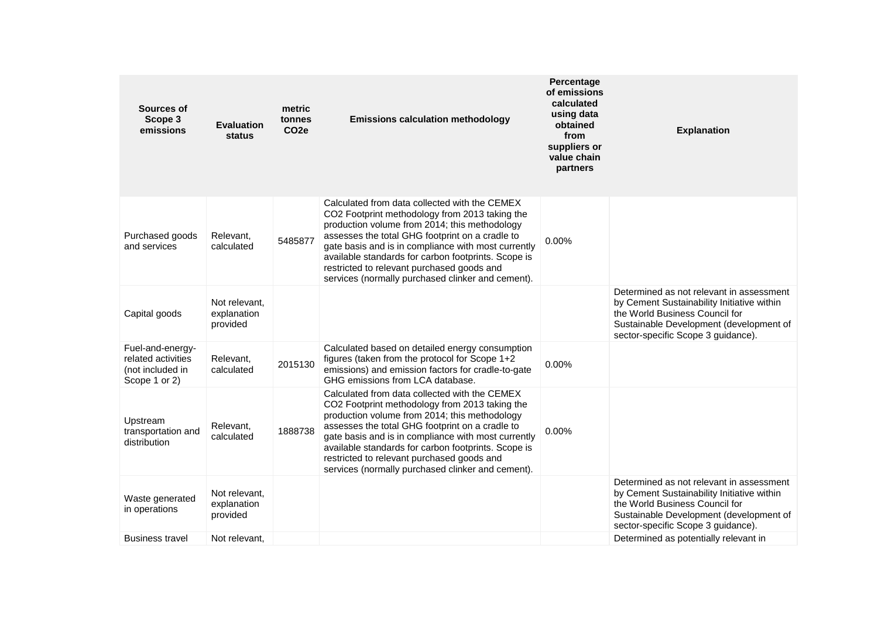| Sources of<br>Scope 3<br>emissions                                          | <b>Evaluation</b><br>status              | metric<br>tonnes<br>CO <sub>2e</sub> | <b>Emissions calculation methodology</b>                                                                                                                                                                                                                                                                                                                                                                             | Percentage<br>of emissions<br>calculated<br>using data<br>obtained<br>from<br>suppliers or<br>value chain<br>partners | <b>Explanation</b>                                                                                                                                                                                        |
|-----------------------------------------------------------------------------|------------------------------------------|--------------------------------------|----------------------------------------------------------------------------------------------------------------------------------------------------------------------------------------------------------------------------------------------------------------------------------------------------------------------------------------------------------------------------------------------------------------------|-----------------------------------------------------------------------------------------------------------------------|-----------------------------------------------------------------------------------------------------------------------------------------------------------------------------------------------------------|
| Purchased goods<br>and services                                             | Relevant,<br>calculated                  | 5485877                              | Calculated from data collected with the CEMEX<br>CO2 Footprint methodology from 2013 taking the<br>production volume from 2014; this methodology<br>assesses the total GHG footprint on a cradle to<br>gate basis and is in compliance with most currently<br>available standards for carbon footprints. Scope is<br>restricted to relevant purchased goods and<br>services (normally purchased clinker and cement). | 0.00%                                                                                                                 |                                                                                                                                                                                                           |
| Capital goods                                                               | Not relevant.<br>explanation<br>provided |                                      |                                                                                                                                                                                                                                                                                                                                                                                                                      |                                                                                                                       | Determined as not relevant in assessment<br>by Cement Sustainability Initiative within<br>the World Business Council for<br>Sustainable Development (development of<br>sector-specific Scope 3 guidance). |
| Fuel-and-energy-<br>related activities<br>(not included in<br>Scope 1 or 2) | Relevant,<br>calculated                  | 2015130                              | Calculated based on detailed energy consumption<br>figures (taken from the protocol for Scope 1+2<br>emissions) and emission factors for cradle-to-gate<br>GHG emissions from LCA database.                                                                                                                                                                                                                          | 0.00%                                                                                                                 |                                                                                                                                                                                                           |
| Upstream<br>transportation and<br>distribution                              | Relevant,<br>calculated                  | 1888738                              | Calculated from data collected with the CEMEX<br>CO2 Footprint methodology from 2013 taking the<br>production volume from 2014; this methodology<br>assesses the total GHG footprint on a cradle to<br>gate basis and is in compliance with most currently<br>available standards for carbon footprints. Scope is<br>restricted to relevant purchased goods and<br>services (normally purchased clinker and cement). | 0.00%                                                                                                                 |                                                                                                                                                                                                           |
| Waste generated<br>in operations                                            | Not relevant,<br>explanation<br>provided |                                      |                                                                                                                                                                                                                                                                                                                                                                                                                      |                                                                                                                       | Determined as not relevant in assessment<br>by Cement Sustainability Initiative within<br>the World Business Council for<br>Sustainable Development (development of<br>sector-specific Scope 3 guidance). |
| Business travel                                                             | Not relevant.                            |                                      |                                                                                                                                                                                                                                                                                                                                                                                                                      |                                                                                                                       | Determined as potentially relevant in                                                                                                                                                                     |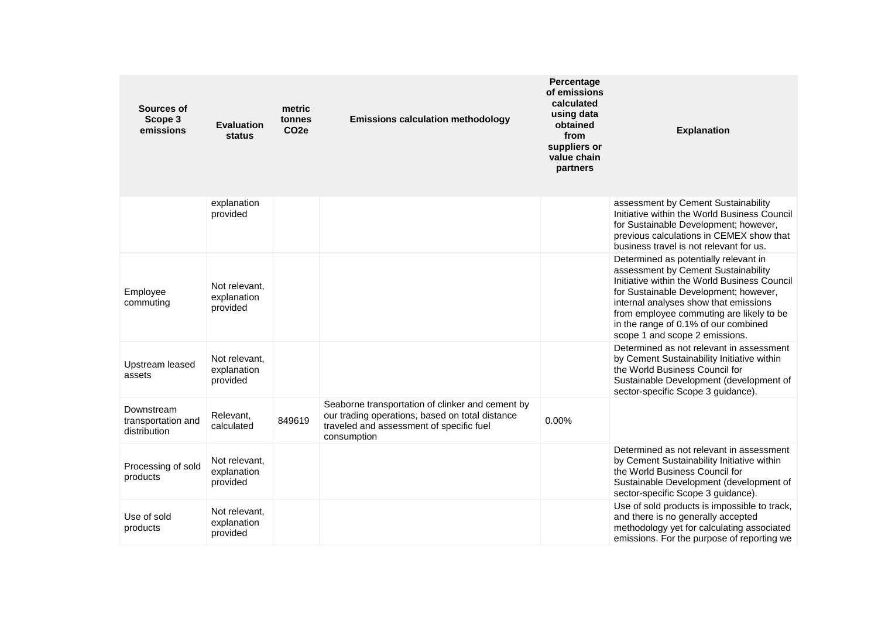| Sources of<br>Scope 3<br>emissions               | <b>Evaluation</b><br>status              | metric<br>tonnes<br>CO <sub>2e</sub> | <b>Emissions calculation methodology</b>                                                                                                                       | Percentage<br>of emissions<br>calculated<br>using data<br>obtained<br>from<br>suppliers or<br>value chain<br>partners | <b>Explanation</b>                                                                                                                                                                                                                                                                                                                   |
|--------------------------------------------------|------------------------------------------|--------------------------------------|----------------------------------------------------------------------------------------------------------------------------------------------------------------|-----------------------------------------------------------------------------------------------------------------------|--------------------------------------------------------------------------------------------------------------------------------------------------------------------------------------------------------------------------------------------------------------------------------------------------------------------------------------|
|                                                  | explanation<br>provided                  |                                      |                                                                                                                                                                |                                                                                                                       | assessment by Cement Sustainability<br>Initiative within the World Business Council<br>for Sustainable Development; however,<br>previous calculations in CEMEX show that<br>business travel is not relevant for us.                                                                                                                  |
| Employee<br>commuting                            | Not relevant.<br>explanation<br>provided |                                      |                                                                                                                                                                |                                                                                                                       | Determined as potentially relevant in<br>assessment by Cement Sustainability<br>Initiative within the World Business Council<br>for Sustainable Development; however,<br>internal analyses show that emissions<br>from employee commuting are likely to be<br>in the range of 0.1% of our combined<br>scope 1 and scope 2 emissions. |
| Upstream leased<br>assets                        | Not relevant.<br>explanation<br>provided |                                      |                                                                                                                                                                |                                                                                                                       | Determined as not relevant in assessment<br>by Cement Sustainability Initiative within<br>the World Business Council for<br>Sustainable Development (development of<br>sector-specific Scope 3 guidance).                                                                                                                            |
| Downstream<br>transportation and<br>distribution | Relevant.<br>calculated                  | 849619                               | Seaborne transportation of clinker and cement by<br>our trading operations, based on total distance<br>traveled and assessment of specific fuel<br>consumption | 0.00%                                                                                                                 |                                                                                                                                                                                                                                                                                                                                      |
| Processing of sold<br>products                   | Not relevant.<br>explanation<br>provided |                                      |                                                                                                                                                                |                                                                                                                       | Determined as not relevant in assessment<br>by Cement Sustainability Initiative within<br>the World Business Council for<br>Sustainable Development (development of<br>sector-specific Scope 3 guidance).                                                                                                                            |
| Use of sold<br>products                          | Not relevant,<br>explanation<br>provided |                                      |                                                                                                                                                                |                                                                                                                       | Use of sold products is impossible to track,<br>and there is no generally accepted<br>methodology yet for calculating associated<br>emissions. For the purpose of reporting we                                                                                                                                                       |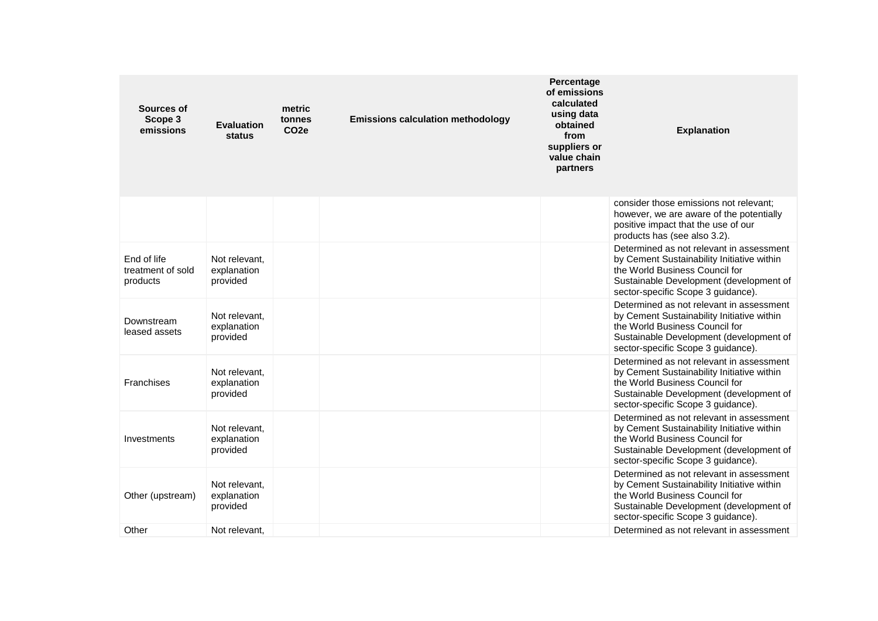| Sources of<br>Scope 3<br>emissions           | <b>Evaluation</b><br>status              | metric<br>tonnes<br>CO <sub>2e</sub> | <b>Emissions calculation methodology</b> | Percentage<br>of emissions<br>calculated<br>using data<br>obtained<br>from<br>suppliers or<br>value chain<br>partners | <b>Explanation</b>                                                                                                                                                                                        |
|----------------------------------------------|------------------------------------------|--------------------------------------|------------------------------------------|-----------------------------------------------------------------------------------------------------------------------|-----------------------------------------------------------------------------------------------------------------------------------------------------------------------------------------------------------|
|                                              |                                          |                                      |                                          |                                                                                                                       | consider those emissions not relevant;<br>however, we are aware of the potentially<br>positive impact that the use of our<br>products has (see also 3.2).                                                 |
| End of life<br>treatment of sold<br>products | Not relevant.<br>explanation<br>provided |                                      |                                          |                                                                                                                       | Determined as not relevant in assessment<br>by Cement Sustainability Initiative within<br>the World Business Council for<br>Sustainable Development (development of<br>sector-specific Scope 3 guidance). |
| Downstream<br>leased assets                  | Not relevant.<br>explanation<br>provided |                                      |                                          |                                                                                                                       | Determined as not relevant in assessment<br>by Cement Sustainability Initiative within<br>the World Business Council for<br>Sustainable Development (development of<br>sector-specific Scope 3 guidance). |
| Franchises                                   | Not relevant,<br>explanation<br>provided |                                      |                                          |                                                                                                                       | Determined as not relevant in assessment<br>by Cement Sustainability Initiative within<br>the World Business Council for<br>Sustainable Development (development of<br>sector-specific Scope 3 guidance). |
| Investments                                  | Not relevant.<br>explanation<br>provided |                                      |                                          |                                                                                                                       | Determined as not relevant in assessment<br>by Cement Sustainability Initiative within<br>the World Business Council for<br>Sustainable Development (development of<br>sector-specific Scope 3 guidance). |
| Other (upstream)                             | Not relevant.<br>explanation<br>provided |                                      |                                          |                                                                                                                       | Determined as not relevant in assessment<br>by Cement Sustainability Initiative within<br>the World Business Council for<br>Sustainable Development (development of<br>sector-specific Scope 3 guidance). |
| Other                                        | Not relevant.                            |                                      |                                          |                                                                                                                       | Determined as not relevant in assessment                                                                                                                                                                  |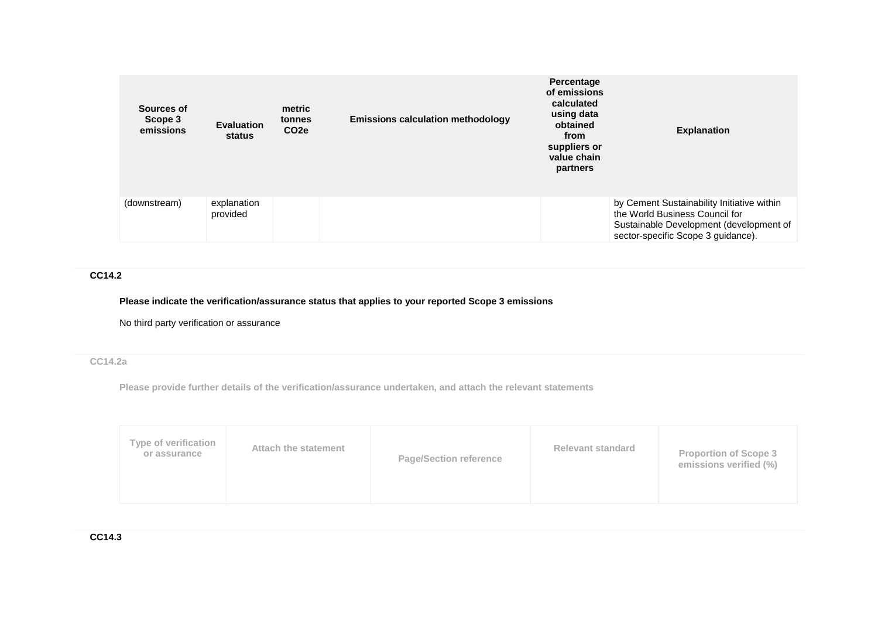| Sources of<br>Scope 3<br>emissions | <b>Evaluation</b><br>status | metric<br>tonnes<br>CO <sub>2e</sub> | <b>Emissions calculation methodology</b> | Percentage<br>of emissions<br>calculated<br>using data<br>obtained<br>from<br>suppliers or<br>value chain<br>partners | <b>Explanation</b>                                                                                                                                            |
|------------------------------------|-----------------------------|--------------------------------------|------------------------------------------|-----------------------------------------------------------------------------------------------------------------------|---------------------------------------------------------------------------------------------------------------------------------------------------------------|
| (downstream)                       | explanation<br>provided     |                                      |                                          |                                                                                                                       | by Cement Sustainability Initiative within<br>the World Business Council for<br>Sustainable Development (development of<br>sector-specific Scope 3 guidance). |

# **CC14.2**

## **Please indicate the verification/assurance status that applies to your reported Scope 3 emissions**

No third party verification or assurance

## **CC14.2a**

**Please provide further details of the verification/assurance undertaken, and attach the relevant statements**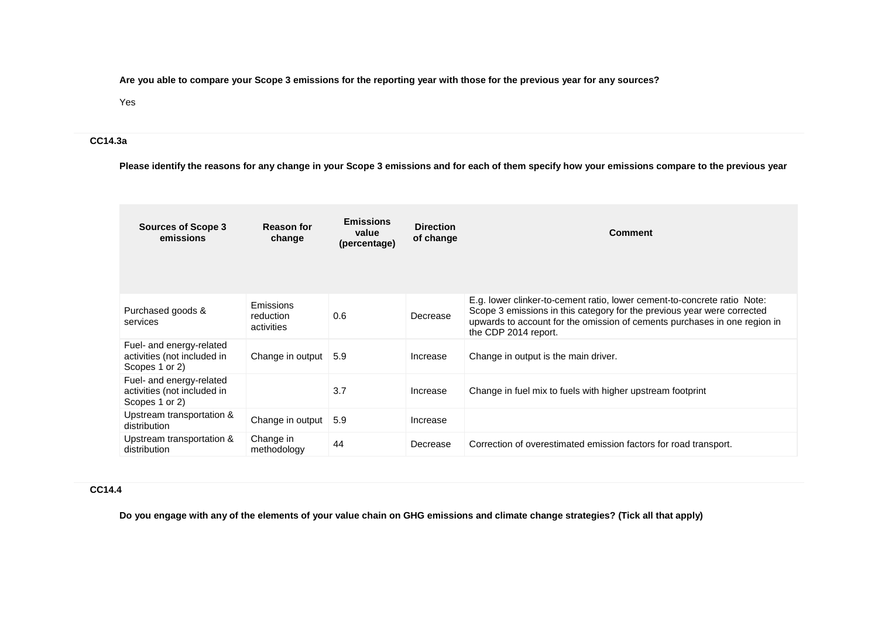**Are you able to compare your Scope 3 emissions for the reporting year with those for the previous year for any sources?**

### Yes

### **CC14.3a**

**Please identify the reasons for any change in your Scope 3 emissions and for each of them specify how your emissions compare to the previous year**

| <b>Sources of Scope 3</b><br>emissions                                    | <b>Reason for</b><br>change          | <b>Emissions</b><br>value<br>(percentage) | <b>Direction</b><br>of change | <b>Comment</b>                                                                                                                                                                                                                                           |
|---------------------------------------------------------------------------|--------------------------------------|-------------------------------------------|-------------------------------|----------------------------------------------------------------------------------------------------------------------------------------------------------------------------------------------------------------------------------------------------------|
| Purchased goods &<br>services                                             | Emissions<br>reduction<br>activities | 0.6                                       | Decrease                      | E.g. lower clinker-to-cement ratio, lower cement-to-concrete ratio Note:<br>Scope 3 emissions in this category for the previous year were corrected<br>upwards to account for the omission of cements purchases in one region in<br>the CDP 2014 report. |
| Fuel- and energy-related<br>activities (not included in<br>Scopes 1 or 2) | Change in output                     | 5.9                                       | Increase                      | Change in output is the main driver.                                                                                                                                                                                                                     |
| Fuel- and energy-related<br>activities (not included in<br>Scopes 1 or 2) |                                      | 3.7                                       | Increase                      | Change in fuel mix to fuels with higher upstream footprint                                                                                                                                                                                               |
| Upstream transportation &<br>distribution                                 | Change in output                     | 5.9                                       | Increase                      |                                                                                                                                                                                                                                                          |
| Upstream transportation &<br>distribution                                 | Change in<br>methodology             | 44                                        | Decrease                      | Correction of overestimated emission factors for road transport.                                                                                                                                                                                         |

## **CC14.4**

**Do you engage with any of the elements of your value chain on GHG emissions and climate change strategies? (Tick all that apply)**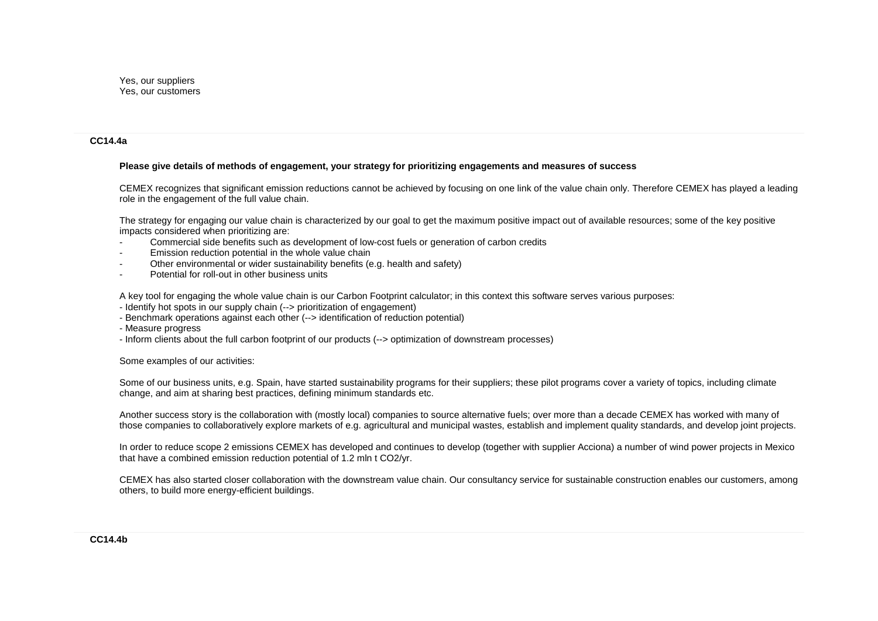#### **CC14.4a**

#### **Please give details of methods of engagement, your strategy for prioritizing engagements and measures of success**

CEMEX recognizes that significant emission reductions cannot be achieved by focusing on one link of the value chain only. Therefore CEMEX has played a leading role in the engagement of the full value chain.

The strategy for engaging our value chain is characterized by our goal to get the maximum positive impact out of available resources; some of the key positive impacts considered when prioritizing are:

- Commercial side benefits such as development of low-cost fuels or generation of carbon credits
- Emission reduction potential in the whole value chain
- Other environmental or wider sustainability benefits (e.g. health and safety)
- Potential for roll-out in other business units

A key tool for engaging the whole value chain is our Carbon Footprint calculator; in this context this software serves various purposes:

- Identify hot spots in our supply chain (--> prioritization of engagement)
- Benchmark operations against each other (--> identification of reduction potential)
- Measure progress
- Inform clients about the full carbon footprint of our products (--> optimization of downstream processes)

#### Some examples of our activities:

Some of our business units, e.g. Spain, have started sustainability programs for their suppliers; these pilot programs cover a variety of topics, including climate change, and aim at sharing best practices, defining minimum standards etc.

Another success story is the collaboration with (mostly local) companies to source alternative fuels; over more than a decade CEMEX has worked with many of those companies to collaboratively explore markets of e.g. agricultural and municipal wastes, establish and implement quality standards, and develop joint projects.

In order to reduce scope 2 emissions CEMEX has developed and continues to develop (together with supplier Acciona) a number of wind power projects in Mexico that have a combined emission reduction potential of 1.2 mln t CO2/yr.

CEMEX has also started closer collaboration with the downstream value chain. Our consultancy service for sustainable construction enables our customers, among others, to build more energy-efficient buildings.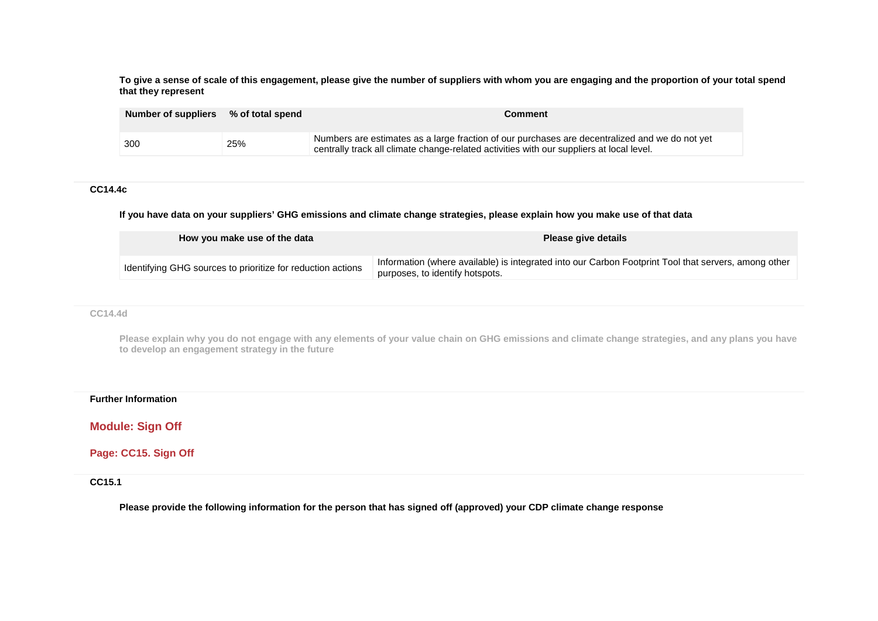**To give a sense of scale of this engagement, please give the number of suppliers with whom you are engaging and the proportion of your total spend that they represent**

| Number of suppliers % of total spend |     | Comment                                                                                                                                                                                    |
|--------------------------------------|-----|--------------------------------------------------------------------------------------------------------------------------------------------------------------------------------------------|
| 300                                  | 25% | Numbers are estimates as a large fraction of our purchases are decentralized and we do not yet<br>centrally track all climate change-related activities with our suppliers at local level. |

### **CC14.4c**

**If you have data on your suppliers' GHG emissions and climate change strategies, please explain how you make use of that data**

| How you make use of the data                                | Please give details                                                                                                                     |
|-------------------------------------------------------------|-----------------------------------------------------------------------------------------------------------------------------------------|
| Identifying GHG sources to prioritize for reduction actions | Information (where available) is integrated into our Carbon Footprint Tool that servers, among other<br>purposes, to identify hotspots. |

## **CC14.4d**

**Please explain why you do not engage with any elements of your value chain on GHG emissions and climate change strategies, and any plans you have to develop an engagement strategy in the future**

#### **Further Information**

**Module: Sign Off**

**Page: CC15. Sign Off**

**CC15.1**

**Please provide the following information for the person that has signed off (approved) your CDP climate change response**